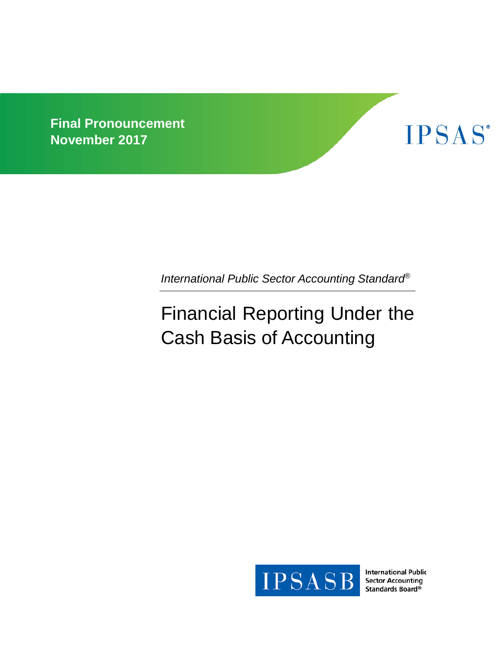**November 2017 Final Pronouncement**



*International Public Sector Accounting Standard®*

# Financial Reporting Under the Cash Basis of Accounting



**International Public Sector Accounting** Standards Board®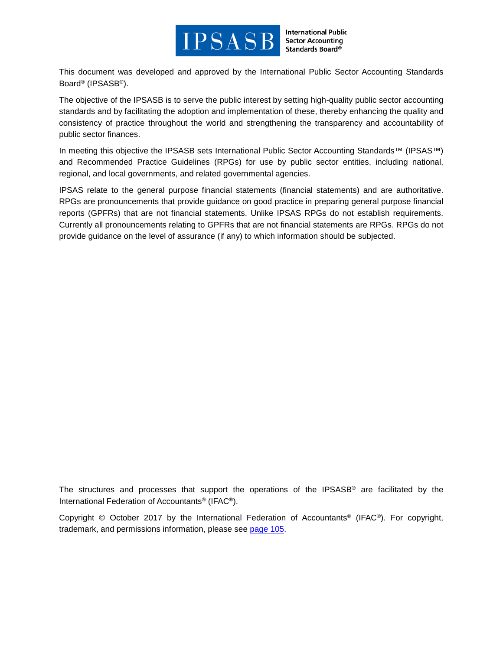

**International Public Sector Accounting** Standards Board®

This document was developed and approved by the International Public Sector Accounting Standards Board® (IPSASB®).

The objective of the IPSASB is to serve the public interest by setting high-quality public sector accounting standards and by facilitating the adoption and implementation of these, thereby enhancing the quality and consistency of practice throughout the world and strengthening the transparency and accountability of public sector finances.

In meeting this objective the IPSASB sets International Public Sector Accounting Standards™ (IPSAS™) and Recommended Practice Guidelines (RPGs) for use by public sector entities, including national, regional, and local governments, and related governmental agencies.

IPSAS relate to the general purpose financial statements (financial statements) and are authoritative. RPGs are pronouncements that provide guidance on good practice in preparing general purpose financial reports (GPFRs) that are not financial statements. Unlike IPSAS RPGs do not establish requirements. Currently all pronouncements relating to GPFRs that are not financial statements are RPGs. RPGs do not provide guidance on the level of assurance (if any) to which information should be subjected.

The structures and processes that support the operations of the IPSASB® are facilitated by the International Federation of Accountants® (IFAC®).

Copyright © October 2017 by the International Federation of Accountants® (IFAC®). For copyright, trademark, and permissions information, please see [page 105.](#page-104-0)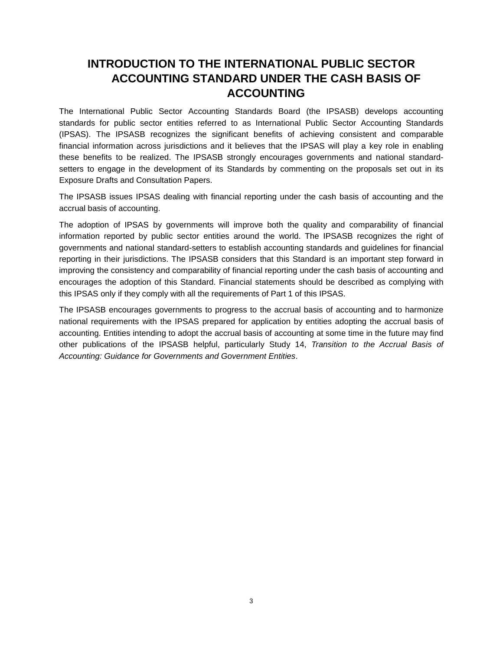# **INTRODUCTION TO THE INTERNATIONAL PUBLIC SECTOR ACCOUNTING STANDARD UNDER THE CASH BASIS OF ACCOUNTING**

The International Public Sector Accounting Standards Board (the IPSASB) develops accounting standards for public sector entities referred to as International Public Sector Accounting Standards (IPSAS). The IPSASB recognizes the significant benefits of achieving consistent and comparable financial information across jurisdictions and it believes that the IPSAS will play a key role in enabling these benefits to be realized. The IPSASB strongly encourages governments and national standardsetters to engage in the development of its Standards by commenting on the proposals set out in its Exposure Drafts and Consultation Papers.

The IPSASB issues IPSAS dealing with financial reporting under the cash basis of accounting and the accrual basis of accounting.

The adoption of IPSAS by governments will improve both the quality and comparability of financial information reported by public sector entities around the world. The IPSASB recognizes the right of governments and national standard-setters to establish accounting standards and guidelines for financial reporting in their jurisdictions. The IPSASB considers that this Standard is an important step forward in improving the consistency and comparability of financial reporting under the cash basis of accounting and encourages the adoption of this Standard. Financial statements should be described as complying with this IPSAS only if they comply with all the requirements of Part 1 of this IPSAS.

The IPSASB encourages governments to progress to the accrual basis of accounting and to harmonize national requirements with the IPSAS prepared for application by entities adopting the accrual basis of accounting. Entities intending to adopt the accrual basis of accounting at some time in the future may find other publications of the IPSASB helpful, particularly Study 14, *Transition to the Accrual Basis of Accounting: Guidance for Governments and Government Entities*.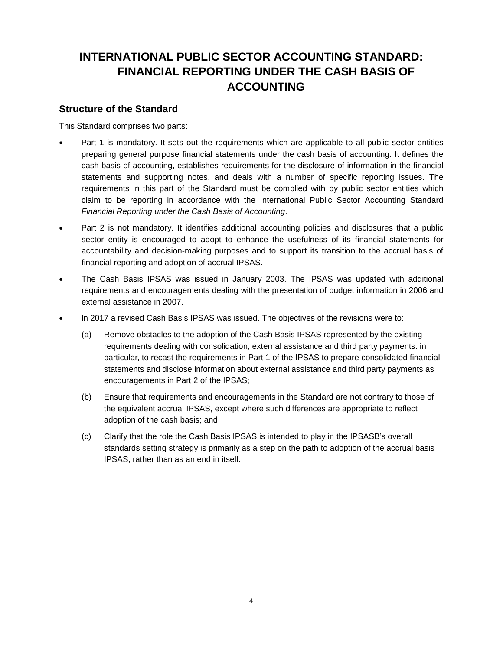# **INTERNATIONAL PUBLIC SECTOR ACCOUNTING STANDARD: FINANCIAL REPORTING UNDER THE CASH BASIS OF ACCOUNTING**

# **Structure of the Standard**

This Standard comprises two parts:

- Part 1 is mandatory. It sets out the requirements which are applicable to all public sector entities preparing general purpose financial statements under the cash basis of accounting. It defines the cash basis of accounting, establishes requirements for the disclosure of information in the financial statements and supporting notes, and deals with a number of specific reporting issues. The requirements in this part of the Standard must be complied with by public sector entities which claim to be reporting in accordance with the International Public Sector Accounting Standard *Financial Reporting under the Cash Basis of Accounting*.
- Part 2 is not mandatory. It identifies additional accounting policies and disclosures that a public sector entity is encouraged to adopt to enhance the usefulness of its financial statements for accountability and decision-making purposes and to support its transition to the accrual basis of financial reporting and adoption of accrual IPSAS.
- The Cash Basis IPSAS was issued in January 2003. The IPSAS was updated with additional requirements and encouragements dealing with the presentation of budget information in 2006 and external assistance in 2007.
- In 2017 a revised Cash Basis IPSAS was issued. The objectives of the revisions were to:
	- (a) Remove obstacles to the adoption of the Cash Basis IPSAS represented by the existing requirements dealing with consolidation, external assistance and third party payments: in particular, to recast the requirements in Part 1 of the IPSAS to prepare consolidated financial statements and disclose information about external assistance and third party payments as encouragements in Part 2 of the IPSAS;
	- (b) Ensure that requirements and encouragements in the Standard are not contrary to those of the equivalent accrual IPSAS, except where such differences are appropriate to reflect adoption of the cash basis; and
	- (c) Clarify that the role the Cash Basis IPSAS is intended to play in the IPSASB's overall standards setting strategy is primarily as a step on the path to adoption of the accrual basis IPSAS, rather than as an end in itself.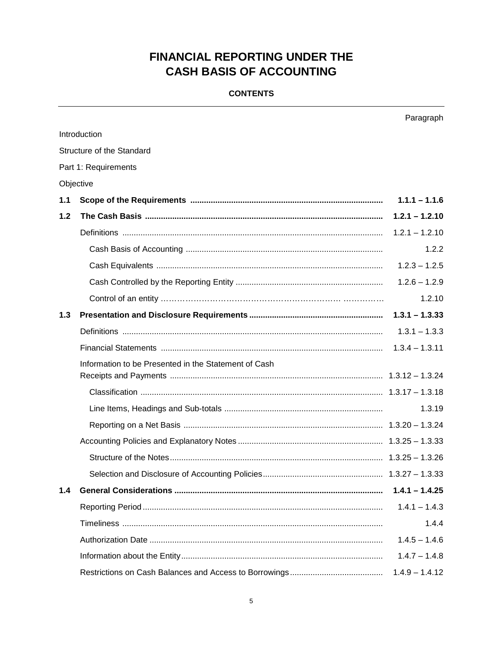# **CONTENTS**

|     |                                                      | ı alayıapıl      |
|-----|------------------------------------------------------|------------------|
|     | Introduction                                         |                  |
|     | Structure of the Standard                            |                  |
|     | Part 1: Requirements                                 |                  |
|     | Objective                                            |                  |
| 1.1 |                                                      | $1.1.1 - 1.1.6$  |
| 1.2 |                                                      | $1.2.1 - 1.2.10$ |
|     |                                                      | $1.2.1 - 1.2.10$ |
|     |                                                      | 1.2.2            |
|     |                                                      | $1.2.3 - 1.2.5$  |
|     |                                                      | $1.2.6 - 1.2.9$  |
|     |                                                      | 1.2.10           |
| 1.3 |                                                      | $1.3.1 - 1.3.33$ |
|     |                                                      | $1.3.1 - 1.3.3$  |
|     |                                                      | $1.3.4 - 1.3.11$ |
|     | Information to be Presented in the Statement of Cash |                  |
|     |                                                      |                  |
|     |                                                      | 1.3.19           |
|     |                                                      |                  |
|     |                                                      |                  |
|     |                                                      |                  |
|     |                                                      |                  |
| 1.4 |                                                      | $1.4.1 - 1.4.25$ |
|     |                                                      | $1.4.1 - 1.4.3$  |
|     |                                                      | 1.4.4            |
|     |                                                      | $1.4.5 - 1.4.6$  |
|     |                                                      | $1.4.7 - 1.4.8$  |
|     |                                                      | $1.4.9 - 1.4.12$ |
|     |                                                      |                  |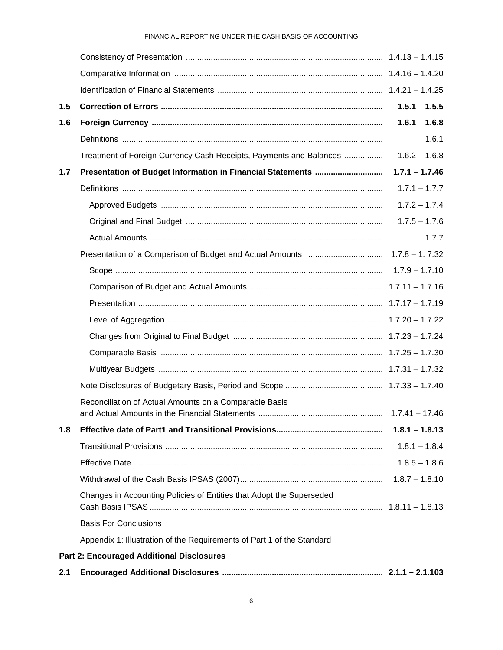| 1.5                                              |                                                                        | $1.5.1 - 1.5.5$  |  |  |
|--------------------------------------------------|------------------------------------------------------------------------|------------------|--|--|
| 1.6                                              |                                                                        | $1.6.1 - 1.6.8$  |  |  |
|                                                  |                                                                        | 1.6.1            |  |  |
|                                                  | Treatment of Foreign Currency Cash Receipts, Payments and Balances     | $1.6.2 - 1.6.8$  |  |  |
| $1.7$                                            |                                                                        | $1.7.1 - 1.7.46$ |  |  |
|                                                  |                                                                        | $1.7.1 - 1.7.7$  |  |  |
|                                                  |                                                                        | $1.7.2 - 1.7.4$  |  |  |
|                                                  |                                                                        | $1.7.5 - 1.7.6$  |  |  |
|                                                  |                                                                        | 1.7.7            |  |  |
|                                                  |                                                                        |                  |  |  |
|                                                  |                                                                        | $1.7.9 - 1.7.10$ |  |  |
|                                                  |                                                                        |                  |  |  |
|                                                  |                                                                        |                  |  |  |
|                                                  |                                                                        |                  |  |  |
|                                                  |                                                                        |                  |  |  |
|                                                  |                                                                        |                  |  |  |
|                                                  |                                                                        |                  |  |  |
|                                                  |                                                                        |                  |  |  |
|                                                  | Reconciliation of Actual Amounts on a Comparable Basis                 |                  |  |  |
|                                                  |                                                                        |                  |  |  |
| 1.8                                              |                                                                        | $1.8.1 - 1.8.13$ |  |  |
|                                                  |                                                                        | $1.8.1 - 1.8.4$  |  |  |
|                                                  |                                                                        | $1.8.5 - 1.8.6$  |  |  |
|                                                  |                                                                        | $1.8.7 - 1.8.10$ |  |  |
|                                                  | Changes in Accounting Policies of Entities that Adopt the Superseded   |                  |  |  |
|                                                  | <b>Basis For Conclusions</b>                                           |                  |  |  |
|                                                  | Appendix 1: Illustration of the Requirements of Part 1 of the Standard |                  |  |  |
| <b>Part 2: Encouraged Additional Disclosures</b> |                                                                        |                  |  |  |
| 2.1                                              |                                                                        |                  |  |  |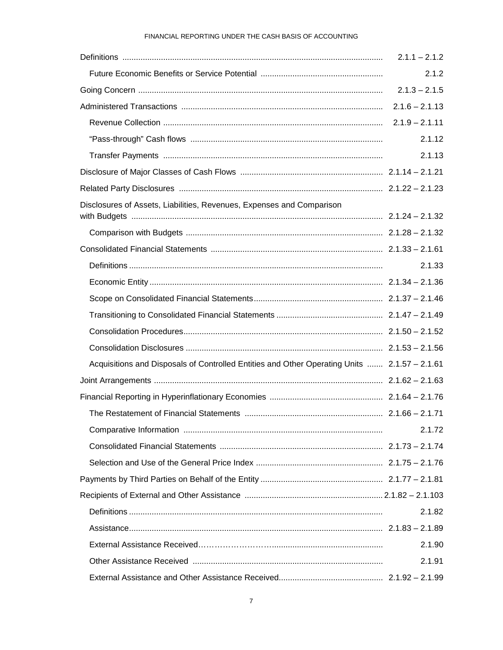|                                                                                              | $2.1.1 - 2.1.2$  |
|----------------------------------------------------------------------------------------------|------------------|
|                                                                                              | 2.1.2            |
|                                                                                              | $2.1.3 - 2.1.5$  |
|                                                                                              | $2.1.6 - 2.1.13$ |
|                                                                                              |                  |
|                                                                                              | 2.1.12           |
|                                                                                              | 2.1.13           |
|                                                                                              |                  |
|                                                                                              |                  |
| Disclosures of Assets, Liabilities, Revenues, Expenses and Comparison                        |                  |
|                                                                                              |                  |
|                                                                                              |                  |
|                                                                                              | 2.1.33           |
|                                                                                              |                  |
|                                                                                              |                  |
|                                                                                              |                  |
|                                                                                              |                  |
|                                                                                              |                  |
| Acquisitions and Disposals of Controlled Entities and Other Operating Units  2.1.57 - 2.1.61 |                  |
|                                                                                              |                  |
|                                                                                              |                  |
|                                                                                              |                  |
|                                                                                              | 2.1.72           |
|                                                                                              |                  |
|                                                                                              |                  |
|                                                                                              |                  |
|                                                                                              |                  |
|                                                                                              | 2.1.82           |
|                                                                                              |                  |
|                                                                                              | 2.1.90           |
|                                                                                              | 2.1.91           |
|                                                                                              |                  |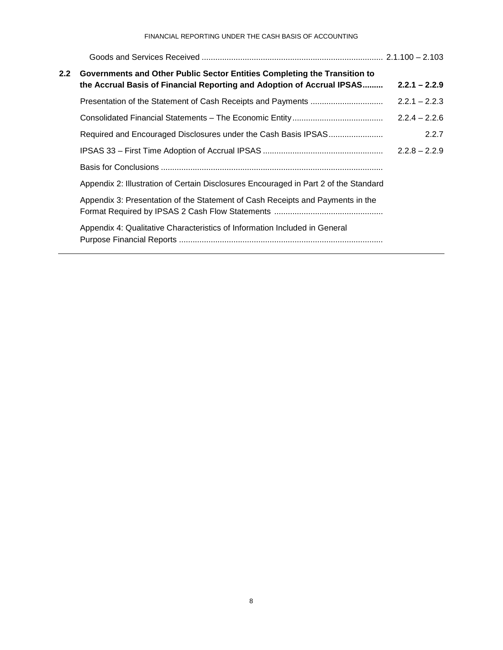| Governments and Other Public Sector Entities Completing the Transition to            | $2.2.1 - 2.2.9$                                                                                                                          |
|--------------------------------------------------------------------------------------|------------------------------------------------------------------------------------------------------------------------------------------|
|                                                                                      | $2.2.1 - 2.2.3$                                                                                                                          |
|                                                                                      | $2.2.4 - 2.2.6$                                                                                                                          |
|                                                                                      | 2.2.7                                                                                                                                    |
|                                                                                      | $2.2.8 - 2.2.9$                                                                                                                          |
|                                                                                      |                                                                                                                                          |
| Appendix 2: Illustration of Certain Disclosures Encouraged in Part 2 of the Standard |                                                                                                                                          |
| Appendix 3: Presentation of the Statement of Cash Receipts and Payments in the       |                                                                                                                                          |
| Appendix 4: Qualitative Characteristics of Information Included in General           |                                                                                                                                          |
|                                                                                      | the Accrual Basis of Financial Reporting and Adoption of Accrual IPSAS<br>Required and Encouraged Disclosures under the Cash Basis IPSAS |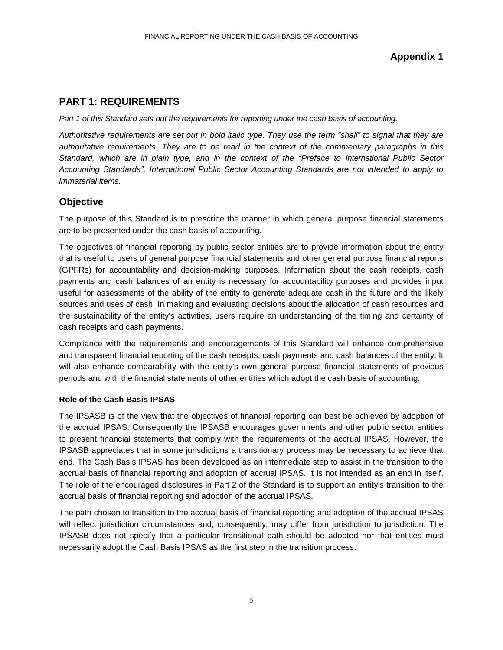**Appendix 1**

# **PART 1: REQUIREMENTS**

*Part 1 of this Standard sets out the requirements for reporting under the cash basis of accounting.* 

*Authoritative requirements are set out in bold italic type. They use the term "shall" to signal that they are authoritative requirements. They are to be read in the context of the commentary paragraphs in this Standard, which are in plain type, and in the context of the "Preface to International Public Sector Accounting Standards". International Public Sector Accounting Standards are not intended to apply to immaterial items.*

# **Objective**

The purpose of this Standard is to prescribe the manner in which general purpose financial statements are to be presented under the cash basis of accounting.

The objectives of financial reporting by public sector entities are to provide information about the entity that is useful to users of general purpose financial statements and other general purpose financial reports (GPFRs) for accountability and decision-making purposes. Information about the cash receipts, cash payments and cash balances of an entity is necessary for accountability purposes and provides input useful for assessments of the ability of the entity to generate adequate cash in the future and the likely sources and uses of cash. In making and evaluating decisions about the allocation of cash resources and the sustainability of the entity's activities, users require an understanding of the timing and certainty of cash receipts and cash payments.

Compliance with the requirements and encouragements of this Standard will enhance comprehensive and transparent financial reporting of the cash receipts, cash payments and cash balances of the entity. It will also enhance comparability with the entity's own general purpose financial statements of previous periods and with the financial statements of other entities which adopt the cash basis of accounting.

#### **Role of the Cash Basis IPSAS**

The IPSASB is of the view that the objectives of financial reporting can best be achieved by adoption of the accrual IPSAS. Consequently the IPSASB encourages governments and other public sector entities to present financial statements that comply with the requirements of the accrual IPSAS. However, the IPSASB appreciates that in some jurisdictions a transitionary process may be necessary to achieve that end. The Cash Basis IPSAS has been developed as an intermediate step to assist in the transition to the accrual basis of financial reporting and adoption of accrual IPSAS. It is not intended as an end in itself. The role of the encouraged disclosures in Part 2 of the Standard is to support an entity's transition to the accrual basis of financial reporting and adoption of the accrual IPSAS.

The path chosen to transition to the accrual basis of financial reporting and adoption of the accrual IPSAS will reflect jurisdiction circumstances and, consequently, may differ from jurisdiction to jurisdiction. The IPSASB does not specify that a particular transitional path should be adopted nor that entities must necessarily adopt the Cash Basis IPSAS as the first step in the transition process.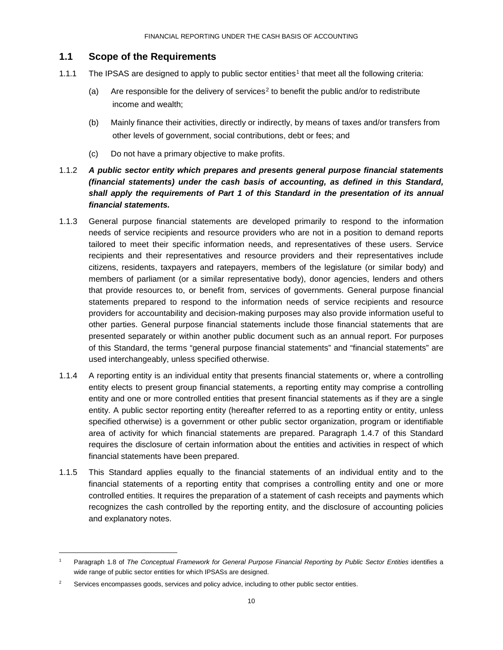## **1.1 Scope of the Requirements**

- [1](#page-9-0).1.1 The IPSAS are designed to apply to public sector entities<sup>1</sup> that meet all the following criteria:
	- (a) Are responsible for the delivery of services<sup>[2](#page-9-1)</sup> to benefit the public and/or to redistribute income and wealth;
	- (b) Mainly finance their activities, directly or indirectly, by means of taxes and/or transfers from other levels of government, social contributions, debt or fees; and
	- (c) Do not have a primary objective to make profits.
- 1.1.2 *A public sector entity which prepares and presents general purpose financial statements (financial statements) under the cash basis of accounting, as defined in this Standard, shall apply the requirements of Part 1 of this Standard in the presentation of its annual financial statements.*
- 1.1.3 General purpose financial statements are developed primarily to respond to the information needs of service recipients and resource providers who are not in a position to demand reports tailored to meet their specific information needs, and representatives of these users. Service recipients and their representatives and resource providers and their representatives include citizens, residents, taxpayers and ratepayers, members of the legislature (or similar body) and members of parliament (or a similar representative body), donor agencies, lenders and others that provide resources to, or benefit from, services of governments. General purpose financial statements prepared to respond to the information needs of service recipients and resource providers for accountability and decision-making purposes may also provide information useful to other parties. General purpose financial statements include those financial statements that are presented separately or within another public document such as an annual report. For purposes of this Standard, the terms "general purpose financial statements" and "financial statements" are used interchangeably, unless specified otherwise.
- 1.1.4 A reporting entity is an individual entity that presents financial statements or, where a controlling entity elects to present group financial statements, a reporting entity may comprise a controlling entity and one or more controlled entities that present financial statements as if they are a single entity. A public sector reporting entity (hereafter referred to as a reporting entity or entity, unless specified otherwise) is a government or other public sector organization, program or identifiable area of activity for which financial statements are prepared. Paragraph 1.4.7 of this Standard requires the disclosure of certain information about the entities and activities in respect of which financial statements have been prepared.
- 1.1.5 This Standard applies equally to the financial statements of an individual entity and to the financial statements of a reporting entity that comprises a controlling entity and one or more controlled entities. It requires the preparation of a statement of cash receipts and payments which recognizes the cash controlled by the reporting entity, and the disclosure of accounting policies and explanatory notes.

<span id="page-9-0"></span>Paragraph 1.8 of *The Conceptual Framework for General Purpose Financial Reporting by Public Sector Entities identifies a* wide range of public sector entities for which IPSASs are designed.

<span id="page-9-1"></span><sup>&</sup>lt;sup>2</sup> Services encompasses goods, services and policy advice, including to other public sector entities.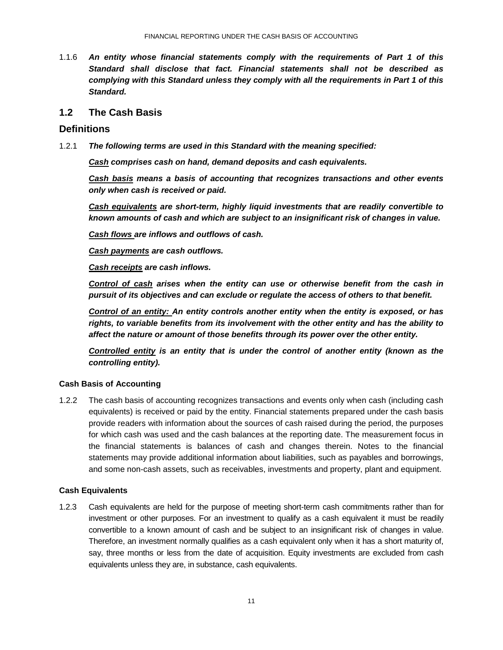1.1.6 *An entity whose financial statements comply with the requirements of Part 1 of this Standard shall disclose that fact. Financial statements shall not be described as complying with this Standard unless they comply with all the requirements in Part 1 of this Standard.*

#### **1.2 The Cash Basis**

# **Definitions**

1.2.1 *The following terms are used in this Standard with the meaning specified:*

*Cash comprises cash on hand, demand deposits and cash equivalents.* 

*Cash basis means a basis of accounting that recognizes transactions and other events only when cash is received or paid.* 

*Cash equivalents are short-term, highly liquid investments that are readily convertible to known amounts of cash and which are subject to an insignificant risk of changes in value.*

*Cash flows are inflows and outflows of cash.*

*Cash payments are cash outflows.*

*Cash receipts are cash inflows.*

*Control of cash arises when the entity can use or otherwise benefit from the cash in pursuit of its objectives and can exclude or regulate the access of others to that benefit.*

*Control of an entity: An entity controls another entity when the entity is exposed, or has rights, to variable benefits from its involvement with the other entity and has the ability to affect the nature or amount of those benefits through its power over the other entity.* 

*Controlled entity is an entity that is under the control of another entity (known as the controlling entity).*

#### **Cash Basis of Accounting**

1.2.2 The cash basis of accounting recognizes transactions and events only when cash (including cash equivalents) is received or paid by the entity. Financial statements prepared under the cash basis provide readers with information about the sources of cash raised during the period, the purposes for which cash was used and the cash balances at the reporting date. The measurement focus in the financial statements is balances of cash and changes therein. Notes to the financial statements may provide additional information about liabilities, such as payables and borrowings, and some non-cash assets, such as receivables, investments and property, plant and equipment.

#### **Cash Equivalents**

1.2.3 Cash equivalents are held for the purpose of meeting short-term cash commitments rather than for investment or other purposes. For an investment to qualify as a cash equivalent it must be readily convertible to a known amount of cash and be subject to an insignificant risk of changes in value. Therefore, an investment normally qualifies as a cash equivalent only when it has a short maturity of, say, three months or less from the date of acquisition. Equity investments are excluded from cash equivalents unless they are, in substance, cash equivalents.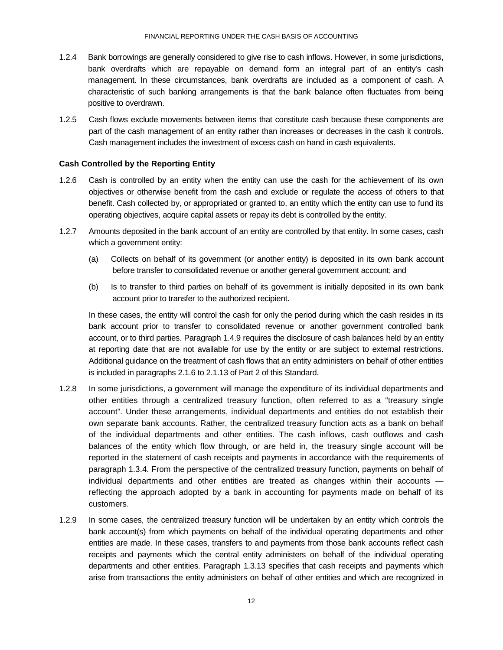- 1.2.4 Bank borrowings are generally considered to give rise to cash inflows. However, in some jurisdictions, bank overdrafts which are repayable on demand form an integral part of an entity's cash management. In these circumstances, bank overdrafts are included as a component of cash. A characteristic of such banking arrangements is that the bank balance often fluctuates from being positive to overdrawn.
- 1.2.5 Cash flows exclude movements between items that constitute cash because these components are part of the cash management of an entity rather than increases or decreases in the cash it controls. Cash management includes the investment of excess cash on hand in cash equivalents.

#### **Cash Controlled by the Reporting Entity**

- 1.2.6 Cash is controlled by an entity when the entity can use the cash for the achievement of its own objectives or otherwise benefit from the cash and exclude or regulate the access of others to that benefit. Cash collected by, or appropriated or granted to, an entity which the entity can use to fund its operating objectives, acquire capital assets or repay its debt is controlled by the entity.
- 1.2.7 Amounts deposited in the bank account of an entity are controlled by that entity. In some cases, cash which a government entity:
	- (a) Collects on behalf of its government (or another entity) is deposited in its own bank account before transfer to consolidated revenue or another general government account; and
	- (b) Is to transfer to third parties on behalf of its government is initially deposited in its own bank account prior to transfer to the authorized recipient.

In these cases, the entity will control the cash for only the period during which the cash resides in its bank account prior to transfer to consolidated revenue or another government controlled bank account, or to third parties. Paragraph 1.4.9 requires the disclosure of cash balances held by an entity at reporting date that are not available for use by the entity or are subject to external restrictions. Additional guidance on the treatment of cash flows that an entity administers on behalf of other entities is included in paragraphs 2.1.6 to 2.1.13 of Part 2 of this Standard.

- 1.2.8 In some jurisdictions, a government will manage the expenditure of its individual departments and other entities through a centralized treasury function, often referred to as a "treasury single account". Under these arrangements, individual departments and entities do not establish their own separate bank accounts. Rather, the centralized treasury function acts as a bank on behalf of the individual departments and other entities. The cash inflows, cash outflows and cash balances of the entity which flow through, or are held in, the treasury single account will be reported in the statement of cash receipts and payments in accordance with the requirements of paragraph 1.3.4. From the perspective of the centralized treasury function, payments on behalf of individual departments and other entities are treated as changes within their accounts reflecting the approach adopted by a bank in accounting for payments made on behalf of its customers.
- 1.2.9 In some cases, the centralized treasury function will be undertaken by an entity which controls the bank account(s) from which payments on behalf of the individual operating departments and other entities are made. In these cases, transfers to and payments from those bank accounts reflect cash receipts and payments which the central entity administers on behalf of the individual operating departments and other entities. Paragraph 1.3.13 specifies that cash receipts and payments which arise from transactions the entity administers on behalf of other entities and which are recognized in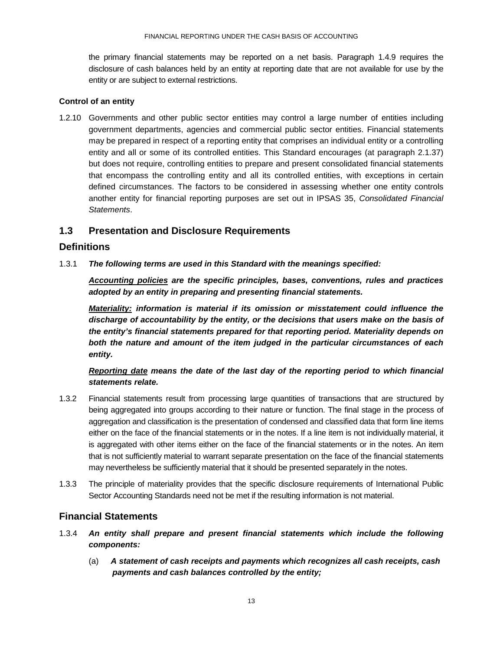the primary financial statements may be reported on a net basis. Paragraph 1.4.9 requires the disclosure of cash balances held by an entity at reporting date that are not available for use by the entity or are subject to external restrictions.

#### **Control of an entity**

1.2.10 Governments and other public sector entities may control a large number of entities including government departments, agencies and commercial public sector entities. Financial statements may be prepared in respect of a reporting entity that comprises an individual entity or a controlling entity and all or some of its controlled entities. This Standard encourages (at paragraph 2.1.37) but does not require, controlling entities to prepare and present consolidated financial statements that encompass the controlling entity and all its controlled entities, with exceptions in certain defined circumstances. The factors to be considered in assessing whether one entity controls another entity for financial reporting purposes are set out in IPSAS 35, *Consolidated Financial Statements*.

## **1.3 Presentation and Disclosure Requirements**

## **Definitions**

1.3.1 *The following terms are used in this Standard with the meanings specified:*

*Accounting policies are the specific principles, bases, conventions, rules and practices adopted by an entity in preparing and presenting financial statements.*

*Materiality: information is material if its omission or misstatement could influence the discharge of accountability by the entity, or the decisions that users make on the basis of the entity's financial statements prepared for that reporting period. Materiality depends on both the nature and amount of the item judged in the particular circumstances of each entity.*

*Reporting date means the date of the last day of the reporting period to which financial statements relate.*

- 1.3.2 Financial statements result from processing large quantities of transactions that are structured by being aggregated into groups according to their nature or function. The final stage in the process of aggregation and classification is the presentation of condensed and classified data that form line items either on the face of the financial statements or in the notes. If a line item is not individually material, it is aggregated with other items either on the face of the financial statements or in the notes. An item that is not sufficiently material to warrant separate presentation on the face of the financial statements may nevertheless be sufficiently material that it should be presented separately in the notes.
- 1.3.3 The principle of materiality provides that the specific disclosure requirements of International Public Sector Accounting Standards need not be met if the resulting information is not material.

#### **Financial Statements**

- 1.3.4 *An entity shall prepare and present financial statements which include the following components:*
	- (a) *A statement of cash receipts and payments which recognizes all cash receipts, cash payments and cash balances controlled by the entity;*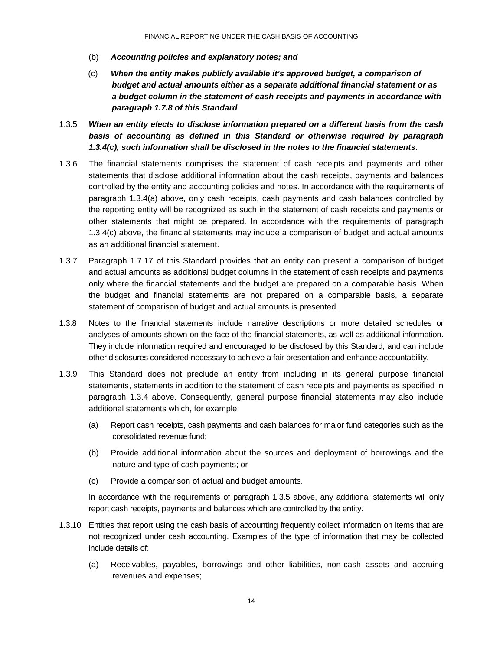- (b) *Accounting policies and explanatory notes; and*
- (c) *When the entity makes publicly available it's approved budget, a comparison of budget and actual amounts either as a separate additional financial statement or as a budget column in the statement of cash receipts and payments in accordance with paragraph 1.7.8 of this Standard.*
- 1.3.5 *When an entity elects to disclose information prepared on a different basis from the cash basis of accounting as defined in this Standard or otherwise required by paragraph 1.3.4(c), such information shall be disclosed in the notes to the financial statements*.
- 1.3.6 The financial statements comprises the statement of cash receipts and payments and other statements that disclose additional information about the cash receipts, payments and balances controlled by the entity and accounting policies and notes. In accordance with the requirements of paragraph 1.3.4(a) above, only cash receipts, cash payments and cash balances controlled by the reporting entity will be recognized as such in the statement of cash receipts and payments or other statements that might be prepared. In accordance with the requirements of paragraph 1.3.4(c) above, the financial statements may include a comparison of budget and actual amounts as an additional financial statement.
- 1.3.7 Paragraph 1.7.17 of this Standard provides that an entity can present a comparison of budget and actual amounts as additional budget columns in the statement of cash receipts and payments only where the financial statements and the budget are prepared on a comparable basis. When the budget and financial statements are not prepared on a comparable basis, a separate statement of comparison of budget and actual amounts is presented.
- 1.3.8 Notes to the financial statements include narrative descriptions or more detailed schedules or analyses of amounts shown on the face of the financial statements, as well as additional information. They include information required and encouraged to be disclosed by this Standard, and can include other disclosures considered necessary to achieve a fair presentation and enhance accountability.
- 1.3.9 This Standard does not preclude an entity from including in its general purpose financial statements, statements in addition to the statement of cash receipts and payments as specified in paragraph 1.3.4 above. Consequently, general purpose financial statements may also include additional statements which, for example:
	- (a) Report cash receipts, cash payments and cash balances for major fund categories such as the consolidated revenue fund;
	- (b) Provide additional information about the sources and deployment of borrowings and the nature and type of cash payments; or
	- (c) Provide a comparison of actual and budget amounts.

In accordance with the requirements of paragraph 1.3.5 above, any additional statements will only report cash receipts, payments and balances which are controlled by the entity.

- 1.3.10 Entities that report using the cash basis of accounting frequently collect information on items that are not recognized under cash accounting. Examples of the type of information that may be collected include details of:
	- (a) Receivables, payables, borrowings and other liabilities, non-cash assets and accruing revenues and expenses;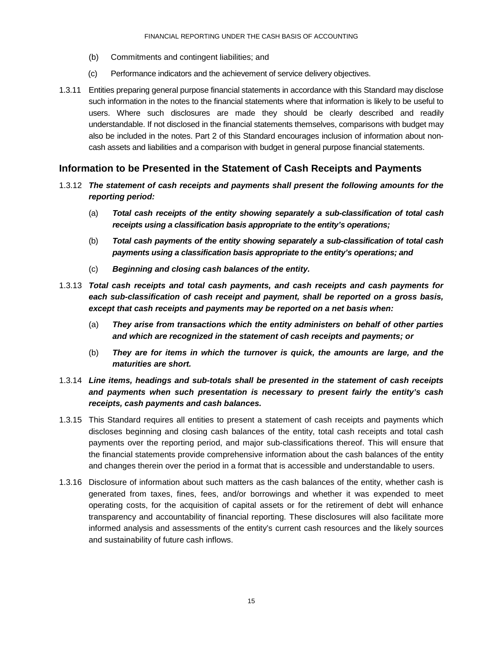- (b) Commitments and contingent liabilities; and
- (c) Performance indicators and the achievement of service delivery objectives.
- 1.3.11 Entities preparing general purpose financial statements in accordance with this Standard may disclose such information in the notes to the financial statements where that information is likely to be useful to users. Where such disclosures are made they should be clearly described and readily understandable. If not disclosed in the financial statements themselves, comparisons with budget may also be included in the notes. Part 2 of this Standard encourages inclusion of information about noncash assets and liabilities and a comparison with budget in general purpose financial statements.

# **Information to be Presented in the Statement of Cash Receipts and Payments**

- 1.3.12 *The statement of cash receipts and payments shall present the following amounts for the reporting period:*
	- (a) *Total cash receipts of the entity showing separately a sub-classification of total cash receipts using a classification basis appropriate to the entity's operations;*
	- (b) *Total cash payments of the entity showing separately a sub-classification of total cash payments using a classification basis appropriate to the entity's operations; and*
	- (c) *Beginning and closing cash balances of the entity.*
- 1.3.13 *Total cash receipts and total cash payments, and cash receipts and cash payments for each sub-classification of cash receipt and payment, shall be reported on a gross basis, except that cash receipts and payments may be reported on a net basis when:*
	- (a) *They arise from transactions which the entity administers on behalf of other parties and which are recognized in the statement of cash receipts and payments; or*
	- (b) *They are for items in which the turnover is quick, the amounts are large, and the maturities are short.*

# 1.3.14 *Line items, headings and sub-totals shall be presented in the statement of cash receipts and payments when such presentation is necessary to present fairly the entity's cash receipts, cash payments and cash balances.*

- 1.3.15 This Standard requires all entities to present a statement of cash receipts and payments which discloses beginning and closing cash balances of the entity, total cash receipts and total cash payments over the reporting period, and major sub-classifications thereof. This will ensure that the financial statements provide comprehensive information about the cash balances of the entity and changes therein over the period in a format that is accessible and understandable to users.
- 1.3.16 Disclosure of information about such matters as the cash balances of the entity, whether cash is generated from taxes, fines, fees, and/or borrowings and whether it was expended to meet operating costs, for the acquisition of capital assets or for the retirement of debt will enhance transparency and accountability of financial reporting. These disclosures will also facilitate more informed analysis and assessments of the entity's current cash resources and the likely sources and sustainability of future cash inflows.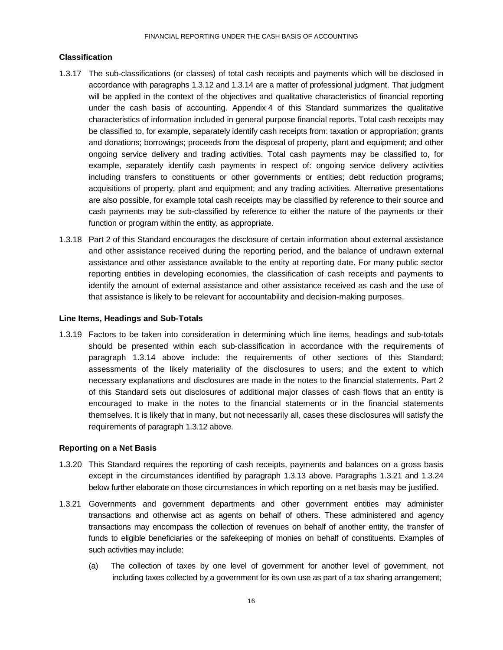#### **Classification**

- 1.3.17 The sub-classifications (or classes) of total cash receipts and payments which will be disclosed in accordance with paragraphs 1.3.12 and 1.3.14 are a matter of professional judgment. That judgment will be applied in the context of the objectives and qualitative characteristics of financial reporting under the cash basis of accounting. Appendix 4 of this Standard summarizes the qualitative characteristics of information included in general purpose financial reports. Total cash receipts may be classified to, for example, separately identify cash receipts from: taxation or appropriation; grants and donations; borrowings; proceeds from the disposal of property, plant and equipment; and other ongoing service delivery and trading activities. Total cash payments may be classified to, for example, separately identify cash payments in respect of: ongoing service delivery activities including transfers to constituents or other governments or entities; debt reduction programs; acquisitions of property, plant and equipment; and any trading activities. Alternative presentations are also possible, for example total cash receipts may be classified by reference to their source and cash payments may be sub-classified by reference to either the nature of the payments or their function or program within the entity, as appropriate.
- 1.3.18 Part 2 of this Standard encourages the disclosure of certain information about external assistance and other assistance received during the reporting period, and the balance of undrawn external assistance and other assistance available to the entity at reporting date. For many public sector reporting entities in developing economies, the classification of cash receipts and payments to identify the amount of external assistance and other assistance received as cash and the use of that assistance is likely to be relevant for accountability and decision-making purposes.

#### **Line Items, Headings and Sub-Totals**

1.3.19 Factors to be taken into consideration in determining which line items, headings and sub-totals should be presented within each sub-classification in accordance with the requirements of paragraph 1.3.14 above include: the requirements of other sections of this Standard; assessments of the likely materiality of the disclosures to users; and the extent to which necessary explanations and disclosures are made in the notes to the financial statements. Part 2 of this Standard sets out disclosures of additional major classes of cash flows that an entity is encouraged to make in the notes to the financial statements or in the financial statements themselves. It is likely that in many, but not necessarily all, cases these disclosures will satisfy the requirements of paragraph 1.3.12 above.

#### **Reporting on a Net Basis**

- 1.3.20 This Standard requires the reporting of cash receipts, payments and balances on a gross basis except in the circumstances identified by paragraph 1.3.13 above. Paragraphs 1.3.21 and 1.3.24 below further elaborate on those circumstances in which reporting on a net basis may be justified.
- 1.3.21 Governments and government departments and other government entities may administer transactions and otherwise act as agents on behalf of others. These administered and agency transactions may encompass the collection of revenues on behalf of another entity, the transfer of funds to eligible beneficiaries or the safekeeping of monies on behalf of constituents. Examples of such activities may include:
	- (a) The collection of taxes by one level of government for another level of government, not including taxes collected by a government for its own use as part of a tax sharing arrangement;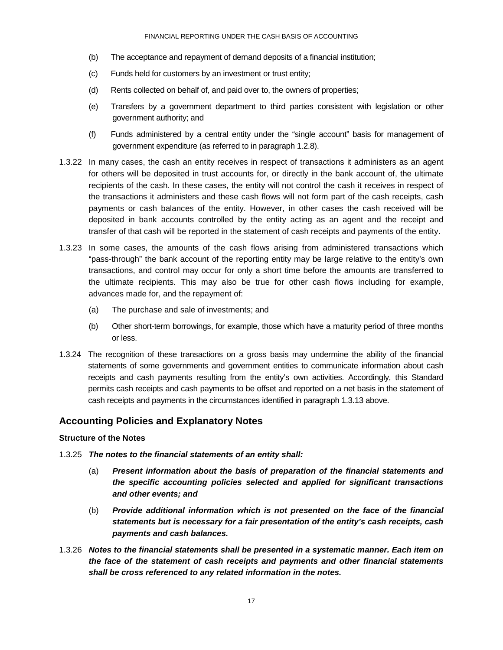- (b) The acceptance and repayment of demand deposits of a financial institution;
- (c) Funds held for customers by an investment or trust entity;
- (d) Rents collected on behalf of, and paid over to, the owners of properties;
- (e) Transfers by a government department to third parties consistent with legislation or other government authority; and
- (f) Funds administered by a central entity under the "single account" basis for management of government expenditure (as referred to in paragraph 1.2.8).
- 1.3.22 In many cases, the cash an entity receives in respect of transactions it administers as an agent for others will be deposited in trust accounts for, or directly in the bank account of, the ultimate recipients of the cash. In these cases, the entity will not control the cash it receives in respect of the transactions it administers and these cash flows will not form part of the cash receipts, cash payments or cash balances of the entity. However, in other cases the cash received will be deposited in bank accounts controlled by the entity acting as an agent and the receipt and transfer of that cash will be reported in the statement of cash receipts and payments of the entity.
- 1.3.23 In some cases, the amounts of the cash flows arising from administered transactions which "pass-through" the bank account of the reporting entity may be large relative to the entity's own transactions, and control may occur for only a short time before the amounts are transferred to the ultimate recipients. This may also be true for other cash flows including for example, advances made for, and the repayment of:
	- (a) The purchase and sale of investments; and
	- (b) Other short-term borrowings, for example, those which have a maturity period of three months or less.
- 1.3.24 The recognition of these transactions on a gross basis may undermine the ability of the financial statements of some governments and government entities to communicate information about cash receipts and cash payments resulting from the entity's own activities. Accordingly, this Standard permits cash receipts and cash payments to be offset and reported on a net basis in the statement of cash receipts and payments in the circumstances identified in paragraph 1.3.13 above.

#### **Accounting Policies and Explanatory Notes**

#### **Structure of the Notes**

- 1.3.25 *The notes to the financial statements of an entity shall:* 
	- (a) *Present information about the basis of preparation of the financial statements and the specific accounting policies selected and applied for significant transactions and other events; and*
	- (b) *Provide additional information which is not presented on the face of the financial statements but is necessary for a fair presentation of the entity's cash receipts, cash payments and cash balances.*
- 1.3.26 *Notes to the financial statements shall be presented in a systematic manner. Each item on the face of the statement of cash receipts and payments and other financial statements shall be cross referenced to any related information in the notes.*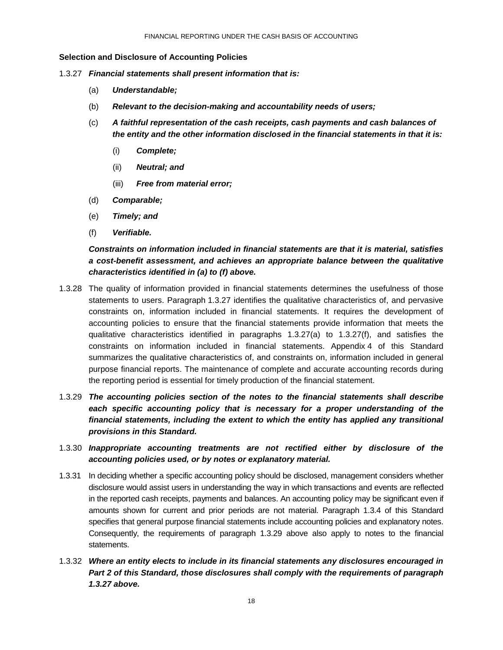#### **Selection and Disclosure of Accounting Policies**

- 1.3.27 *Financial statements shall present information that is:*
	- (a) *Understandable;*
	- (b) *Relevant to the decision-making and accountability needs of users;*
	- (c) *A faithful representation of the cash receipts, cash payments and cash balances of the entity and the other information disclosed in the financial statements in that it is:*
		- (i) *Complete;*
		- (ii) *Neutral; and*
		- (iii) *Free from material error;*
	- (d) *Comparable;*
	- (e) *Timely; and*
	- (f) *Verifiable.*

## *Constraints on information included in financial statements are that it is material, satisfies a cost-benefit assessment, and achieves an appropriate balance between the qualitative characteristics identified in (a) to (f) above.*

- 1.3.28 The quality of information provided in financial statements determines the usefulness of those statements to users. Paragraph 1.3.27 identifies the qualitative characteristics of, and pervasive constraints on, information included in financial statements. It requires the development of accounting policies to ensure that the financial statements provide information that meets the qualitative characteristics identified in paragraphs  $1.3.27(a)$  to  $1.3.27(f)$ , and satisfies the constraints on information included in financial statements. Appendix 4 of this Standard summarizes the qualitative characteristics of, and constraints on, information included in general purpose financial reports. The maintenance of complete and accurate accounting records during the reporting period is essential for timely production of the financial statement.
- 1.3.29 *The accounting policies section of the notes to the financial statements shall describe*  each specific accounting policy that is necessary for a proper understanding of the *financial statements, including the extent to which the entity has applied any transitional provisions in this Standard.*
- 1.3.30 *Inappropriate accounting treatments are not rectified either by disclosure of the accounting policies used, or by notes or explanatory material.*
- 1.3.31 In deciding whether a specific accounting policy should be disclosed, management considers whether disclosure would assist users in understanding the way in which transactions and events are reflected in the reported cash receipts, payments and balances. An accounting policy may be significant even if amounts shown for current and prior periods are not material. Paragraph 1.3.4 of this Standard specifies that general purpose financial statements include accounting policies and explanatory notes. Consequently, the requirements of paragraph 1.3.29 above also apply to notes to the financial statements.
- 1.3.32 *Where an entity elects to include in its financial statements any disclosures encouraged in Part 2 of this Standard, those disclosures shall comply with the requirements of paragraph 1.3.27 above.*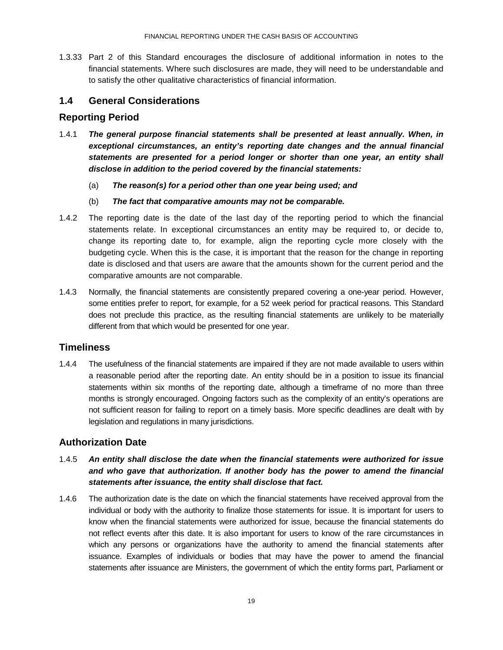1.3.33 Part 2 of this Standard encourages the disclosure of additional information in notes to the financial statements. Where such disclosures are made, they will need to be understandable and to satisfy the other qualitative characteristics of financial information.

# **1.4 General Considerations**

# **Reporting Period**

- 1.4.1 *The general purpose financial statements shall be presented at least annually. When, in exceptional circumstances, an entity's reporting date changes and the annual financial statements are presented for a period longer or shorter than one year, an entity shall disclose in addition to the period covered by the financial statements:*
	- (a) *The reason(s) for a period other than one year being used; and*
	- (b) *The fact that comparative amounts may not be comparable.*
- 1.4.2 The reporting date is the date of the last day of the reporting period to which the financial statements relate. In exceptional circumstances an entity may be required to, or decide to, change its reporting date to, for example, align the reporting cycle more closely with the budgeting cycle. When this is the case, it is important that the reason for the change in reporting date is disclosed and that users are aware that the amounts shown for the current period and the comparative amounts are not comparable.
- 1.4.3 Normally, the financial statements are consistently prepared covering a one-year period. However, some entities prefer to report, for example, for a 52 week period for practical reasons. This Standard does not preclude this practice, as the resulting financial statements are unlikely to be materially different from that which would be presented for one year.

# **Timeliness**

1.4.4 The usefulness of the financial statements are impaired if they are not made available to users within a reasonable period after the reporting date. An entity should be in a position to issue its financial statements within six months of the reporting date, although a timeframe of no more than three months is strongly encouraged. Ongoing factors such as the complexity of an entity's operations are not sufficient reason for failing to report on a timely basis. More specific deadlines are dealt with by legislation and regulations in many jurisdictions.

# **Authorization Date**

- 1.4.5 *An entity shall disclose the date when the financial statements were authorized for issue and who gave that authorization. If another body has the power to amend the financial statements after issuance, the entity shall disclose that fact.*
- 1.4.6 The authorization date is the date on which the financial statements have received approval from the individual or body with the authority to finalize those statements for issue. It is important for users to know when the financial statements were authorized for issue, because the financial statements do not reflect events after this date. It is also important for users to know of the rare circumstances in which any persons or organizations have the authority to amend the financial statements after issuance. Examples of individuals or bodies that may have the power to amend the financial statements after issuance are Ministers, the government of which the entity forms part, Parliament or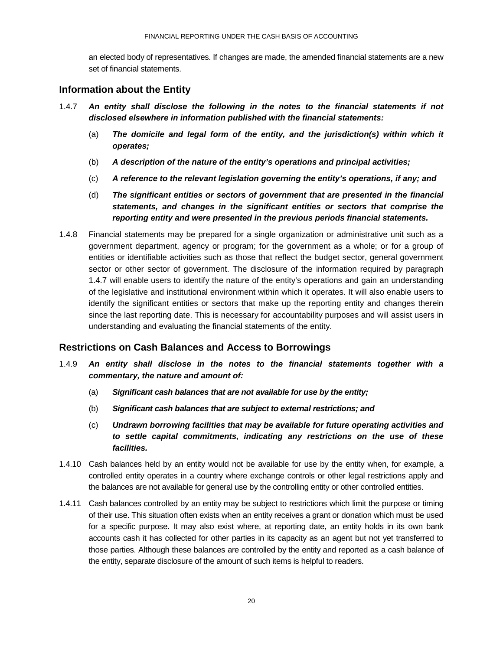an elected body of representatives. If changes are made, the amended financial statements are a new set of financial statements.

# **Information about the Entity**

- 1.4.7 *An entity shall disclose the following in the notes to the financial statements if not disclosed elsewhere in information published with the financial statements:*
	- (a) *The domicile and legal form of the entity, and the jurisdiction(s) within which it operates;*
	- (b) *A description of the nature of the entity's operations and principal activities;*
	- (c) *A reference to the relevant legislation governing the entity's operations, if any; and*
	- (d) *The significant entities or sectors of government that are presented in the financial statements, and changes in the significant entities or sectors that comprise the reporting entity and were presented in the previous periods financial statements.*
- 1.4.8 Financial statements may be prepared for a single organization or administrative unit such as a government department, agency or program; for the government as a whole; or for a group of entities or identifiable activities such as those that reflect the budget sector, general government sector or other sector of government. The disclosure of the information required by paragraph 1.4.7 will enable users to identify the nature of the entity's operations and gain an understanding of the legislative and institutional environment within which it operates. It will also enable users to identify the significant entities or sectors that make up the reporting entity and changes therein since the last reporting date. This is necessary for accountability purposes and will assist users in understanding and evaluating the financial statements of the entity.

# **Restrictions on Cash Balances and Access to Borrowings**

- 1.4.9 *An entity shall disclose in the notes to the financial statements together with a commentary, the nature and amount of:*
	- (a) *Significant cash balances that are not available for use by the entity;*
	- (b) *Significant cash balances that are subject to external restrictions; and*
	- (c) *Undrawn borrowing facilities that may be available for future operating activities and to settle capital commitments, indicating any restrictions on the use of these facilities.*
- 1.4.10 Cash balances held by an entity would not be available for use by the entity when, for example, a controlled entity operates in a country where exchange controls or other legal restrictions apply and the balances are not available for general use by the controlling entity or other controlled entities.
- 1.4.11 Cash balances controlled by an entity may be subject to restrictions which limit the purpose or timing of their use. This situation often exists when an entity receives a grant or donation which must be used for a specific purpose. It may also exist where, at reporting date, an entity holds in its own bank accounts cash it has collected for other parties in its capacity as an agent but not yet transferred to those parties. Although these balances are controlled by the entity and reported as a cash balance of the entity, separate disclosure of the amount of such items is helpful to readers.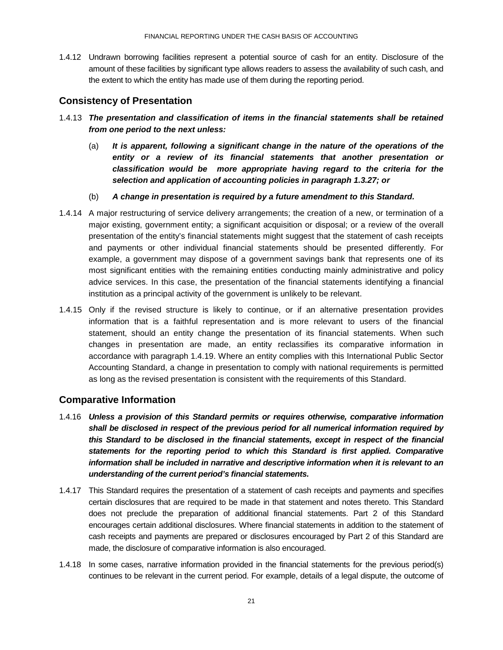1.4.12 Undrawn borrowing facilities represent a potential source of cash for an entity. Disclosure of the amount of these facilities by significant type allows readers to assess the availability of such cash, and the extent to which the entity has made use of them during the reporting period.

# **Consistency of Presentation**

- 1.4.13 *The presentation and classification of items in the financial statements shall be retained from one period to the next unless:*
	- (a) *It is apparent, following a significant change in the nature of the operations of the entity or a review of its financial statements that another presentation or classification would be more appropriate having regard to the criteria for the selection and application of accounting policies in paragraph 1.3.27; or*
	- (b) *A change in presentation is required by a future amendment to this Standard.*
- 1.4.14 A major restructuring of service delivery arrangements; the creation of a new, or termination of a major existing, government entity; a significant acquisition or disposal; or a review of the overall presentation of the entity's financial statements might suggest that the statement of cash receipts and payments or other individual financial statements should be presented differently. For example, a government may dispose of a government savings bank that represents one of its most significant entities with the remaining entities conducting mainly administrative and policy advice services. In this case, the presentation of the financial statements identifying a financial institution as a principal activity of the government is unlikely to be relevant.
- 1.4.15 Only if the revised structure is likely to continue, or if an alternative presentation provides information that is a faithful representation and is more relevant to users of the financial statement, should an entity change the presentation of its financial statements. When such changes in presentation are made, an entity reclassifies its comparative information in accordance with paragraph 1.4.19. Where an entity complies with this International Public Sector Accounting Standard, a change in presentation to comply with national requirements is permitted as long as the revised presentation is consistent with the requirements of this Standard.

# **Comparative Information**

- 1.4.16 *Unless a provision of this Standard permits or requires otherwise, comparative information shall be disclosed in respect of the previous period for all numerical information required by this Standard to be disclosed in the financial statements, except in respect of the financial statements for the reporting period to which this Standard is first applied. Comparative information shall be included in narrative and descriptive information when it is relevant to an understanding of the current period's financial statements.*
- 1.4.17 This Standard requires the presentation of a statement of cash receipts and payments and specifies certain disclosures that are required to be made in that statement and notes thereto. This Standard does not preclude the preparation of additional financial statements. Part 2 of this Standard encourages certain additional disclosures. Where financial statements in addition to the statement of cash receipts and payments are prepared or disclosures encouraged by Part 2 of this Standard are made, the disclosure of comparative information is also encouraged.
- 1.4.18 In some cases, narrative information provided in the financial statements for the previous period(s) continues to be relevant in the current period. For example, details of a legal dispute, the outcome of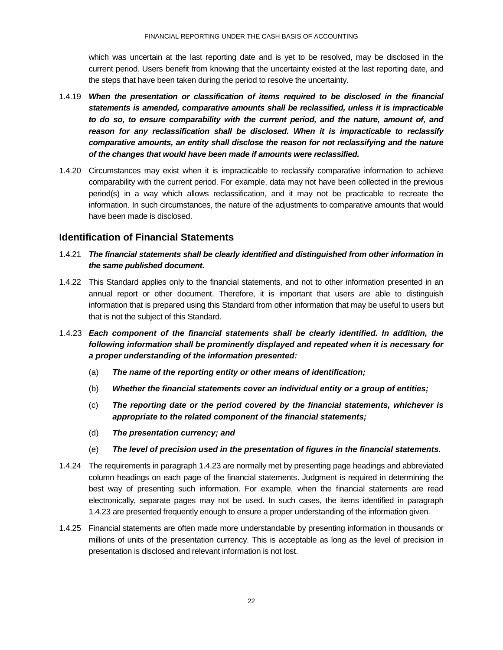which was uncertain at the last reporting date and is yet to be resolved, may be disclosed in the current period. Users benefit from knowing that the uncertainty existed at the last reporting date, and the steps that have been taken during the period to resolve the uncertainty.

- 1.4.19 *When the presentation or classification of items required to be disclosed in the financial statements is amended, comparative amounts shall be reclassified, unless it is impracticable to do so, to ensure comparability with the current period, and the nature, amount of, and reason for any reclassification shall be disclosed. When it is impracticable to reclassify comparative amounts, an entity shall disclose the reason for not reclassifying and the nature of the changes that would have been made if amounts were reclassified.*
- 1.4.20 Circumstances may exist when it is impracticable to reclassify comparative information to achieve comparability with the current period. For example, data may not have been collected in the previous period(s) in a way which allows reclassification, and it may not be practicable to recreate the information. In such circumstances, the nature of the adjustments to comparative amounts that would have been made is disclosed.

# **Identification of Financial Statements**

- 1.4.21 *The financial statements shall be clearly identified and distinguished from other information in the same published document.*
- 1.4.22 This Standard applies only to the financial statements, and not to other information presented in an annual report or other document. Therefore, it is important that users are able to distinguish information that is prepared using this Standard from other information that may be useful to users but that is not the subject of this Standard.
- 1.4.23 *Each component of the financial statements shall be clearly identified. In addition, the following information shall be prominently displayed and repeated when it is necessary for a proper understanding of the information presented:*
	- (a) *The name of the reporting entity or other means of identification;*
	- (b) *Whether the financial statements cover an individual entity or a group of entities;*
	- (c) *The reporting date or the period covered by the financial statements, whichever is appropriate to the related component of the financial statements;*
	- (d) *The presentation currency; and*
	- (e) *The level of precision used in the presentation of figures in the financial statements.*
- 1.4.24 The requirements in paragraph 1.4.23 are normally met by presenting page headings and abbreviated column headings on each page of the financial statements. Judgment is required in determining the best way of presenting such information. For example, when the financial statements are read electronically, separate pages may not be used. In such cases, the items identified in paragraph 1.4.23 are presented frequently enough to ensure a proper understanding of the information given.
- 1.4.25 Financial statements are often made more understandable by presenting information in thousands or millions of units of the presentation currency. This is acceptable as long as the level of precision in presentation is disclosed and relevant information is not lost.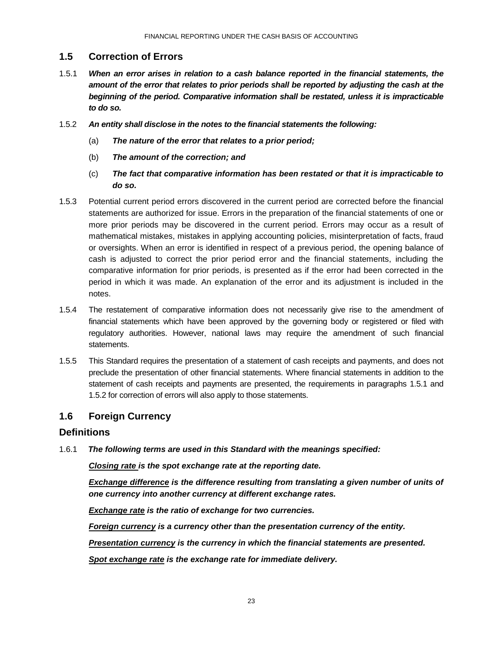## **1.5 Correction of Errors**

- 1.5.1 *When an error arises in relation to a cash balance reported in the financial statements, the amount of the error that relates to prior periods shall be reported by adjusting the cash at the beginning of the period. Comparative information shall be restated, unless it is impracticable to do so.*
- 1.5.2 *An entity shall disclose in the notes to the financial statements the following:*
	- (a) *The nature of the error that relates to a prior period;*
	- (b) *The amount of the correction; and*
	- (c) *The fact that comparative information has been restated or that it is impracticable to do so.*
- 1.5.3 Potential current period errors discovered in the current period are corrected before the financial statements are authorized for issue. Errors in the preparation of the financial statements of one or more prior periods may be discovered in the current period. Errors may occur as a result of mathematical mistakes, mistakes in applying accounting policies, misinterpretation of facts, fraud or oversights. When an error is identified in respect of a previous period, the opening balance of cash is adjusted to correct the prior period error and the financial statements, including the comparative information for prior periods, is presented as if the error had been corrected in the period in which it was made. An explanation of the error and its adjustment is included in the notes.
- 1.5.4 The restatement of comparative information does not necessarily give rise to the amendment of financial statements which have been approved by the governing body or registered or filed with regulatory authorities. However, national laws may require the amendment of such financial statements.
- 1.5.5 This Standard requires the presentation of a statement of cash receipts and payments, and does not preclude the presentation of other financial statements. Where financial statements in addition to the statement of cash receipts and payments are presented, the requirements in paragraphs 1.5.1 and 1.5.2 for correction of errors will also apply to those statements.

# **1.6 Foreign Currency**

#### **Definitions**

1.6.1 *The following terms are used in this Standard with the meanings specified:*

*Closing rate is the spot exchange rate at the reporting date.*

*Exchange difference is the difference resulting from translating a given number of units of one currency into another currency at different exchange rates.*

*Exchange rate is the ratio of exchange for two currencies.*

*Foreign currency is a currency other than the presentation currency of the entity.* 

*Presentation currency is the currency in which the financial statements are presented.*

*Spot exchange rate is the exchange rate for immediate delivery.*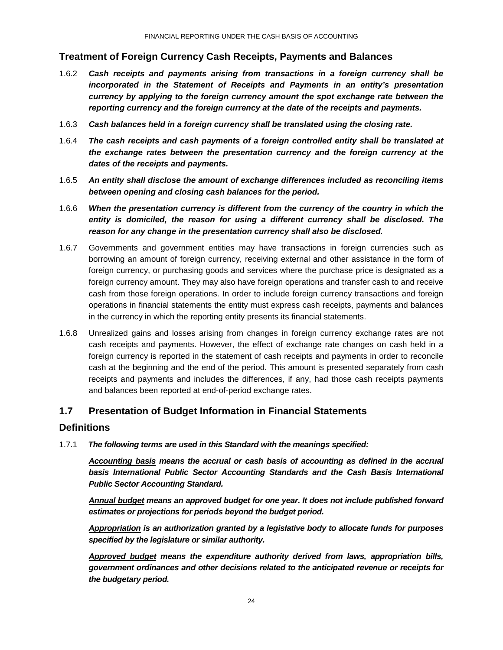# **Treatment of Foreign Currency Cash Receipts, Payments and Balances**

- 1.6.2 *Cash receipts and payments arising from transactions in a foreign currency shall be incorporated in the Statement of Receipts and Payments in an entity's presentation currency by applying to the foreign currency amount the spot exchange rate between the reporting currency and the foreign currency at the date of the receipts and payments.*
- 1.6.3 *Cash balances held in a foreign currency shall be translated using the closing rate.*
- 1.6.4 *The cash receipts and cash payments of a foreign controlled entity shall be translated at the exchange rates between the presentation currency and the foreign currency at the dates of the receipts and payments.*
- 1.6.5 *An entity shall disclose the amount of exchange differences included as reconciling items between opening and closing cash balances for the period.*
- 1.6.6 *When the presentation currency is different from the currency of the country in which the*  entity is domiciled, the reason for using a different currency shall be disclosed. The *reason for any change in the presentation currency shall also be disclosed.*
- 1.6.7 Governments and government entities may have transactions in foreign currencies such as borrowing an amount of foreign currency, receiving external and other assistance in the form of foreign currency, or purchasing goods and services where the purchase price is designated as a foreign currency amount. They may also have foreign operations and transfer cash to and receive cash from those foreign operations. In order to include foreign currency transactions and foreign operations in financial statements the entity must express cash receipts, payments and balances in the currency in which the reporting entity presents its financial statements.
- 1.6.8 Unrealized gains and losses arising from changes in foreign currency exchange rates are not cash receipts and payments. However, the effect of exchange rate changes on cash held in a foreign currency is reported in the statement of cash receipts and payments in order to reconcile cash at the beginning and the end of the period. This amount is presented separately from cash receipts and payments and includes the differences, if any, had those cash receipts payments and balances been reported at end-of-period exchange rates.

# **1.7 Presentation of Budget Information in Financial Statements**

# **Definitions**

1.7.1 *The following terms are used in this Standard with the meanings specified:*

*Accounting basis means the accrual or cash basis of accounting as defined in the accrual basis International Public Sector Accounting Standards and the Cash Basis International Public Sector Accounting Standard.*

*Annual budget means an approved budget for one year. It does not include published forward estimates or projections for periods beyond the budget period.*

*Appropriation is an authorization granted by a legislative body to allocate funds for purposes specified by the legislature or similar authority.*

*Approved budget means the expenditure authority derived from laws, appropriation bills, government ordinances and other decisions related to the anticipated revenue or receipts for the budgetary period.*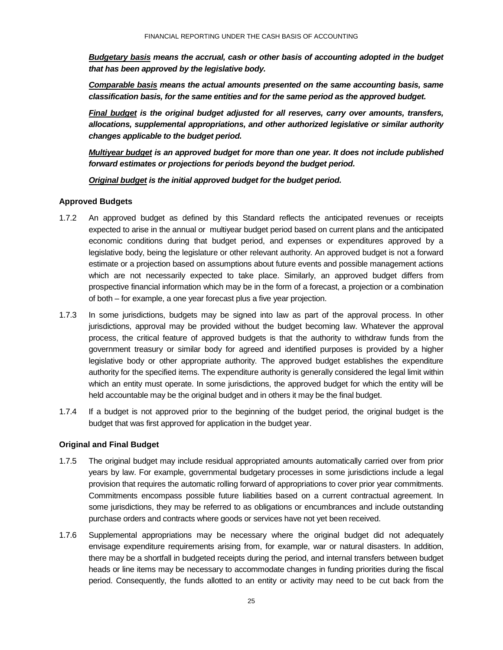*Budgetary basis means the accrual, cash or other basis of accounting adopted in the budget that has been approved by the legislative body.*

*Comparable basis means the actual amounts presented on the same accounting basis, same classification basis, for the same entities and for the same period as the approved budget.* 

*Final budget is the original budget adjusted for all reserves, carry over amounts, transfers, allocations, supplemental appropriations, and other authorized legislative or similar authority changes applicable to the budget period.*

*Multiyear budget is an approved budget for more than one year. It does not include published forward estimates or projections for periods beyond the budget period.*

*Original budget is the initial approved budget for the budget period.*

#### **Approved Budgets**

- 1.7.2 An approved budget as defined by this Standard reflects the anticipated revenues or receipts expected to arise in the annual or multiyear budget period based on current plans and the anticipated economic conditions during that budget period, and expenses or expenditures approved by a legislative body, being the legislature or other relevant authority. An approved budget is not a forward estimate or a projection based on assumptions about future events and possible management actions which are not necessarily expected to take place. Similarly, an approved budget differs from prospective financial information which may be in the form of a forecast, a projection or a combination of both – for example, a one year forecast plus a five year projection.
- 1.7.3 In some jurisdictions, budgets may be signed into law as part of the approval process. In other jurisdictions, approval may be provided without the budget becoming law. Whatever the approval process, the critical feature of approved budgets is that the authority to withdraw funds from the government treasury or similar body for agreed and identified purposes is provided by a higher legislative body or other appropriate authority. The approved budget establishes the expenditure authority for the specified items. The expenditure authority is generally considered the legal limit within which an entity must operate. In some jurisdictions, the approved budget for which the entity will be held accountable may be the original budget and in others it may be the final budget.
- 1.7.4 If a budget is not approved prior to the beginning of the budget period, the original budget is the budget that was first approved for application in the budget year.

#### **Original and Final Budget**

- 1.7.5 The original budget may include residual appropriated amounts automatically carried over from prior years by law. For example, governmental budgetary processes in some jurisdictions include a legal provision that requires the automatic rolling forward of appropriations to cover prior year commitments. Commitments encompass possible future liabilities based on a current contractual agreement. In some jurisdictions, they may be referred to as obligations or encumbrances and include outstanding purchase orders and contracts where goods or services have not yet been received.
- 1.7.6 Supplemental appropriations may be necessary where the original budget did not adequately envisage expenditure requirements arising from, for example, war or natural disasters. In addition, there may be a shortfall in budgeted receipts during the period, and internal transfers between budget heads or line items may be necessary to accommodate changes in funding priorities during the fiscal period. Consequently, the funds allotted to an entity or activity may need to be cut back from the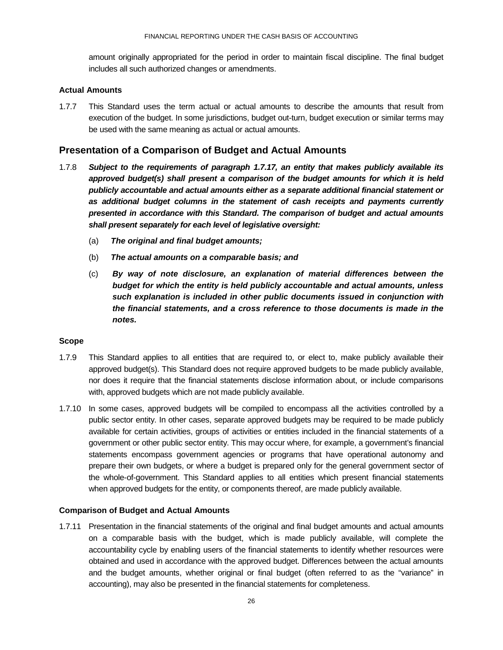amount originally appropriated for the period in order to maintain fiscal discipline. The final budget includes all such authorized changes or amendments.

#### **Actual Amounts**

1.7.7 This Standard uses the term actual or actual amounts to describe the amounts that result from execution of the budget. In some jurisdictions, budget out-turn, budget execution or similar terms may be used with the same meaning as actual or actual amounts.

#### **Presentation of a Comparison of Budget and Actual Amounts**

- 1.7.8 *Subject to the requirements of paragraph 1.7.17, an entity that makes publicly available its approved budget(s) shall present a comparison of the budget amounts for which it is held publicly accountable and actual amounts either as a separate additional financial statement or as additional budget columns in the statement of cash receipts and payments currently presented in accordance with this Standard. The comparison of budget and actual amounts shall present separately for each level of legislative oversight:*
	- (a) *The original and final budget amounts;*
	- (b) *The actual amounts on a comparable basis; and*
	- (c) *By way of note disclosure, an explanation of material differences between the budget for which the entity is held publicly accountable and actual amounts, unless such explanation is included in other public documents issued in conjunction with the financial statements, and a cross reference to those documents is made in the notes.*

#### **Scope**

- 1.7.9 This Standard applies to all entities that are required to, or elect to, make publicly available their approved budget(s). This Standard does not require approved budgets to be made publicly available, nor does it require that the financial statements disclose information about, or include comparisons with, approved budgets which are not made publicly available.
- 1.7.10 In some cases, approved budgets will be compiled to encompass all the activities controlled by a public sector entity. In other cases, separate approved budgets may be required to be made publicly available for certain activities, groups of activities or entities included in the financial statements of a government or other public sector entity. This may occur where, for example, a government's financial statements encompass government agencies or programs that have operational autonomy and prepare their own budgets, or where a budget is prepared only for the general government sector of the whole-of-government. This Standard applies to all entities which present financial statements when approved budgets for the entity, or components thereof, are made publicly available.

#### **Comparison of Budget and Actual Amounts**

1.7.11 Presentation in the financial statements of the original and final budget amounts and actual amounts on a comparable basis with the budget, which is made publicly available, will complete the accountability cycle by enabling users of the financial statements to identify whether resources were obtained and used in accordance with the approved budget. Differences between the actual amounts and the budget amounts, whether original or final budget (often referred to as the "variance" in accounting), may also be presented in the financial statements for completeness.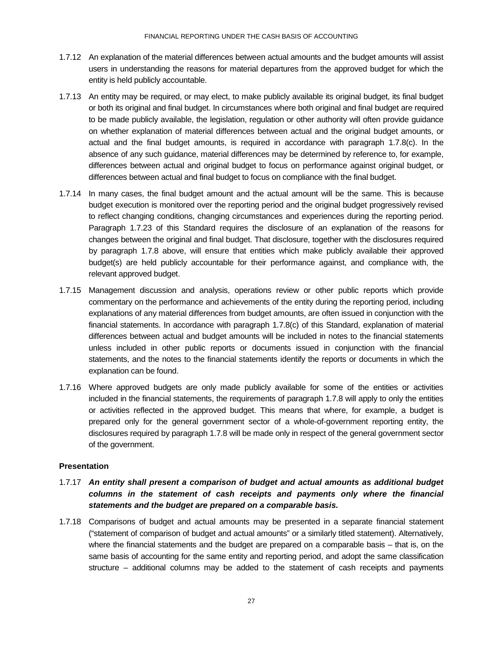- 1.7.12 An explanation of the material differences between actual amounts and the budget amounts will assist users in understanding the reasons for material departures from the approved budget for which the entity is held publicly accountable.
- 1.7.13 An entity may be required, or may elect, to make publicly available its original budget, its final budget or both its original and final budget. In circumstances where both original and final budget are required to be made publicly available, the legislation, regulation or other authority will often provide guidance on whether explanation of material differences between actual and the original budget amounts, or actual and the final budget amounts, is required in accordance with paragraph 1.7.8(c). In the absence of any such guidance, material differences may be determined by reference to, for example, differences between actual and original budget to focus on performance against original budget, or differences between actual and final budget to focus on compliance with the final budget.
- 1.7.14 In many cases, the final budget amount and the actual amount will be the same. This is because budget execution is monitored over the reporting period and the original budget progressively revised to reflect changing conditions, changing circumstances and experiences during the reporting period. Paragraph 1.7.23 of this Standard requires the disclosure of an explanation of the reasons for changes between the original and final budget. That disclosure, together with the disclosures required by paragraph 1.7.8 above, will ensure that entities which make publicly available their approved budget(s) are held publicly accountable for their performance against, and compliance with, the relevant approved budget.
- 1.7.15 Management discussion and analysis, operations review or other public reports which provide commentary on the performance and achievements of the entity during the reporting period, including explanations of any material differences from budget amounts, are often issued in conjunction with the financial statements. In accordance with paragraph 1.7.8(c) of this Standard, explanation of material differences between actual and budget amounts will be included in notes to the financial statements unless included in other public reports or documents issued in conjunction with the financial statements, and the notes to the financial statements identify the reports or documents in which the explanation can be found.
- 1.7.16 Where approved budgets are only made publicly available for some of the entities or activities included in the financial statements, the requirements of paragraph 1.7.8 will apply to only the entities or activities reflected in the approved budget. This means that where, for example, a budget is prepared only for the general government sector of a whole-of-government reporting entity, the disclosures required by paragraph 1.7.8 will be made only in respect of the general government sector of the government.

#### **Presentation**

- 1.7.17 *An entity shall present a comparison of budget and actual amounts as additional budget columns in the statement of cash receipts and payments only where the financial statements and the budget are prepared on a comparable basis.*
- 1.7.18 Comparisons of budget and actual amounts may be presented in a separate financial statement ("statement of comparison of budget and actual amounts" or a similarly titled statement). Alternatively, where the financial statements and the budget are prepared on a comparable basis – that is, on the same basis of accounting for the same entity and reporting period, and adopt the same classification structure – additional columns may be added to the statement of cash receipts and payments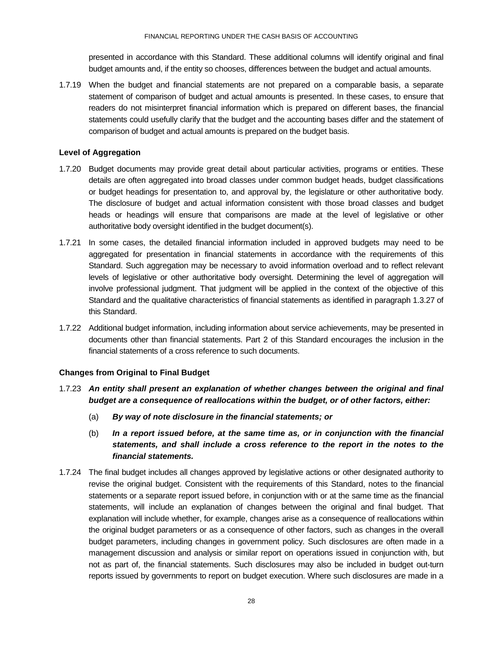presented in accordance with this Standard. These additional columns will identify original and final budget amounts and, if the entity so chooses, differences between the budget and actual amounts.

1.7.19 When the budget and financial statements are not prepared on a comparable basis, a separate statement of comparison of budget and actual amounts is presented. In these cases, to ensure that readers do not misinterpret financial information which is prepared on different bases, the financial statements could usefully clarify that the budget and the accounting bases differ and the statement of comparison of budget and actual amounts is prepared on the budget basis.

#### **Level of Aggregation**

- 1.7.20 Budget documents may provide great detail about particular activities, programs or entities. These details are often aggregated into broad classes under common budget heads, budget classifications or budget headings for presentation to, and approval by, the legislature or other authoritative body. The disclosure of budget and actual information consistent with those broad classes and budget heads or headings will ensure that comparisons are made at the level of legislative or other authoritative body oversight identified in the budget document(s).
- 1.7.21 In some cases, the detailed financial information included in approved budgets may need to be aggregated for presentation in financial statements in accordance with the requirements of this Standard. Such aggregation may be necessary to avoid information overload and to reflect relevant levels of legislative or other authoritative body oversight. Determining the level of aggregation will involve professional judgment. That judgment will be applied in the context of the objective of this Standard and the qualitative characteristics of financial statements as identified in paragraph 1.3.27 of this Standard.
- 1.7.22 Additional budget information, including information about service achievements, may be presented in documents other than financial statements. Part 2 of this Standard encourages the inclusion in the financial statements of a cross reference to such documents.

#### **Changes from Original to Final Budget**

- 1.7.23 *An entity shall present an explanation of whether changes between the original and final budget are a consequence of reallocations within the budget, or of other factors, either:*
	- (a) *By way of note disclosure in the financial statements; or*
	- (b) *In a report issued before, at the same time as, or in conjunction with the financial statements, and shall include a cross reference to the report in the notes to the financial statements.*
- 1.7.24 The final budget includes all changes approved by legislative actions or other designated authority to revise the original budget. Consistent with the requirements of this Standard, notes to the financial statements or a separate report issued before, in conjunction with or at the same time as the financial statements, will include an explanation of changes between the original and final budget. That explanation will include whether, for example, changes arise as a consequence of reallocations within the original budget parameters or as a consequence of other factors, such as changes in the overall budget parameters, including changes in government policy. Such disclosures are often made in a management discussion and analysis or similar report on operations issued in conjunction with, but not as part of, the financial statements. Such disclosures may also be included in budget out-turn reports issued by governments to report on budget execution. Where such disclosures are made in a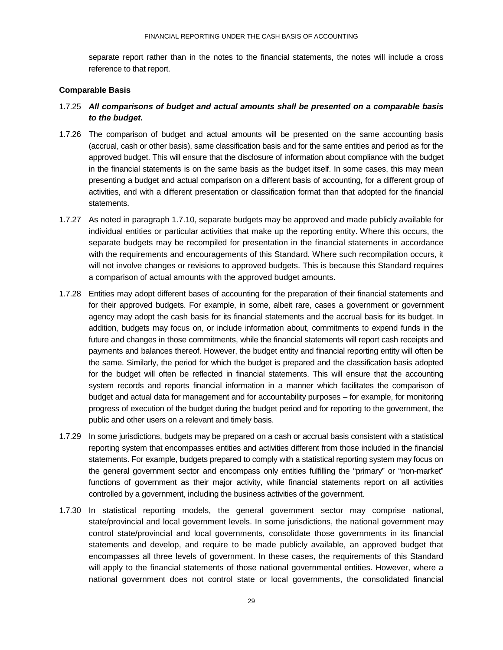separate report rather than in the notes to the financial statements, the notes will include a cross reference to that report.

#### **Comparable Basis**

#### 1.7.25 *All comparisons of budget and actual amounts shall be presented on a comparable basis to the budget.*

- 1.7.26 The comparison of budget and actual amounts will be presented on the same accounting basis (accrual, cash or other basis), same classification basis and for the same entities and period as for the approved budget. This will ensure that the disclosure of information about compliance with the budget in the financial statements is on the same basis as the budget itself. In some cases, this may mean presenting a budget and actual comparison on a different basis of accounting, for a different group of activities, and with a different presentation or classification format than that adopted for the financial statements.
- 1.7.27 As noted in paragraph 1.7.10, separate budgets may be approved and made publicly available for individual entities or particular activities that make up the reporting entity. Where this occurs, the separate budgets may be recompiled for presentation in the financial statements in accordance with the requirements and encouragements of this Standard. Where such recompilation occurs, it will not involve changes or revisions to approved budgets. This is because this Standard requires a comparison of actual amounts with the approved budget amounts.
- 1.7.28 Entities may adopt different bases of accounting for the preparation of their financial statements and for their approved budgets. For example, in some, albeit rare, cases a government or government agency may adopt the cash basis for its financial statements and the accrual basis for its budget. In addition, budgets may focus on, or include information about, commitments to expend funds in the future and changes in those commitments, while the financial statements will report cash receipts and payments and balances thereof. However, the budget entity and financial reporting entity will often be the same. Similarly, the period for which the budget is prepared and the classification basis adopted for the budget will often be reflected in financial statements. This will ensure that the accounting system records and reports financial information in a manner which facilitates the comparison of budget and actual data for management and for accountability purposes – for example, for monitoring progress of execution of the budget during the budget period and for reporting to the government, the public and other users on a relevant and timely basis.
- 1.7.29 In some jurisdictions, budgets may be prepared on a cash or accrual basis consistent with a statistical reporting system that encompasses entities and activities different from those included in the financial statements. For example, budgets prepared to comply with a statistical reporting system may focus on the general government sector and encompass only entities fulfilling the "primary" or "non-market" functions of government as their major activity, while financial statements report on all activities controlled by a government, including the business activities of the government.
- 1.7.30 In statistical reporting models, the general government sector may comprise national, state/provincial and local government levels. In some jurisdictions, the national government may control state/provincial and local governments, consolidate those governments in its financial statements and develop, and require to be made publicly available, an approved budget that encompasses all three levels of government. In these cases, the requirements of this Standard will apply to the financial statements of those national governmental entities. However, where a national government does not control state or local governments, the consolidated financial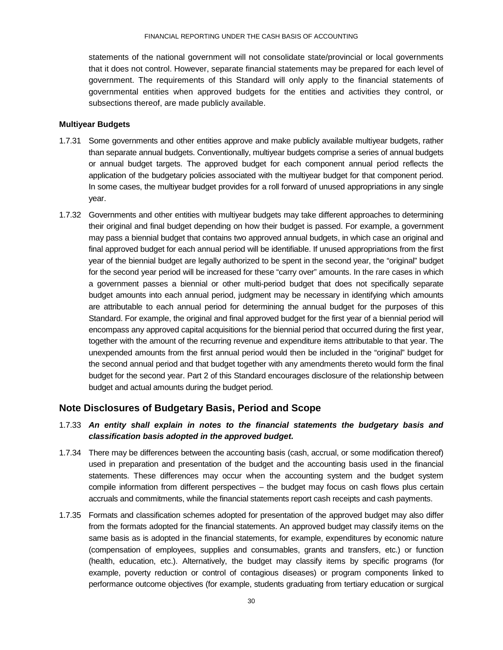statements of the national government will not consolidate state/provincial or local governments that it does not control. However, separate financial statements may be prepared for each level of government. The requirements of this Standard will only apply to the financial statements of governmental entities when approved budgets for the entities and activities they control, or subsections thereof, are made publicly available.

#### **Multiyear Budgets**

- 1.7.31 Some governments and other entities approve and make publicly available multiyear budgets, rather than separate annual budgets. Conventionally, multiyear budgets comprise a series of annual budgets or annual budget targets. The approved budget for each component annual period reflects the application of the budgetary policies associated with the multiyear budget for that component period. In some cases, the multiyear budget provides for a roll forward of unused appropriations in any single year.
- 1.7.32 Governments and other entities with multiyear budgets may take different approaches to determining their original and final budget depending on how their budget is passed. For example, a government may pass a biennial budget that contains two approved annual budgets, in which case an original and final approved budget for each annual period will be identifiable. If unused appropriations from the first year of the biennial budget are legally authorized to be spent in the second year, the "original" budget for the second year period will be increased for these "carry over" amounts. In the rare cases in which a government passes a biennial or other multi-period budget that does not specifically separate budget amounts into each annual period, judgment may be necessary in identifying which amounts are attributable to each annual period for determining the annual budget for the purposes of this Standard. For example, the original and final approved budget for the first year of a biennial period will encompass any approved capital acquisitions for the biennial period that occurred during the first year, together with the amount of the recurring revenue and expenditure items attributable to that year. The unexpended amounts from the first annual period would then be included in the "original" budget for the second annual period and that budget together with any amendments thereto would form the final budget for the second year. Part 2 of this Standard encourages disclosure of the relationship between budget and actual amounts during the budget period.

#### **Note Disclosures of Budgetary Basis, Period and Scope**

- 1.7.33 *An entity shall explain in notes to the financial statements the budgetary basis and classification basis adopted in the approved budget.*
- 1.7.34 There may be differences between the accounting basis (cash, accrual, or some modification thereof) used in preparation and presentation of the budget and the accounting basis used in the financial statements. These differences may occur when the accounting system and the budget system compile information from different perspectives – the budget may focus on cash flows plus certain accruals and commitments, while the financial statements report cash receipts and cash payments.
- 1.7.35 Formats and classification schemes adopted for presentation of the approved budget may also differ from the formats adopted for the financial statements. An approved budget may classify items on the same basis as is adopted in the financial statements, for example, expenditures by economic nature (compensation of employees, supplies and consumables, grants and transfers, etc.) or function (health, education, etc.). Alternatively, the budget may classify items by specific programs (for example, poverty reduction or control of contagious diseases) or program components linked to performance outcome objectives (for example, students graduating from tertiary education or surgical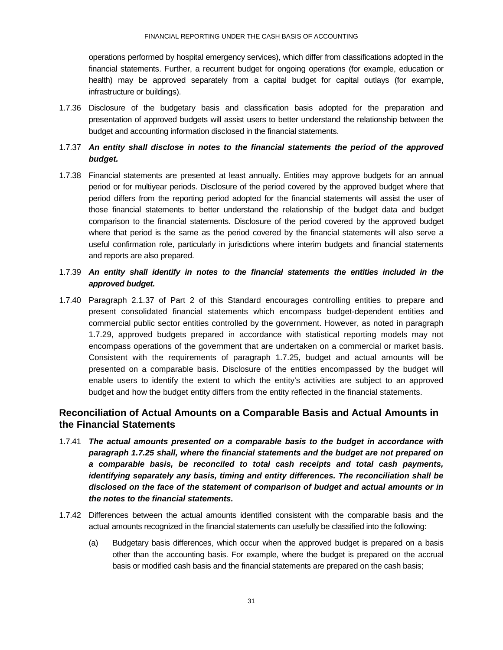operations performed by hospital emergency services), which differ from classifications adopted in the financial statements. Further, a recurrent budget for ongoing operations (for example, education or health) may be approved separately from a capital budget for capital outlays (for example, infrastructure or buildings).

1.7.36 Disclosure of the budgetary basis and classification basis adopted for the preparation and presentation of approved budgets will assist users to better understand the relationship between the budget and accounting information disclosed in the financial statements.

# 1.7.37 *An entity shall disclose in notes to the financial statements the period of the approved budget.*

1.7.38 Financial statements are presented at least annually. Entities may approve budgets for an annual period or for multiyear periods. Disclosure of the period covered by the approved budget where that period differs from the reporting period adopted for the financial statements will assist the user of those financial statements to better understand the relationship of the budget data and budget comparison to the financial statements. Disclosure of the period covered by the approved budget where that period is the same as the period covered by the financial statements will also serve a useful confirmation role, particularly in jurisdictions where interim budgets and financial statements and reports are also prepared.

#### 1.7.39 *An entity shall identify in notes to the financial statements the entities included in the approved budget.*

1.7.40 Paragraph 2.1.37 of Part 2 of this Standard encourages controlling entities to prepare and present consolidated financial statements which encompass budget-dependent entities and commercial public sector entities controlled by the government. However, as noted in paragraph 1.7.29, approved budgets prepared in accordance with statistical reporting models may not encompass operations of the government that are undertaken on a commercial or market basis. Consistent with the requirements of paragraph 1.7.25, budget and actual amounts will be presented on a comparable basis. Disclosure of the entities encompassed by the budget will enable users to identify the extent to which the entity's activities are subject to an approved budget and how the budget entity differs from the entity reflected in the financial statements.

# **Reconciliation of Actual Amounts on a Comparable Basis and Actual Amounts in the Financial Statements**

- 1.7.41 *The actual amounts presented on a comparable basis to the budget in accordance with paragraph 1.7.25 shall, where the financial statements and the budget are not prepared on a comparable basis, be reconciled to total cash receipts and total cash payments, identifying separately any basis, timing and entity differences. The reconciliation shall be disclosed on the face of the statement of comparison of budget and actual amounts or in the notes to the financial statements.*
- 1.7.42 Differences between the actual amounts identified consistent with the comparable basis and the actual amounts recognized in the financial statements can usefully be classified into the following:
	- (a) Budgetary basis differences, which occur when the approved budget is prepared on a basis other than the accounting basis. For example, where the budget is prepared on the accrual basis or modified cash basis and the financial statements are prepared on the cash basis;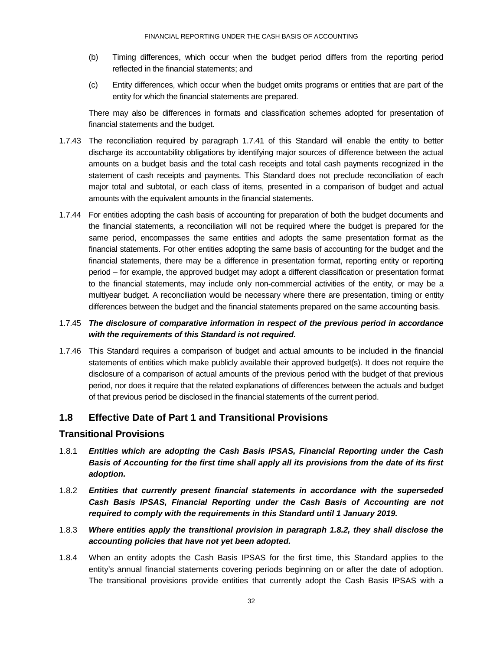- (b) Timing differences, which occur when the budget period differs from the reporting period reflected in the financial statements; and
- (c) Entity differences, which occur when the budget omits programs or entities that are part of the entity for which the financial statements are prepared.

There may also be differences in formats and classification schemes adopted for presentation of financial statements and the budget.

- 1.7.43 The reconciliation required by paragraph 1.7.41 of this Standard will enable the entity to better discharge its accountability obligations by identifying major sources of difference between the actual amounts on a budget basis and the total cash receipts and total cash payments recognized in the statement of cash receipts and payments. This Standard does not preclude reconciliation of each major total and subtotal, or each class of items, presented in a comparison of budget and actual amounts with the equivalent amounts in the financial statements.
- 1.7.44 For entities adopting the cash basis of accounting for preparation of both the budget documents and the financial statements, a reconciliation will not be required where the budget is prepared for the same period, encompasses the same entities and adopts the same presentation format as the financial statements. For other entities adopting the same basis of accounting for the budget and the financial statements, there may be a difference in presentation format, reporting entity or reporting period – for example, the approved budget may adopt a different classification or presentation format to the financial statements, may include only non-commercial activities of the entity, or may be a multiyear budget. A reconciliation would be necessary where there are presentation, timing or entity differences between the budget and the financial statements prepared on the same accounting basis.

#### 1.7.45 *The disclosure of comparative information in respect of the previous period in accordance with the requirements of this Standard is not required.*

1.7.46 This Standard requires a comparison of budget and actual amounts to be included in the financial statements of entities which make publicly available their approved budget(s). It does not require the disclosure of a comparison of actual amounts of the previous period with the budget of that previous period, nor does it require that the related explanations of differences between the actuals and budget of that previous period be disclosed in the financial statements of the current period.

# **1.8 Effective Date of Part 1 and Transitional Provisions**

# **Transitional Provisions**

- 1.8.1 *Entities which are adopting the Cash Basis IPSAS, Financial Reporting under the Cash Basis of Accounting for the first time shall apply all its provisions from the date of its first adoption.*
- 1.8.2 *Entities that currently present financial statements in accordance with the superseded Cash Basis IPSAS, Financial Reporting under the Cash Basis of Accounting are not required to comply with the requirements in this Standard until 1 January 2019.*
- 1.8.3 *Where entities apply the transitional provision in paragraph 1.8.2, they shall disclose the accounting policies that have not yet been adopted.*
- 1.8.4 When an entity adopts the Cash Basis IPSAS for the first time, this Standard applies to the entity's annual financial statements covering periods beginning on or after the date of adoption. The transitional provisions provide entities that currently adopt the Cash Basis IPSAS with a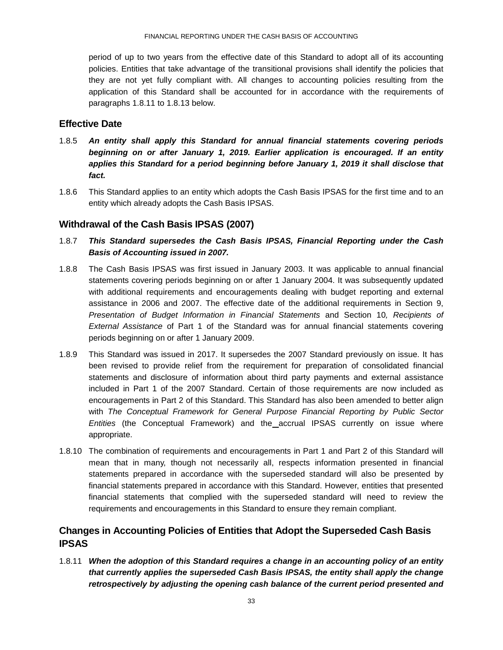period of up to two years from the effective date of this Standard to adopt all of its accounting policies. Entities that take advantage of the transitional provisions shall identify the policies that they are not yet fully compliant with. All changes to accounting policies resulting from the application of this Standard shall be accounted for in accordance with the requirements of paragraphs 1.8.11 to 1.8.13 below.

#### **Effective Date**

- 1.8.5 *An entity shall apply this Standard for annual financial statements covering periods beginning on or after January 1, 2019. Earlier application is encouraged. If an entity applies this Standard for a period beginning before January 1, 2019 it shall disclose that fact.*
- 1.8.6 This Standard applies to an entity which adopts the Cash Basis IPSAS for the first time and to an entity which already adopts the Cash Basis IPSAS.

## **Withdrawal of the Cash Basis IPSAS (2007)**

- 1.8.7 *This Standard supersedes the Cash Basis IPSAS, Financial Reporting under the Cash Basis of Accounting issued in 2007.*
- 1.8.8 The Cash Basis IPSAS was first issued in January 2003. It was applicable to annual financial statements covering periods beginning on or after 1 January 2004. It was subsequently updated with additional requirements and encouragements dealing with budget reporting and external assistance in 2006 and 2007. The effective date of the additional requirements in Section 9, *Presentation of Budget Information in Financial Statements* and Section 10*, Recipients of External Assistance* of Part 1 of the Standard was for annual financial statements covering periods beginning on or after 1 January 2009.
- 1.8.9 This Standard was issued in 2017. It supersedes the 2007 Standard previously on issue. It has been revised to provide relief from the requirement for preparation of consolidated financial statements and disclosure of information about third party payments and external assistance included in Part 1 of the 2007 Standard. Certain of those requirements are now included as encouragements in Part 2 of this Standard. This Standard has also been amended to better align with *The Conceptual Framework for General Purpose Financial Reporting by Public Sector Entities* (the Conceptual Framework) and the accrual IPSAS currently on issue where appropriate.
- 1.8.10 The combination of requirements and encouragements in Part 1 and Part 2 of this Standard will mean that in many, though not necessarily all, respects information presented in financial statements prepared in accordance with the superseded standard will also be presented by financial statements prepared in accordance with this Standard. However, entities that presented financial statements that complied with the superseded standard will need to review the requirements and encouragements in this Standard to ensure they remain compliant.

# **Changes in Accounting Policies of Entities that Adopt the Superseded Cash Basis IPSAS**

1.8.11 *When the adoption of this Standard requires a change in an accounting policy of an entity that currently applies the superseded Cash Basis IPSAS, the entity shall apply the change retrospectively by adjusting the opening cash balance of the current period presented and*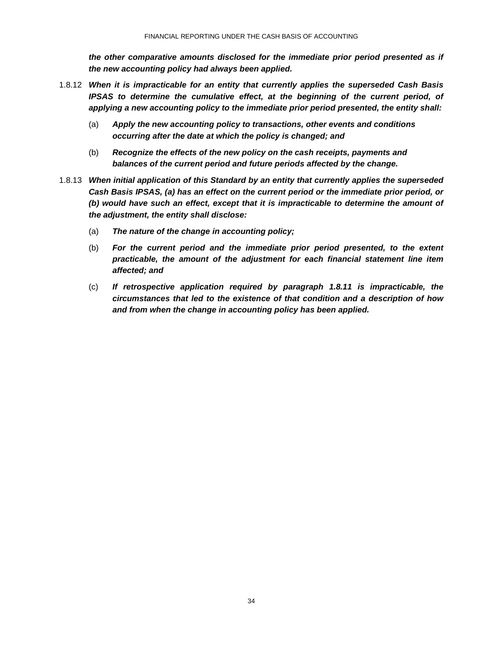*the other comparative amounts disclosed for the immediate prior period presented as if the new accounting policy had always been applied.*

- 1.8.12 *When it is impracticable for an entity that currently applies the superseded Cash Basis IPSAS to determine the cumulative effect, at the beginning of the current period, of applying a new accounting policy to the immediate prior period presented, the entity shall:*
	- (a) *Apply the new accounting policy to transactions, other events and conditions occurring after the date at which the policy is changed; and*
	- (b) *Recognize the effects of the new policy on the cash receipts, payments and balances of the current period and future periods affected by the change.*
- 1.8.13 *When initial application of this Standard by an entity that currently applies the superseded Cash Basis IPSAS, (a) has an effect on the current period or the immediate prior period, or (b) would have such an effect, except that it is impracticable to determine the amount of the adjustment, the entity shall disclose:*
	- (a) *The nature of the change in accounting policy;*
	- (b) *For the current period and the immediate prior period presented, to the extent practicable, the amount of the adjustment for each financial statement line item affected; and*
	- (c) *If retrospective application required by paragraph 1.8.11 is impracticable, the circumstances that led to the existence of that condition and a description of how and from when the change in accounting policy has been applied.*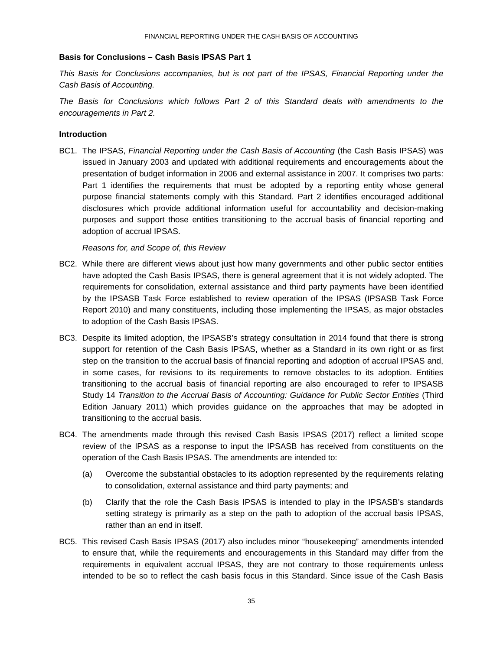#### **Basis for Conclusions – Cash Basis IPSAS Part 1**

*This Basis for Conclusions accompanies, but is not part of the IPSAS, Financial Reporting under the Cash Basis of Accounting.* 

*The Basis for Conclusions which follows Part 2 of this Standard deals with amendments to the encouragements in Part 2.* 

#### **Introduction**

BC1. The IPSAS, *Financial Reporting under the Cash Basis of Accounting* (the Cash Basis IPSAS) was issued in January 2003 and updated with additional requirements and encouragements about the presentation of budget information in 2006 and external assistance in 2007. It comprises two parts: Part 1 identifies the requirements that must be adopted by a reporting entity whose general purpose financial statements comply with this Standard. Part 2 identifies encouraged additional disclosures which provide additional information useful for accountability and decision-making purposes and support those entities transitioning to the accrual basis of financial reporting and adoption of accrual IPSAS.

#### *Reasons for, and Scope of, this Review*

- BC2. While there are different views about just how many governments and other public sector entities have adopted the Cash Basis IPSAS, there is general agreement that it is not widely adopted. The requirements for consolidation, external assistance and third party payments have been identified by the IPSASB Task Force established to review operation of the IPSAS (IPSASB Task Force Report 2010) and many constituents, including those implementing the IPSAS, as major obstacles to adoption of the Cash Basis IPSAS.
- BC3. Despite its limited adoption, the IPSASB's strategy consultation in 2014 found that there is strong support for retention of the Cash Basis IPSAS, whether as a Standard in its own right or as first step on the transition to the accrual basis of financial reporting and adoption of accrual IPSAS and, in some cases, for revisions to its requirements to remove obstacles to its adoption. Entities transitioning to the accrual basis of financial reporting are also encouraged to refer to IPSASB Study 14 *Transition to the Accrual Basis of Accounting: Guidance for Public Sector Entities* (Third Edition January 2011) which provides guidance on the approaches that may be adopted in transitioning to the accrual basis.
- BC4. The amendments made through this revised Cash Basis IPSAS (2017) reflect a limited scope review of the IPSAS as a response to input the IPSASB has received from constituents on the operation of the Cash Basis IPSAS. The amendments are intended to:
	- (a) Overcome the substantial obstacles to its adoption represented by the requirements relating to consolidation, external assistance and third party payments; and
	- (b) Clarify that the role the Cash Basis IPSAS is intended to play in the IPSASB's standards setting strategy is primarily as a step on the path to adoption of the accrual basis IPSAS, rather than an end in itself.
- BC5. This revised Cash Basis IPSAS (2017) also includes minor "housekeeping" amendments intended to ensure that, while the requirements and encouragements in this Standard may differ from the requirements in equivalent accrual IPSAS, they are not contrary to those requirements unless intended to be so to reflect the cash basis focus in this Standard. Since issue of the Cash Basis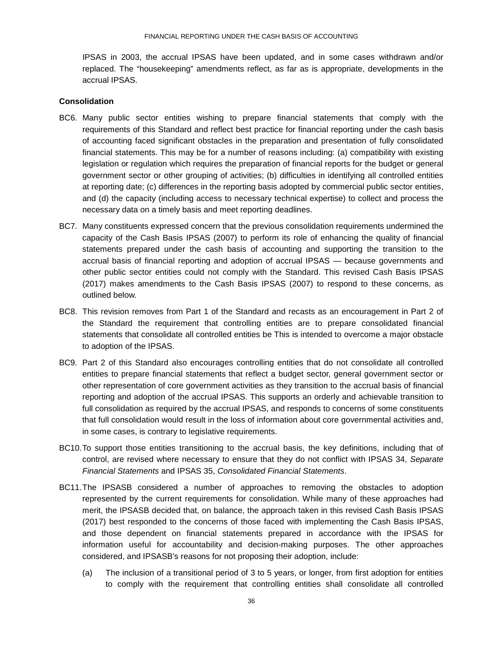IPSAS in 2003, the accrual IPSAS have been updated, and in some cases withdrawn and/or replaced. The "housekeeping" amendments reflect, as far as is appropriate, developments in the accrual IPSAS.

#### **Consolidation**

- BC6. Many public sector entities wishing to prepare financial statements that comply with the requirements of this Standard and reflect best practice for financial reporting under the cash basis of accounting faced significant obstacles in the preparation and presentation of fully consolidated financial statements. This may be for a number of reasons including: (a) compatibility with existing legislation or regulation which requires the preparation of financial reports for the budget or general government sector or other grouping of activities; (b) difficulties in identifying all controlled entities at reporting date; (c) differences in the reporting basis adopted by commercial public sector entities, and (d) the capacity (including access to necessary technical expertise) to collect and process the necessary data on a timely basis and meet reporting deadlines.
- BC7. Many constituents expressed concern that the previous consolidation requirements undermined the capacity of the Cash Basis IPSAS (2007) to perform its role of enhancing the quality of financial statements prepared under the cash basis of accounting and supporting the transition to the accrual basis of financial reporting and adoption of accrual IPSAS — because governments and other public sector entities could not comply with the Standard. This revised Cash Basis IPSAS (2017) makes amendments to the Cash Basis IPSAS (2007) to respond to these concerns, as outlined below.
- BC8. This revision removes from Part 1 of the Standard and recasts as an encouragement in Part 2 of the Standard the requirement that controlling entities are to prepare consolidated financial statements that consolidate all controlled entities be This is intended to overcome a major obstacle to adoption of the IPSAS.
- BC9. Part 2 of this Standard also encourages controlling entities that do not consolidate all controlled entities to prepare financial statements that reflect a budget sector, general government sector or other representation of core government activities as they transition to the accrual basis of financial reporting and adoption of the accrual IPSAS. This supports an orderly and achievable transition to full consolidation as required by the accrual IPSAS, and responds to concerns of some constituents that full consolidation would result in the loss of information about core governmental activities and, in some cases, is contrary to legislative requirements.
- BC10.To support those entities transitioning to the accrual basis, the key definitions, including that of control, are revised where necessary to ensure that they do not conflict with IPSAS 34, *Separate Financial Statements* and IPSAS 35, *Consolidated Financial Statements*.
- BC11.The IPSASB considered a number of approaches to removing the obstacles to adoption represented by the current requirements for consolidation. While many of these approaches had merit, the IPSASB decided that, on balance, the approach taken in this revised Cash Basis IPSAS (2017) best responded to the concerns of those faced with implementing the Cash Basis IPSAS, and those dependent on financial statements prepared in accordance with the IPSAS for information useful for accountability and decision-making purposes. The other approaches considered, and IPSASB's reasons for not proposing their adoption, include:
	- (a) The inclusion of a transitional period of 3 to 5 years, or longer, from first adoption for entities to comply with the requirement that controlling entities shall consolidate all controlled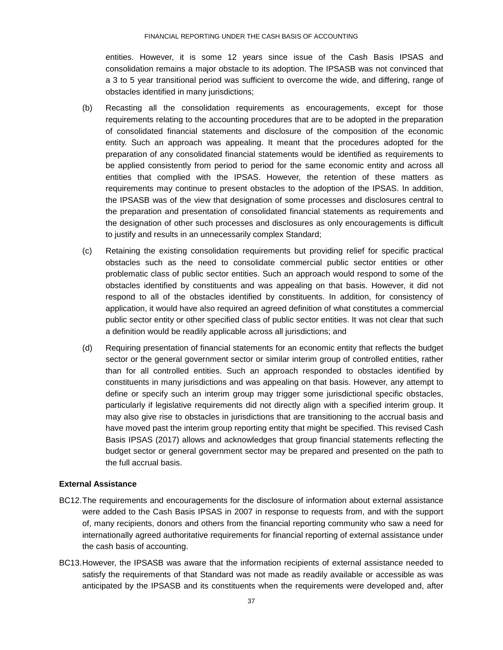#### FINANCIAL REPORTING UNDER THE CASH BASIS OF ACCOUNTING

entities. However, it is some 12 years since issue of the Cash Basis IPSAS and consolidation remains a major obstacle to its adoption. The IPSASB was not convinced that a 3 to 5 year transitional period was sufficient to overcome the wide, and differing, range of obstacles identified in many jurisdictions;

- (b) Recasting all the consolidation requirements as encouragements, except for those requirements relating to the accounting procedures that are to be adopted in the preparation of consolidated financial statements and disclosure of the composition of the economic entity. Such an approach was appealing. It meant that the procedures adopted for the preparation of any consolidated financial statements would be identified as requirements to be applied consistently from period to period for the same economic entity and across all entities that complied with the IPSAS. However, the retention of these matters as requirements may continue to present obstacles to the adoption of the IPSAS. In addition, the IPSASB was of the view that designation of some processes and disclosures central to the preparation and presentation of consolidated financial statements as requirements and the designation of other such processes and disclosures as only encouragements is difficult to justify and results in an unnecessarily complex Standard;
- (c) Retaining the existing consolidation requirements but providing relief for specific practical obstacles such as the need to consolidate commercial public sector entities or other problematic class of public sector entities. Such an approach would respond to some of the obstacles identified by constituents and was appealing on that basis. However, it did not respond to all of the obstacles identified by constituents. In addition, for consistency of application, it would have also required an agreed definition of what constitutes a commercial public sector entity or other specified class of public sector entities. It was not clear that such a definition would be readily applicable across all jurisdictions; and
- (d) Requiring presentation of financial statements for an economic entity that reflects the budget sector or the general government sector or similar interim group of controlled entities, rather than for all controlled entities. Such an approach responded to obstacles identified by constituents in many jurisdictions and was appealing on that basis. However, any attempt to define or specify such an interim group may trigger some jurisdictional specific obstacles, particularly if legislative requirements did not directly align with a specified interim group. It may also give rise to obstacles in jurisdictions that are transitioning to the accrual basis and have moved past the interim group reporting entity that might be specified. This revised Cash Basis IPSAS (2017) allows and acknowledges that group financial statements reflecting the budget sector or general government sector may be prepared and presented on the path to the full accrual basis.

### **External Assistance**

- BC12.The requirements and encouragements for the disclosure of information about external assistance were added to the Cash Basis IPSAS in 2007 in response to requests from, and with the support of, many recipients, donors and others from the financial reporting community who saw a need for internationally agreed authoritative requirements for financial reporting of external assistance under the cash basis of accounting.
- BC13.However, the IPSASB was aware that the information recipients of external assistance needed to satisfy the requirements of that Standard was not made as readily available or accessible as was anticipated by the IPSASB and its constituents when the requirements were developed and, after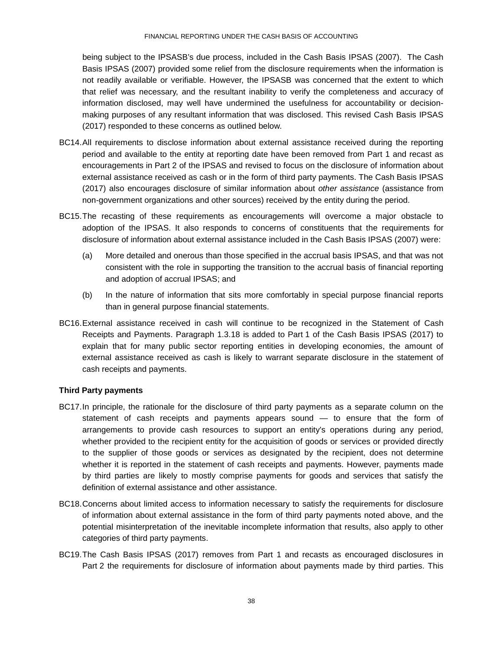being subject to the IPSASB's due process, included in the Cash Basis IPSAS (2007). The Cash Basis IPSAS (2007) provided some relief from the disclosure requirements when the information is not readily available or verifiable. However, the IPSASB was concerned that the extent to which that relief was necessary, and the resultant inability to verify the completeness and accuracy of information disclosed, may well have undermined the usefulness for accountability or decisionmaking purposes of any resultant information that was disclosed. This revised Cash Basis IPSAS (2017) responded to these concerns as outlined below.

- BC14.All requirements to disclose information about external assistance received during the reporting period and available to the entity at reporting date have been removed from Part 1 and recast as encouragements in Part 2 of the IPSAS and revised to focus on the disclosure of information about external assistance received as cash or in the form of third party payments. The Cash Basis IPSAS (2017) also encourages disclosure of similar information about *other assistance* (assistance from non-government organizations and other sources) received by the entity during the period.
- BC15.The recasting of these requirements as encouragements will overcome a major obstacle to adoption of the IPSAS. It also responds to concerns of constituents that the requirements for disclosure of information about external assistance included in the Cash Basis IPSAS (2007) were:
	- (a) More detailed and onerous than those specified in the accrual basis IPSAS, and that was not consistent with the role in supporting the transition to the accrual basis of financial reporting and adoption of accrual IPSAS; and
	- (b) In the nature of information that sits more comfortably in special purpose financial reports than in general purpose financial statements.
- BC16.External assistance received in cash will continue to be recognized in the Statement of Cash Receipts and Payments. Paragraph 1.3.18 is added to Part 1 of the Cash Basis IPSAS (2017) to explain that for many public sector reporting entities in developing economies, the amount of external assistance received as cash is likely to warrant separate disclosure in the statement of cash receipts and payments.

### **Third Party payments**

- BC17.In principle, the rationale for the disclosure of third party payments as a separate column on the statement of cash receipts and payments appears sound — to ensure that the form of arrangements to provide cash resources to support an entity's operations during any period, whether provided to the recipient entity for the acquisition of goods or services or provided directly to the supplier of those goods or services as designated by the recipient, does not determine whether it is reported in the statement of cash receipts and payments. However, payments made by third parties are likely to mostly comprise payments for goods and services that satisfy the definition of external assistance and other assistance.
- BC18.Concerns about limited access to information necessary to satisfy the requirements for disclosure of information about external assistance in the form of third party payments noted above, and the potential misinterpretation of the inevitable incomplete information that results, also apply to other categories of third party payments.
- BC19.The Cash Basis IPSAS (2017) removes from Part 1 and recasts as encouraged disclosures in Part 2 the requirements for disclosure of information about payments made by third parties. This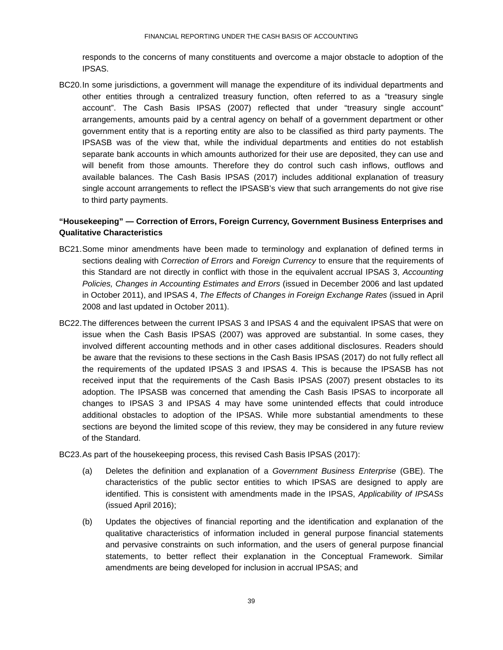responds to the concerns of many constituents and overcome a major obstacle to adoption of the IPSAS.

BC20.In some jurisdictions, a government will manage the expenditure of its individual departments and other entities through a centralized treasury function, often referred to as a "treasury single account". The Cash Basis IPSAS (2007) reflected that under "treasury single account" arrangements, amounts paid by a central agency on behalf of a government department or other government entity that is a reporting entity are also to be classified as third party payments. The IPSASB was of the view that, while the individual departments and entities do not establish separate bank accounts in which amounts authorized for their use are deposited, they can use and will benefit from those amounts. Therefore they do control such cash inflows, outflows and available balances. The Cash Basis IPSAS (2017) includes additional explanation of treasury single account arrangements to reflect the IPSASB's view that such arrangements do not give rise to third party payments.

## **"Housekeeping" — Correction of Errors, Foreign Currency, Government Business Enterprises and Qualitative Characteristics**

- BC21.Some minor amendments have been made to terminology and explanation of defined terms in sections dealing with *Correction of Errors* and *Foreign Currency* to ensure that the requirements of this Standard are not directly in conflict with those in the equivalent accrual IPSAS 3, *Accounting Policies, Changes in Accounting Estimates and Errors* (issued in December 2006 and last updated in October 2011), and IPSAS 4, *The Effects of Changes in Foreign Exchange Rates* (issued in April 2008 and last updated in October 2011).
- BC22.The differences between the current IPSAS 3 and IPSAS 4 and the equivalent IPSAS that were on issue when the Cash Basis IPSAS (2007) was approved are substantial. In some cases, they involved different accounting methods and in other cases additional disclosures. Readers should be aware that the revisions to these sections in the Cash Basis IPSAS (2017) do not fully reflect all the requirements of the updated IPSAS 3 and IPSAS 4. This is because the IPSASB has not received input that the requirements of the Cash Basis IPSAS (2007) present obstacles to its adoption. The IPSASB was concerned that amending the Cash Basis IPSAS to incorporate all changes to IPSAS 3 and IPSAS 4 may have some unintended effects that could introduce additional obstacles to adoption of the IPSAS. While more substantial amendments to these sections are beyond the limited scope of this review, they may be considered in any future review of the Standard.

BC23.As part of the housekeeping process, this revised Cash Basis IPSAS (2017):

- (a) Deletes the definition and explanation of a *Government Business Enterprise* (GBE). The characteristics of the public sector entities to which IPSAS are designed to apply are identified. This is consistent with amendments made in the IPSAS, *Applicability of IPSASs* (issued April 2016);
- (b) Updates the objectives of financial reporting and the identification and explanation of the qualitative characteristics of information included in general purpose financial statements and pervasive constraints on such information, and the users of general purpose financial statements, to better reflect their explanation in the Conceptual Framework. Similar amendments are being developed for inclusion in accrual IPSAS; and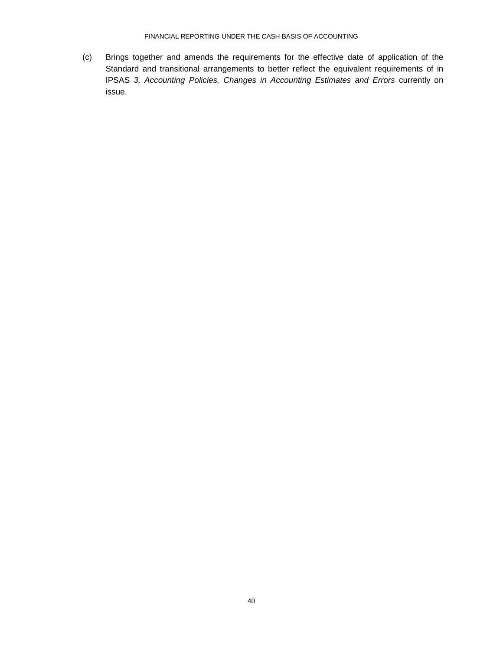## FINANCIAL REPORTING UNDER THE CASH BASIS OF ACCOUNTING

(c) Brings together and amends the requirements for the effective date of application of the Standard and transitional arrangements to better reflect the equivalent requirements of in IPSAS *3, Accounting Policies, Changes in Accounting Estimates and Errors* currently on issue.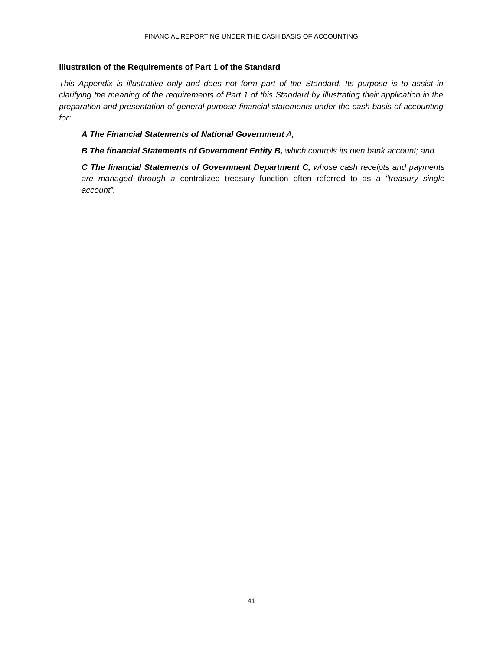## **Illustration of the Requirements of Part 1 of the Standard**

*This Appendix is illustrative only and does not form part of the Standard. Its purpose is to assist in clarifying the meaning of the requirements of Part 1 of this Standard by illustrating their application in the preparation and presentation of general purpose financial statements under the cash basis of accounting for:*

*A The Financial Statements of National Government A;*

*B The financial Statements of Government Entity B, which controls its own bank account; and*

*C The financial Statements of Government Department C, whose cash receipts and payments are managed through a* centralized treasury function often referred to as a *"treasury single account".*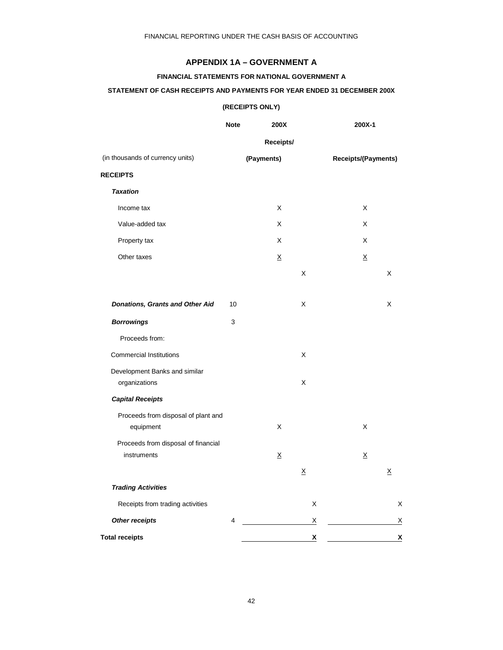## **APPENDIX 1A – GOVERNMENT A**

#### **FINANCIAL STATEMENTS FOR NATIONAL GOVERNMENT A**

#### **STATEMENT OF CASH RECEIPTS AND PAYMENTS FOR YEAR ENDED 31 DECEMBER 200X**

#### **(RECEIPTS ONLY)**

|                                                    | <b>Note</b> | 200X                     |                 | 200X-1                   |                 |
|----------------------------------------------------|-------------|--------------------------|-----------------|--------------------------|-----------------|
|                                                    |             | Receipts/                |                 |                          |                 |
| (in thousands of currency units)                   |             | (Payments)               |                 | Receipts/(Payments)      |                 |
| <b>RECEIPTS</b>                                    |             |                          |                 |                          |                 |
| <b>Taxation</b>                                    |             |                          |                 |                          |                 |
| Income tax                                         |             | X                        |                 | X                        |                 |
| Value-added tax                                    |             | X                        |                 | X                        |                 |
| Property tax                                       |             | X                        |                 | X                        |                 |
| Other taxes                                        |             | $\mathsf X$              |                 | $\underline{\mathsf{X}}$ |                 |
|                                                    |             |                          | X               |                          | X               |
| <b>Donations, Grants and Other Aid</b>             | 10          |                          | X               |                          | Χ               |
| <b>Borrowings</b>                                  | 3           |                          |                 |                          |                 |
| Proceeds from:                                     |             |                          |                 |                          |                 |
| <b>Commercial Institutions</b>                     |             |                          | X               |                          |                 |
| Development Banks and similar<br>organizations     |             |                          | X               |                          |                 |
| <b>Capital Receipts</b>                            |             |                          |                 |                          |                 |
| Proceeds from disposal of plant and<br>equipment   |             | Χ                        |                 | X                        |                 |
| Proceeds from disposal of financial<br>instruments |             | $\underline{\mathsf{X}}$ |                 | $\underline{\mathsf{X}}$ |                 |
|                                                    |             |                          | $\underline{X}$ |                          | $\underline{X}$ |
| <b>Trading Activities</b>                          |             |                          |                 |                          |                 |
| Receipts from trading activities                   |             |                          | X               |                          | Χ               |
| <b>Other receipts</b>                              | 4           |                          | $\underline{x}$ |                          | $\underline{X}$ |
| <b>Total receipts</b>                              |             |                          | χ               |                          | x               |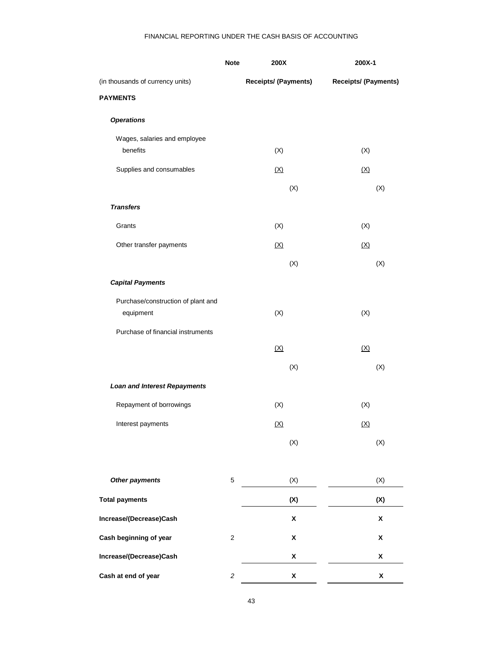|                                     | <b>Note</b>    | 200X                        | 200X-1               |                    |
|-------------------------------------|----------------|-----------------------------|----------------------|--------------------|
| (in thousands of currency units)    |                | <b>Receipts/ (Payments)</b> | Receipts/ (Payments) |                    |
| <b>PAYMENTS</b>                     |                |                             |                      |                    |
| <b>Operations</b>                   |                |                             |                      |                    |
| Wages, salaries and employee        |                |                             |                      |                    |
| benefits                            |                | (X)                         | (X)                  |                    |
| Supplies and consumables            |                | (X)                         | (X)                  |                    |
|                                     |                | (X)                         |                      | (X)                |
| <b>Transfers</b>                    |                |                             |                      |                    |
| Grants                              |                | (X)                         | (X)                  |                    |
| Other transfer payments             |                | (X)                         | (X)                  |                    |
|                                     |                | (X)                         |                      | (X)                |
| <b>Capital Payments</b>             |                |                             |                      |                    |
| Purchase/construction of plant and  |                |                             |                      |                    |
| equipment                           |                | (X)                         | (X)                  |                    |
| Purchase of financial instruments   |                |                             |                      |                    |
|                                     |                | (X)                         | (X)                  |                    |
|                                     |                | (X)                         |                      | (X)                |
| <b>Loan and Interest Repayments</b> |                |                             |                      |                    |
| Repayment of borrowings             |                | (X)                         | (X)                  |                    |
| Interest payments                   |                | <u>(X)</u>                  | (X)                  |                    |
|                                     |                | (X)                         |                      | (X)                |
|                                     |                |                             |                      |                    |
| Other payments                      | $\mathbf 5$    | (X)                         |                      | (X)                |
| <b>Total payments</b>               |                | (X)                         |                      | (X)                |
| Increase/(Decrease)Cash             |                | X                           |                      | $\pmb{\mathsf{X}}$ |
| Cash beginning of year              | $\sqrt{2}$     | X                           |                      | X                  |
| Increase/(Decrease)Cash             |                | X                           |                      | X                  |
| Cash at end of year                 | $\overline{c}$ | χ                           |                      | X                  |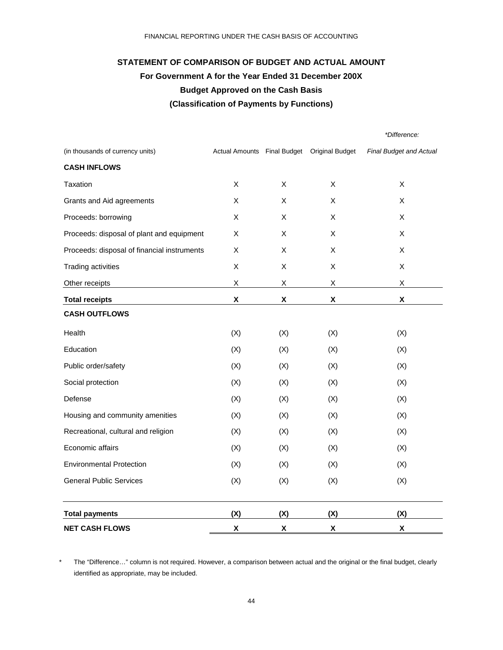## FINANCIAL REPORTING UNDER THE CASH BASIS OF ACCOUNTING

# **STATEMENT OF COMPARISON OF BUDGET AND ACTUAL AMOUNT For Government A for the Year Ended 31 December 200X Budget Approved on the Cash Basis (Classification of Payments by Functions)**

*\*Difference:*

| <b>NET CASH FLOWS</b>                       | $\pmb{\mathsf{X}}$ | χ   | χ                                           | χ                       |
|---------------------------------------------|--------------------|-----|---------------------------------------------|-------------------------|
| <b>Total payments</b>                       | (X)                | (X) | (X)                                         | (X)                     |
| <b>General Public Services</b>              | (X)                | (X) | (X)                                         | (X)                     |
| <b>Environmental Protection</b>             | (X)                | (X) | (X)                                         | (X)                     |
| Economic affairs                            | (X)                | (X) | (X)                                         | (X)                     |
| Recreational, cultural and religion         | (X)                | (X) | (X)                                         | (X)                     |
| Housing and community amenities             | (X)                | (X) | (X)                                         | (X)                     |
|                                             |                    |     |                                             |                         |
| Defense                                     | (X)                | (X) | (X)                                         | (X)                     |
| Social protection                           | (X)                | (X) | (X)                                         | (X)                     |
| Public order/safety                         | (X)                | (X) | (X)                                         | (X)                     |
| Education                                   | (X)                | (X) | (X)                                         | (X)                     |
| Health                                      | (X)                | (X) | (X)                                         | (X)                     |
| <b>CASH OUTFLOWS</b>                        |                    |     |                                             |                         |
| <b>Total receipts</b>                       | $\pmb{\mathsf{X}}$ | X   | $\pmb{\mathsf{X}}$                          | X                       |
| Other receipts                              | Χ                  | X   | Χ                                           | Χ                       |
| <b>Trading activities</b>                   | $\sf X$            | X   | $\sf X$                                     | X                       |
| Proceeds: disposal of financial instruments | X                  | X   | X                                           | X                       |
| Proceeds: disposal of plant and equipment   | X                  | X   | X                                           | Χ                       |
| Proceeds: borrowing                         | X                  | X   | X                                           | Χ                       |
| Grants and Aid agreements                   | X                  | X   | X                                           | X                       |
| Taxation                                    | X                  | X   | X                                           | Χ                       |
| <b>CASH INFLOWS</b>                         |                    |     |                                             |                         |
| (in thousands of currency units)            |                    |     | Actual Amounts Final Budget Original Budget | Final Budget and Actual |
|                                             |                    |     |                                             |                         |

\* The "Difference…" column is not required. However, a comparison between actual and the original or the final budget, clearly identified as appropriate, may be included.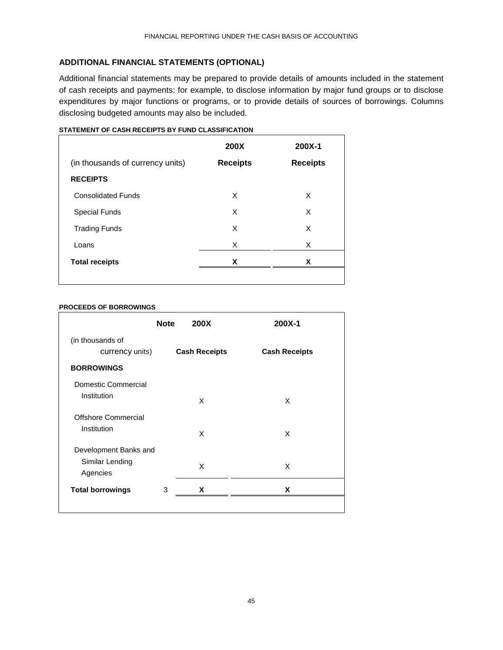## **ADDITIONAL FINANCIAL STATEMENTS (OPTIONAL)**

Additional financial statements may be prepared to provide details of amounts included in the statement of cash receipts and payments: for example, to disclose information by major fund groups or to disclose expenditures by major functions or programs, or to provide details of sources of borrowings. Columns disclosing budgeted amounts may also be included.

|  |  |  |  | STATEMENT OF CASH RECEIPTS BY FUND CLASSIFICATION |
|--|--|--|--|---------------------------------------------------|
|--|--|--|--|---------------------------------------------------|

|                                  | <b>200X</b>     | $200X-1$        |
|----------------------------------|-----------------|-----------------|
| (in thousands of currency units) | <b>Receipts</b> | <b>Receipts</b> |
| <b>RECEIPTS</b>                  |                 |                 |
| <b>Consolidated Funds</b>        | X               | X               |
| <b>Special Funds</b>             | X               | X               |
| <b>Trading Funds</b>             | X               | X               |
| Loans                            | X               | X               |
| <b>Total receipts</b>            | X               | X               |
|                                  |                 |                 |

#### **PROCEEDS OF BORROWINGS**

|                                                          | <b>Note</b> | <b>200X</b>          | 200X-1               |
|----------------------------------------------------------|-------------|----------------------|----------------------|
| (in thousands of<br>currency units)<br><b>BORROWINGS</b> |             | <b>Cash Receipts</b> | <b>Cash Receipts</b> |
|                                                          |             |                      |                      |
| Domestic Commercial<br>Institution                       |             | X                    | X                    |
| Offshore Commercial<br>Institution                       |             | X                    | X                    |
| Development Banks and<br>Similar Lending<br>Agencies     |             | X                    | X                    |
| <b>Total borrowings</b>                                  | 3           | X                    | X                    |
|                                                          |             |                      |                      |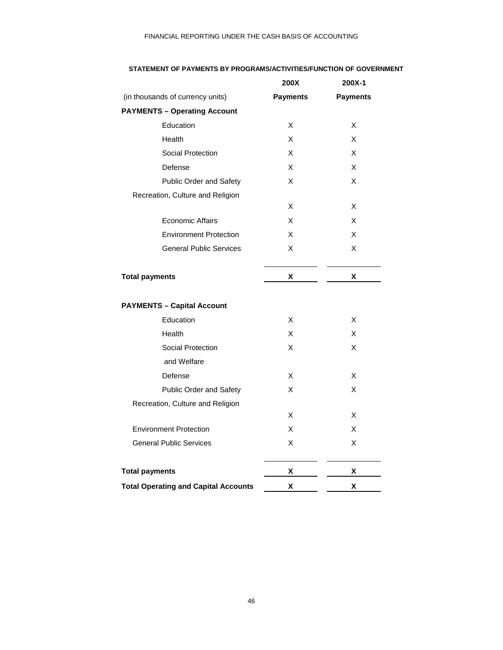|                                             | 200X            | 200X-1          |
|---------------------------------------------|-----------------|-----------------|
| (in thousands of currency units)            | <b>Payments</b> | <b>Payments</b> |
| <b>PAYMENTS - Operating Account</b>         |                 |                 |
| Education                                   | X               | X               |
| Health                                      | X               | X               |
| Social Protection                           | X               | X               |
| Defense                                     | X               | X               |
| Public Order and Safety                     | X               | X               |
| Recreation, Culture and Religion            |                 |                 |
|                                             | X               | X               |
| <b>Economic Affairs</b>                     | X               | X               |
| <b>Environment Protection</b>               | X               | X               |
| <b>General Public Services</b>              | X               | X               |
| <b>Total payments</b>                       | Χ               | χ               |
| <b>PAYMENTS - Capital Account</b>           |                 |                 |
| Education                                   | X               | X               |
| Health                                      | X               | X               |
| Social Protection                           | X               | X               |
| and Welfare                                 |                 |                 |
| Defense                                     | X               | X               |
| Public Order and Safety                     | X               | X               |
| Recreation, Culture and Religion            |                 |                 |
|                                             | X               | X               |
| <b>Environment Protection</b>               | X               | X               |
| <b>General Public Services</b>              | X               | X               |
| <b>Total payments</b>                       | χ               | Χ               |
| <b>Total Operating and Capital Accounts</b> | χ               | χ               |

## **STATEMENT OF PAYMENTS BY PROGRAMS/ACTIVITIES/FUNCTION OF GOVERNMENT**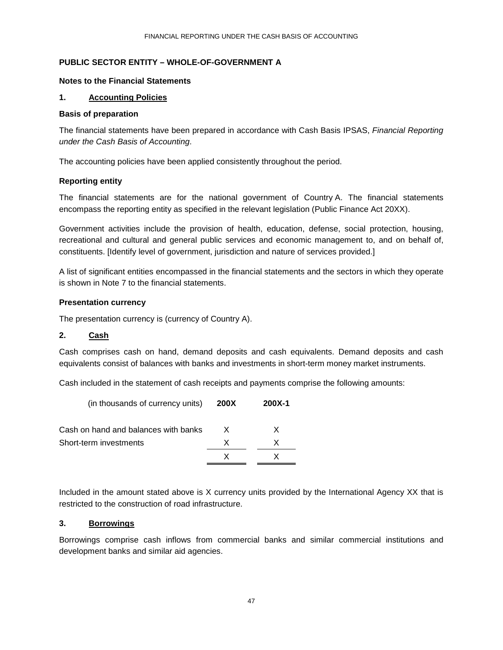### **PUBLIC SECTOR ENTITY – WHOLE-OF-GOVERNMENT A**

### **Notes to the Financial Statements**

## **1. Accounting Policies**

#### **Basis of preparation**

The financial statements have been prepared in accordance with Cash Basis IPSAS, *Financial Reporting under the Cash Basis of Accounting*.

The accounting policies have been applied consistently throughout the period.

## **Reporting entity**

The financial statements are for the national government of Country A. The financial statements encompass the reporting entity as specified in the relevant legislation (Public Finance Act 20XX).

Government activities include the provision of health, education, defense, social protection, housing, recreational and cultural and general public services and economic management to, and on behalf of, constituents. [Identify level of government, jurisdiction and nature of services provided.]

A list of significant entities encompassed in the financial statements and the sectors in which they operate is shown in Note 7 to the financial statements.

### **Presentation currency**

The presentation currency is (currency of Country A).

## **2. Cash**

Cash comprises cash on hand, demand deposits and cash equivalents. Demand deposits and cash equivalents consist of balances with banks and investments in short-term money market instruments.

Cash included in the statement of cash receipts and payments comprise the following amounts:

| (in thousands of currency units)     | <b>200X</b> | 200X-1 |
|--------------------------------------|-------------|--------|
| Cash on hand and balances with banks | X.          | X.     |
| Short-term investments               | x           | x.     |
|                                      |             |        |

Included in the amount stated above is X currency units provided by the International Agency XX that is restricted to the construction of road infrastructure.

## **3. Borrowings**

Borrowings comprise cash inflows from commercial banks and similar commercial institutions and development banks and similar aid agencies.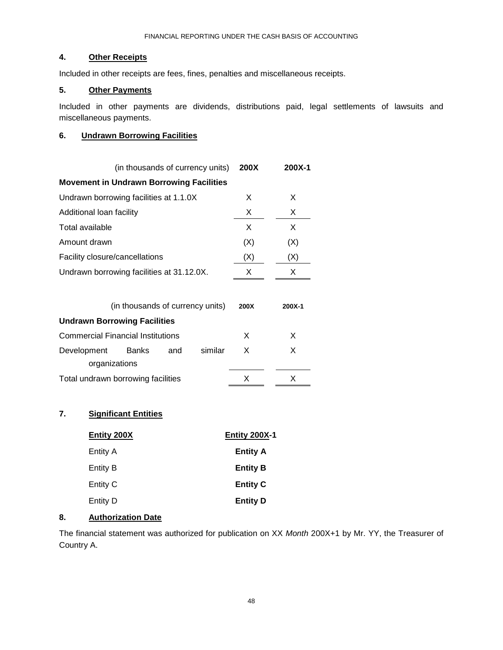## **4. Other Receipts**

Included in other receipts are fees, fines, penalties and miscellaneous receipts.

## **5. Other Payments**

Included in other payments are dividends, distributions paid, legal settlements of lawsuits and miscellaneous payments.

## **6. Undrawn Borrowing Facilities**

| (in thousands of currency units)                | <b>200X</b> | 200X-1   |
|-------------------------------------------------|-------------|----------|
| <b>Movement in Undrawn Borrowing Facilities</b> |             |          |
| Undrawn borrowing facilities at 1.1.0X          | X           | X        |
| Additional loan facility                        | X           | X        |
| Total available                                 | X           | X        |
| Amount drawn                                    | (X)         | (X)      |
| Facility closure/cancellations                  | (X)         | (X)      |
| Undrawn borrowing facilities at 31.12.0X.       | x           | x        |
|                                                 |             |          |
| (in thousands of currency units)                | 200X        | $200X-1$ |
| <b>Undrawn Borrowing Facilities</b>             |             |          |
| <b>Commercial Financial Institutions</b>        | X           | X        |
| similar<br>Development<br>Banks<br>and          | X           | X        |
| organizations                                   |             |          |
| Total undrawn borrowing facilities              | X           | x        |

## **7. Significant Entities**

| Entity 200X | <b>Entity 200X-1</b> |
|-------------|----------------------|
| Entity A    | <b>Entity A</b>      |
| Entity B    | <b>Entity B</b>      |
| Entity C    | <b>Entity C</b>      |
| Entity D    | <b>Entity D</b>      |

## **8. Authorization Date**

The financial statement was authorized for publication on XX *Month* 200X+1 by Mr. YY, the Treasurer of Country A.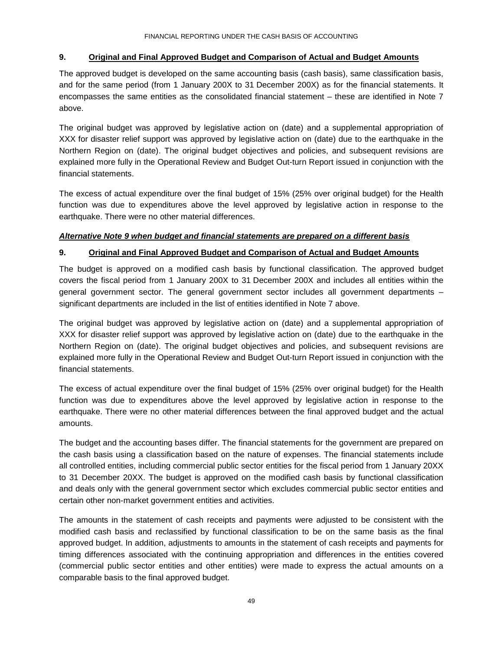## **9. Original and Final Approved Budget and Comparison of Actual and Budget Amounts**

The approved budget is developed on the same accounting basis (cash basis), same classification basis, and for the same period (from 1 January 200X to 31 December 200X) as for the financial statements. It encompasses the same entities as the consolidated financial statement – these are identified in Note 7 above.

The original budget was approved by legislative action on (date) and a supplemental appropriation of XXX for disaster relief support was approved by legislative action on (date) due to the earthquake in the Northern Region on (date). The original budget objectives and policies, and subsequent revisions are explained more fully in the Operational Review and Budget Out-turn Report issued in conjunction with the financial statements.

The excess of actual expenditure over the final budget of 15% (25% over original budget) for the Health function was due to expenditures above the level approved by legislative action in response to the earthquake. There were no other material differences.

## *Alternative Note 9 when budget and financial statements are prepared on a different basis*

## **9. Original and Final Approved Budget and Comparison of Actual and Budget Amounts**

The budget is approved on a modified cash basis by functional classification. The approved budget covers the fiscal period from 1 January 200X to 31 December 200X and includes all entities within the general government sector. The general government sector includes all government departments – significant departments are included in the list of entities identified in Note 7 above.

The original budget was approved by legislative action on (date) and a supplemental appropriation of XXX for disaster relief support was approved by legislative action on (date) due to the earthquake in the Northern Region on (date). The original budget objectives and policies, and subsequent revisions are explained more fully in the Operational Review and Budget Out-turn Report issued in conjunction with the financial statements.

The excess of actual expenditure over the final budget of 15% (25% over original budget) for the Health function was due to expenditures above the level approved by legislative action in response to the earthquake. There were no other material differences between the final approved budget and the actual amounts.

The budget and the accounting bases differ. The financial statements for the government are prepared on the cash basis using a classification based on the nature of expenses. The financial statements include all controlled entities, including commercial public sector entities for the fiscal period from 1 January 20XX to 31 December 20XX. The budget is approved on the modified cash basis by functional classification and deals only with the general government sector which excludes commercial public sector entities and certain other non-market government entities and activities.

The amounts in the statement of cash receipts and payments were adjusted to be consistent with the modified cash basis and reclassified by functional classification to be on the same basis as the final approved budget. In addition, adjustments to amounts in the statement of cash receipts and payments for timing differences associated with the continuing appropriation and differences in the entities covered (commercial public sector entities and other entities) were made to express the actual amounts on a comparable basis to the final approved budget.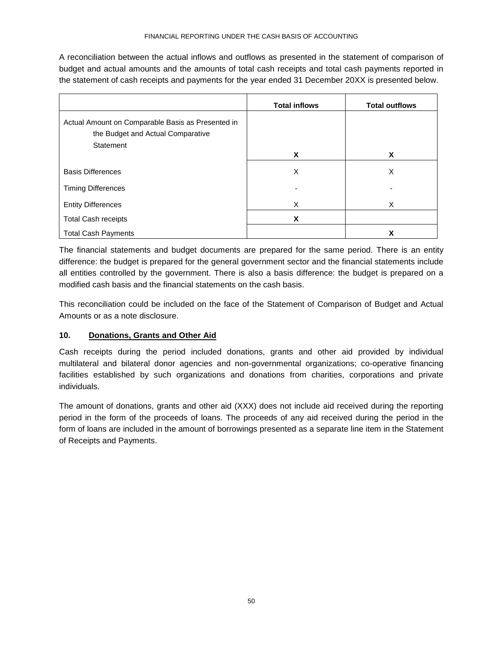A reconciliation between the actual inflows and outflows as presented in the statement of comparison of budget and actual amounts and the amounts of total cash receipts and total cash payments reported in the statement of cash receipts and payments for the year ended 31 December 20XX is presented below.

|                                                                                        | <b>Total inflows</b> | <b>Total outflows</b> |
|----------------------------------------------------------------------------------------|----------------------|-----------------------|
| Actual Amount on Comparable Basis as Presented in<br>the Budget and Actual Comparative |                      |                       |
| Statement                                                                              | X                    | X                     |
| <b>Basis Differences</b>                                                               | X                    | X                     |
| <b>Timing Differences</b>                                                              |                      |                       |
| <b>Entity Differences</b>                                                              | X                    | X                     |
| <b>Total Cash receipts</b>                                                             | χ                    |                       |
| <b>Total Cash Payments</b>                                                             |                      | х                     |

The financial statements and budget documents are prepared for the same period. There is an entity difference: the budget is prepared for the general government sector and the financial statements include all entities controlled by the government. There is also a basis difference: the budget is prepared on a modified cash basis and the financial statements on the cash basis.

This reconciliation could be included on the face of the Statement of Comparison of Budget and Actual Amounts or as a note disclosure.

## **10. Donations, Grants and Other Aid**

Cash receipts during the period included donations, grants and other aid provided by individual multilateral and bilateral donor agencies and non-governmental organizations; co-operative financing facilities established by such organizations and donations from charities, corporations and private individuals.

The amount of donations, grants and other aid (XXX) does not include aid received during the reporting period in the form of the proceeds of loans. The proceeds of any aid received during the period in the form of loans are included in the amount of borrowings presented as a separate line item in the Statement of Receipts and Payments.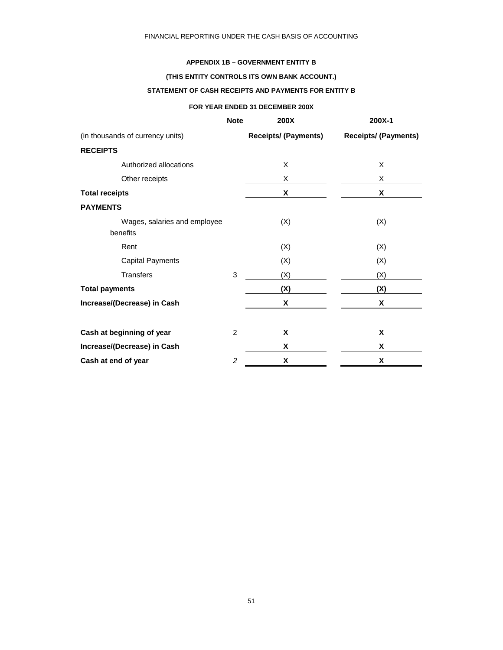#### **APPENDIX 1B – GOVERNMENT ENTITY B**

#### **(THIS ENTITY CONTROLS ITS OWN BANK ACCOUNT.)**

### **STATEMENT OF CASH RECEIPTS AND PAYMENTS FOR ENTITY B**

## **FOR YEAR ENDED 31 DECEMBER 200X**

|                                          | <b>Note</b> | 200X                        | 200X-1                      |
|------------------------------------------|-------------|-----------------------------|-----------------------------|
| (in thousands of currency units)         |             | <b>Receipts/ (Payments)</b> | <b>Receipts/ (Payments)</b> |
| <b>RECEIPTS</b>                          |             |                             |                             |
| Authorized allocations                   |             | X                           | X                           |
| Other receipts                           |             | X                           | X                           |
| <b>Total receipts</b>                    |             | X                           | X                           |
| <b>PAYMENTS</b>                          |             |                             |                             |
| Wages, salaries and employee<br>benefits |             | (X)                         | (X)                         |
| Rent                                     |             | (X)                         | (X)                         |
| <b>Capital Payments</b>                  |             | (X)                         | (X)                         |
| <b>Transfers</b>                         | 3           | (X)                         | (X)                         |
| <b>Total payments</b>                    |             | (X)                         | (X)                         |
| Increase/(Decrease) in Cash              |             | X                           | X                           |
| Cash at beginning of year                | 2           | X                           | X                           |
| Increase/(Decrease) in Cash              |             | X                           | X                           |
| Cash at end of year                      | 2           | X                           | X                           |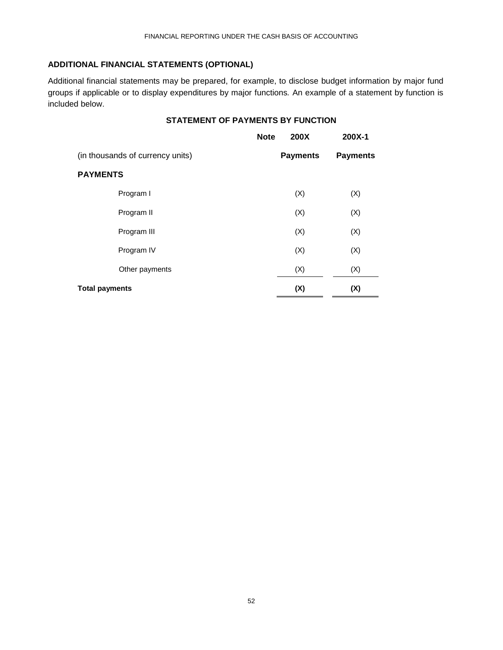# **ADDITIONAL FINANCIAL STATEMENTS (OPTIONAL)**

Additional financial statements may be prepared, for example, to disclose budget information by major fund groups if applicable or to display expenditures by major functions*.* An example of a statement by function is included below.

## **STATEMENT OF PAYMENTS BY FUNCTION**

|                                  | <b>Note</b> | <b>200X</b>     | 200X-1          |
|----------------------------------|-------------|-----------------|-----------------|
| (in thousands of currency units) |             | <b>Payments</b> | <b>Payments</b> |
| <b>PAYMENTS</b>                  |             |                 |                 |
| Program I                        |             | (X)             | (X)             |
| Program II                       |             | (X)             | (X)             |
| Program III                      |             | (X)             | (X)             |
| Program IV                       |             | (X)             | (X)             |
| Other payments                   |             | (X)             | (X)             |
| <b>Total payments</b>            |             | (X)             | (X)             |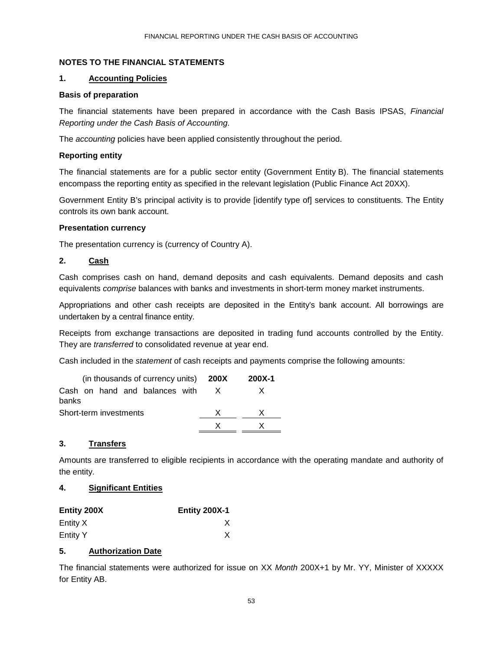## **NOTES TO THE FINANCIAL STATEMENTS**

## **1. Accounting Policies**

### **Basis of preparation**

The financial statements have been prepared in accordance with the Cash Basis IPSAS, *Financial Reporting under the Cash Basis of Accounting*.

The *accounting* policies have been applied consistently throughout the period.

## **Reporting entity**

The financial statements are for a public sector entity (Government Entity B). The financial statements encompass the reporting entity as specified in the relevant legislation (Public Finance Act 20XX).

Government Entity B's principal activity is to provide [identify type of] services to constituents. The Entity controls its own bank account.

### **Presentation currency**

The presentation currency is (currency of Country A).

### **2. Cash**

Cash comprises cash on hand, demand deposits and cash equivalents. Demand deposits and cash equivalents *comprise* balances with banks and investments in short-term money market instruments.

Appropriations and other cash receipts are deposited in the Entity's bank account. All borrowings are undertaken by a central finance entity.

Receipts from exchange transactions are deposited in trading fund accounts controlled by the Entity. They are *transferred* to consolidated revenue at year end.

Cash included in the *statement* of cash receipts and payments comprise the following amounts:

| (in thousands of currency units) 200X   |    | <b>200X-1</b> |
|-----------------------------------------|----|---------------|
| Cash on hand and balances with<br>banks | X. | X.            |
| Short-term investments                  | X  | X             |
|                                         | X  |               |

### **3. Transfers**

Amounts are transferred to eligible recipients in accordance with the operating mandate and authority of the entity.

## **4. Significant Entities**

| <b>Entity 200X</b> | <b>Entity 200X-1</b> |  |
|--------------------|----------------------|--|
| Entity X           |                      |  |
| <b>Entity Y</b>    |                      |  |

### **5. Authorization Date**

The financial statements were authorized for issue on XX *Month* 200X+1 by Mr. YY, Minister of XXXXX for Entity AB.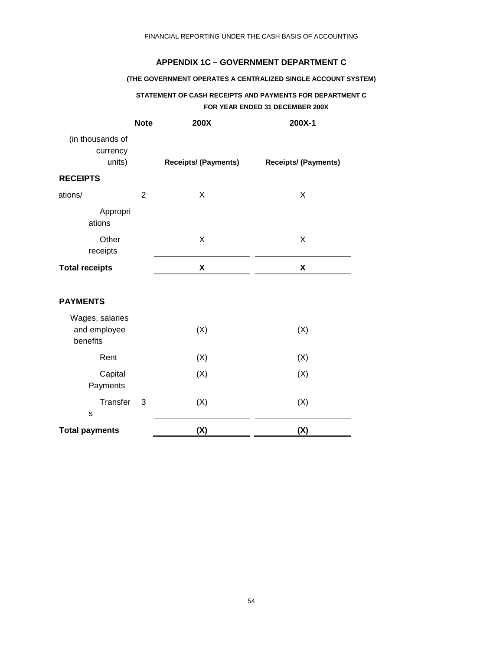## **APPENDIX 1C – GOVERNMENT DEPARTMENT C**

#### **(THE GOVERNMENT OPERATES A CENTRALIZED SINGLE ACCOUNT SYSTEM)**

## **STATEMENT OF CASH RECEIPTS AND PAYMENTS FOR DEPARTMENT C FOR YEAR ENDED 31 DECEMBER 200X**

|                                             | <b>Note</b>    | 200X                        | 200X-1                      |
|---------------------------------------------|----------------|-----------------------------|-----------------------------|
| (in thousands of<br>currency<br>units)      |                | <b>Receipts/ (Payments)</b> | <b>Receipts/ (Payments)</b> |
| <b>RECEIPTS</b>                             |                |                             |                             |
| ations/                                     | $\overline{2}$ | X                           | X                           |
| Appropri<br>ations                          |                |                             |                             |
| Other<br>receipts                           |                | X                           | X                           |
| <b>Total receipts</b>                       |                | X                           | X                           |
| <b>PAYMENTS</b>                             |                |                             |                             |
| Wages, salaries<br>and employee<br>benefits |                | (X)                         | (X)                         |
| Rent                                        |                | (X)                         | (X)                         |
| Capital<br>Payments                         |                | (X)                         | (X)                         |
| Transfer<br>S                               | 3              | (X)                         | (X)                         |
| <b>Total payments</b>                       |                | (X)                         | (X)                         |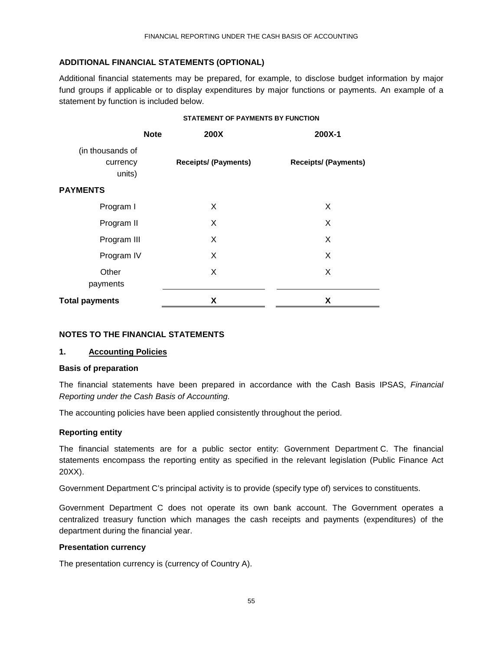## **ADDITIONAL FINANCIAL STATEMENTS (OPTIONAL)**

Additional financial statements may be prepared, for example, to disclose budget information by major fund groups if applicable or to display expenditures by major functions or payments*.* An example of a statement by function is included below.

### **STATEMENT OF PAYMENTS BY FUNCTION**

|                                        | <b>Note</b> | 200X                        | 200X-1                      |
|----------------------------------------|-------------|-----------------------------|-----------------------------|
| (in thousands of<br>currency<br>units) |             | <b>Receipts/ (Payments)</b> | <b>Receipts/ (Payments)</b> |
| <b>PAYMENTS</b>                        |             |                             |                             |
| Program I                              |             | X                           | X                           |
| Program II                             |             | X                           | X                           |
| Program III                            |             | X                           | X                           |
| Program IV                             |             | X                           | X                           |
| Other<br>payments                      |             | X                           | X                           |
| <b>Total payments</b>                  |             | X                           | X                           |

## **NOTES TO THE FINANCIAL STATEMENTS**

### **1. Accounting Policies**

### **Basis of preparation**

The financial statements have been prepared in accordance with the Cash Basis IPSAS, *Financial Reporting under the Cash Basis of Accounting*.

The accounting policies have been applied consistently throughout the period.

### **Reporting entity**

The financial statements are for a public sector entity: Government Department C. The financial statements encompass the reporting entity as specified in the relevant legislation (Public Finance Act 20XX).

Government Department C's principal activity is to provide (specify type of) services to constituents.

Government Department C does not operate its own bank account. The Government operates a centralized treasury function which manages the cash receipts and payments (expenditures) of the department during the financial year.

### **Presentation currency**

The presentation currency is (currency of Country A).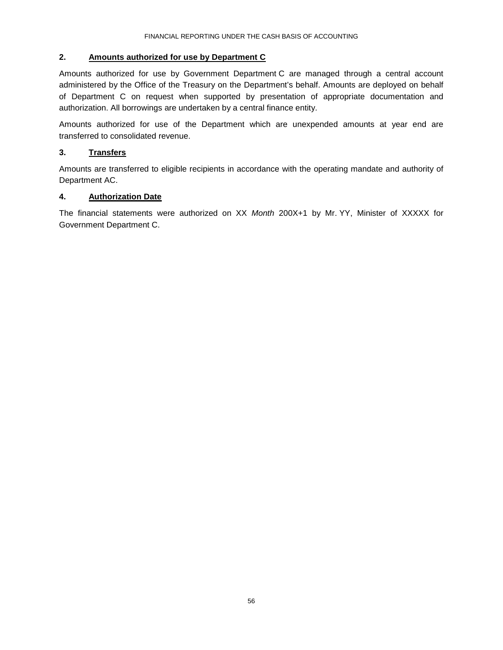## **2. Amounts authorized for use by Department C**

Amounts authorized for use by Government Department C are managed through a central account administered by the Office of the Treasury on the Department's behalf. Amounts are deployed on behalf of Department C on request when supported by presentation of appropriate documentation and authorization. All borrowings are undertaken by a central finance entity.

Amounts authorized for use of the Department which are unexpended amounts at year end are transferred to consolidated revenue.

## **3. Transfers**

Amounts are transferred to eligible recipients in accordance with the operating mandate and authority of Department AC.

## **4. Authorization Date**

The financial statements were authorized on XX *Month* 200X+1 by Mr. YY, Minister of XXXXX for Government Department C.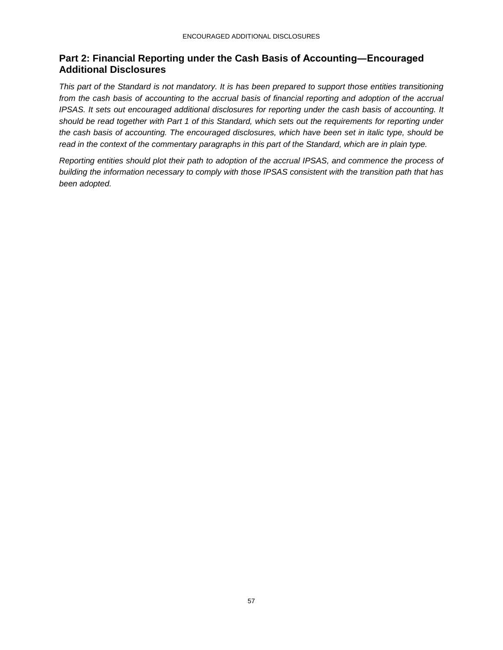# **Part 2: Financial Reporting under the Cash Basis of Accounting―Encouraged Additional Disclosures**

*This part of the Standard is not mandatory. It is has been prepared to support those entities transitioning from the cash basis of accounting to the accrual basis of financial reporting and adoption of the accrual IPSAS. It sets out encouraged additional disclosures for reporting under the cash basis of accounting. It should be read together with Part 1 of this Standard, which sets out the requirements for reporting under the cash basis of accounting. The encouraged disclosures, which have been set in italic type, should be read in the context of the commentary paragraphs in this part of the Standard, which are in plain type.*

*Reporting entities should plot their path to adoption of the accrual IPSAS, and commence the process of building the information necessary to comply with those IPSAS consistent with the transition path that has been adopted.*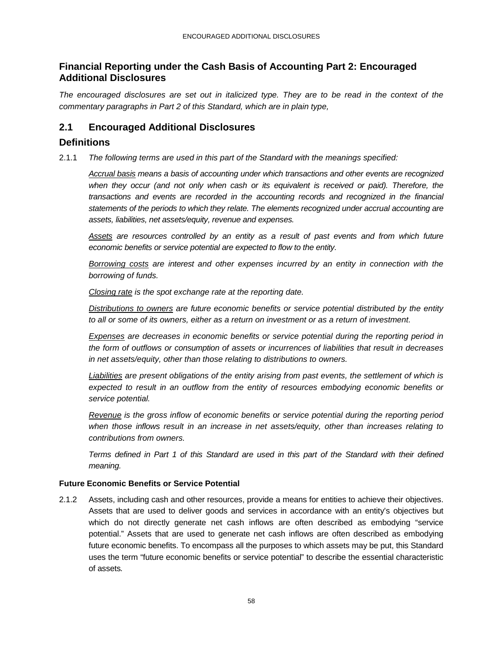# **Financial Reporting under the Cash Basis of Accounting Part 2: Encouraged Additional Disclosures**

*The encouraged disclosures are set out in italicized type. They are to be read in the context of the commentary paragraphs in Part 2 of this Standard, which are in plain type,*

# **2.1 Encouraged Additional Disclosures**

# **Definitions**

2.1.1 *The following terms are used in this part of the Standard with the meanings specified:* 

*Accrual basis means a basis of accounting under which transactions and other events are recognized when they occur (and not only when cash or its equivalent is received or paid). Therefore, the transactions and events are recorded in the accounting records and recognized in the financial statements of the periods to which they relate. The elements recognized under accrual accounting are assets, liabilities, net assets/equity, revenue and expenses.*

*Assets are resources controlled by an entity as a result of past events and from which future economic benefits or service potential are expected to flow to the entity.*

*Borrowing costs are interest and other expenses incurred by an entity in connection with the borrowing of funds.*

*Closing rate is the spot exchange rate at the reporting date.*

*Distributions to owners are future economic benefits or service potential distributed by the entity to all or some of its owners, either as a return on investment or as a return of investment.*

*Expenses are decreases in economic benefits or service potential during the reporting period in the form of outflows or consumption of assets or incurrences of liabilities that result in decreases in net assets/equity, other than those relating to distributions to owners.*

*Liabilities are present obligations of the entity arising from past events, the settlement of which is expected to result in an outflow from the entity of resources embodying economic benefits or service potential.*

*Revenue is the gross inflow of economic benefits or service potential during the reporting period when those inflows result in an increase in net assets/equity, other than increases relating to contributions from owners.*

*Terms defined in Part 1 of this Standard are used in this part of the Standard with their defined meaning.*

## **Future Economic Benefits or Service Potential**

2.1.2 Assets, including cash and other resources, provide a means for entities to achieve their objectives. Assets that are used to deliver goods and services in accordance with an entity's objectives but which do not directly generate net cash inflows are often described as embodying "service potential." Assets that are used to generate net cash inflows are often described as embodying future economic benefits. To encompass all the purposes to which assets may be put, this Standard uses the term "future economic benefits or service potential" to describe the essential characteristic of assets*.*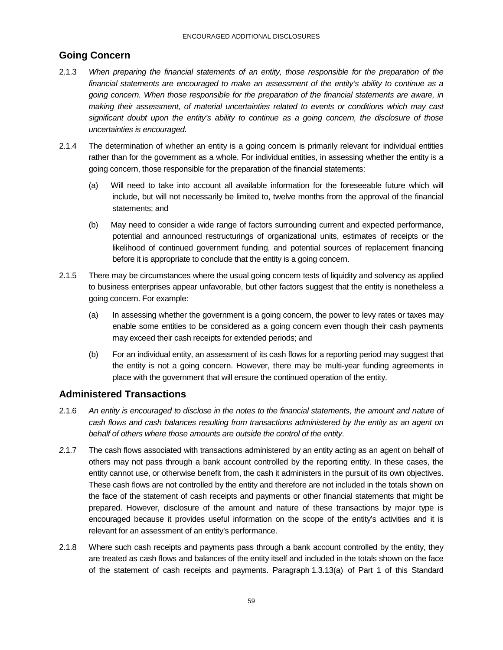# **Going Concern**

- 2.1.3 *When preparing the financial statements of an entity, those responsible for the preparation of the financial statements are encouraged to make an assessment of the entity's ability to continue as a going concern. When those responsible for the preparation of the financial statements are aware, in making their assessment, of material uncertainties related to events or conditions which may cast significant doubt upon the entity's ability to continue as a going concern, the disclosure of those uncertainties is encouraged.*
- 2.1.4 The determination of whether an entity is a going concern is primarily relevant for individual entities rather than for the government as a whole. For individual entities, in assessing whether the entity is a going concern, those responsible for the preparation of the financial statements:
	- (a) Will need to take into account all available information for the foreseeable future which will include, but will not necessarily be limited to, twelve months from the approval of the financial statements; and
	- (b) May need to consider a wide range of factors surrounding current and expected performance, potential and announced restructurings of organizational units, estimates of receipts or the likelihood of continued government funding, and potential sources of replacement financing before it is appropriate to conclude that the entity is a going concern.
- 2.1.5 There may be circumstances where the usual going concern tests of liquidity and solvency as applied to business enterprises appear unfavorable, but other factors suggest that the entity is nonetheless a going concern. For example:
	- (a) In assessing whether the government is a going concern, the power to levy rates or taxes may enable some entities to be considered as a going concern even though their cash payments may exceed their cash receipts for extended periods; and
	- (b) For an individual entity, an assessment of its cash flows for a reporting period may suggest that the entity is not a going concern. However, there may be multi-year funding agreements in place with the government that will ensure the continued operation of the entity.

# **Administered Transactions**

- 2.1.6 *An entity is encouraged to disclose in the notes to the financial statements, the amount and nature of cash flows and cash balances resulting from transactions administered by the entity as an agent on behalf of others where those amounts are outside the control of the entity.*
- *2*.1.7 The cash flows associated with transactions administered by an entity acting as an agent on behalf of others may not pass through a bank account controlled by the reporting entity. In these cases, the entity cannot use, or otherwise benefit from, the cash it administers in the pursuit of its own objectives. These cash flows are not controlled by the entity and therefore are not included in the totals shown on the face of the statement of cash receipts and payments or other financial statements that might be prepared. However, disclosure of the amount and nature of these transactions by major type is encouraged because it provides useful information on the scope of the entity's activities and it is relevant for an assessment of an entity's performance.
- 2.1.8 Where such cash receipts and payments pass through a bank account controlled by the entity, they are treated as cash flows and balances of the entity itself and included in the totals shown on the face of the statement of cash receipts and payments. Paragraph 1.3.13(a) of Part 1 of this Standard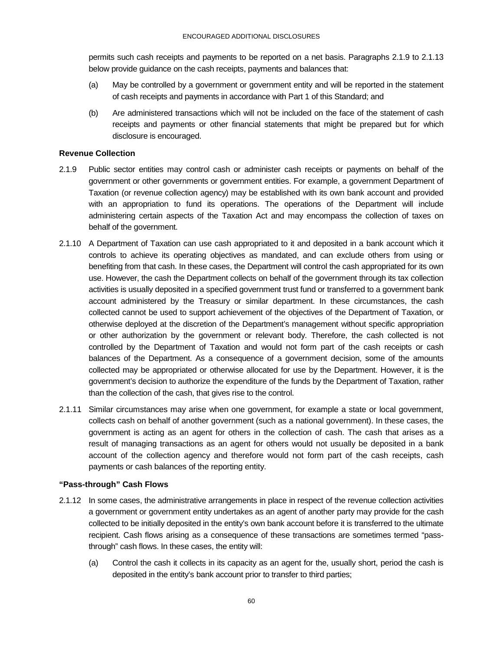permits such cash receipts and payments to be reported on a net basis. Paragraphs 2.1.9 to 2.1.13 below provide guidance on the cash receipts, payments and balances that:

- (a) May be controlled by a government or government entity and will be reported in the statement of cash receipts and payments in accordance with Part 1 of this Standard; and
- (b) Are administered transactions which will not be included on the face of the statement of cash receipts and payments or other financial statements that might be prepared but for which disclosure is encouraged.

## **Revenue Collection**

- 2.1.9 Public sector entities may control cash or administer cash receipts or payments on behalf of the government or other governments or government entities. For example, a government Department of Taxation (or revenue collection agency) may be established with its own bank account and provided with an appropriation to fund its operations. The operations of the Department will include administering certain aspects of the Taxation Act and may encompass the collection of taxes on behalf of the government.
- 2.1.10 A Department of Taxation can use cash appropriated to it and deposited in a bank account which it controls to achieve its operating objectives as mandated, and can exclude others from using or benefiting from that cash. In these cases, the Department will control the cash appropriated for its own use. However, the cash the Department collects on behalf of the government through its tax collection activities is usually deposited in a specified government trust fund or transferred to a government bank account administered by the Treasury or similar department. In these circumstances, the cash collected cannot be used to support achievement of the objectives of the Department of Taxation, or otherwise deployed at the discretion of the Department's management without specific appropriation or other authorization by the government or relevant body. Therefore, the cash collected is not controlled by the Department of Taxation and would not form part of the cash receipts or cash balances of the Department. As a consequence of a government decision, some of the amounts collected may be appropriated or otherwise allocated for use by the Department. However, it is the government's decision to authorize the expenditure of the funds by the Department of Taxation, rather than the collection of the cash, that gives rise to the control.
- 2.1.11 Similar circumstances may arise when one government, for example a state or local government, collects cash on behalf of another government (such as a national government). In these cases, the government is acting as an agent for others in the collection of cash. The cash that arises as a result of managing transactions as an agent for others would not usually be deposited in a bank account of the collection agency and therefore would not form part of the cash receipts, cash payments or cash balances of the reporting entity.

### **"Pass-through" Cash Flows**

- 2.1.12 In some cases, the administrative arrangements in place in respect of the revenue collection activities a government or government entity undertakes as an agent of another party may provide for the cash collected to be initially deposited in the entity's own bank account before it is transferred to the ultimate recipient. Cash flows arising as a consequence of these transactions are sometimes termed "passthrough" cash flows. In these cases, the entity will:
	- (a) Control the cash it collects in its capacity as an agent for the, usually short, period the cash is deposited in the entity's bank account prior to transfer to third parties;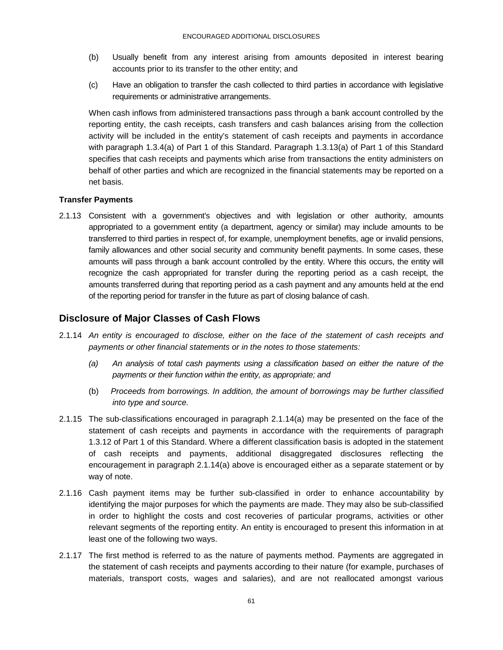- (b) Usually benefit from any interest arising from amounts deposited in interest bearing accounts prior to its transfer to the other entity; and
- (c) Have an obligation to transfer the cash collected to third parties in accordance with legislative requirements or administrative arrangements.

When cash inflows from administered transactions pass through a bank account controlled by the reporting entity, the cash receipts, cash transfers and cash balances arising from the collection activity will be included in the entity's statement of cash receipts and payments in accordance with paragraph 1.3.4(a) of Part 1 of this Standard. Paragraph 1.3.13(a) of Part 1 of this Standard specifies that cash receipts and payments which arise from transactions the entity administers on behalf of other parties and which are recognized in the financial statements may be reported on a net basis.

### **Transfer Payments**

2.1.13 Consistent with a government's objectives and with legislation or other authority, amounts appropriated to a government entity (a department, agency or similar) may include amounts to be transferred to third parties in respect of, for example, unemployment benefits, age or invalid pensions, family allowances and other social security and community benefit payments. In some cases, these amounts will pass through a bank account controlled by the entity. Where this occurs, the entity will recognize the cash appropriated for transfer during the reporting period as a cash receipt, the amounts transferred during that reporting period as a cash payment and any amounts held at the end of the reporting period for transfer in the future as part of closing balance of cash.

# **Disclosure of Major Classes of Cash Flows**

- 2.1.14 *An entity is encouraged to disclose, either on the face of the statement of cash receipts and payments or other financial statements or in the notes to those statements:*
	- *(a) An analysis of total cash payments using a classification based on either the nature of the payments or their function within the entity, as appropriate; and*
	- (b) *Proceeds from borrowings. In addition, the amount of borrowings may be further classified into type and source.*
- 2.1.15 The sub-classifications encouraged in paragraph 2.1.14(a) may be presented on the face of the statement of cash receipts and payments in accordance with the requirements of paragraph 1.3.12 of Part 1 of this Standard. Where a different classification basis is adopted in the statement of cash receipts and payments, additional disaggregated disclosures reflecting the encouragement in paragraph 2.1.14(a) above is encouraged either as a separate statement or by way of note.
- 2.1.16 Cash payment items may be further sub-classified in order to enhance accountability by identifying the major purposes for which the payments are made. They may also be sub-classified in order to highlight the costs and cost recoveries of particular programs, activities or other relevant segments of the reporting entity. An entity is encouraged to present this information in at least one of the following two ways.
- 2.1.17 The first method is referred to as the nature of payments method. Payments are aggregated in the statement of cash receipts and payments according to their nature (for example, purchases of materials, transport costs, wages and salaries), and are not reallocated amongst various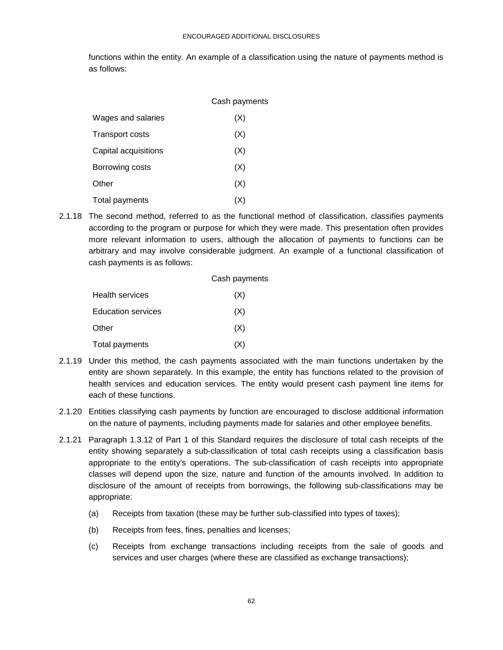functions within the entity. An example of a classification using the nature of payments method is as follows:

|                      | Cash payments |
|----------------------|---------------|
| Wages and salaries   | (X)           |
| Transport costs      | (X)           |
| Capital acquisitions | (X)           |
| Borrowing costs      | (X)           |
| Other                | (X)           |
| Total payments       | (X)           |

2.1.18 The second method, referred to as the functional method of classification, classifies payments according to the program or purpose for which they were made. This presentation often provides more relevant information to users, although the allocation of payments to functions can be arbitrary and may involve considerable judgment. An example of a functional classification of cash payments is as follows:

|                    | Cash payments |
|--------------------|---------------|
| Health services    | (X)           |
| Education services | (X)           |
| Other              | (X)           |
| Total payments     | (X)           |

- 2.1.19 Under this method, the cash payments associated with the main functions undertaken by the entity are shown separately. In this example, the entity has functions related to the provision of health services and education services. The entity would present cash payment line items for each of these functions.
- 2.1.20 Entities classifying cash payments by function are encouraged to disclose additional information on the nature of payments, including payments made for salaries and other employee benefits.
- 2.1.21 Paragraph 1.3.12 of Part 1 of this Standard requires the disclosure of total cash receipts of the entity showing separately a sub-classification of total cash receipts using a classification basis appropriate to the entity's operations. The sub-classification of cash receipts into appropriate classes will depend upon the size, nature and function of the amounts involved. In addition to disclosure of the amount of receipts from borrowings, the following sub-classifications may be appropriate:
	- (a) Receipts from taxation (these may be further sub-classified into types of taxes);
	- (b) Receipts from fees, fines, penalties and licenses;
	- (c) Receipts from exchange transactions including receipts from the sale of goods and services and user charges (where these are classified as exchange transactions);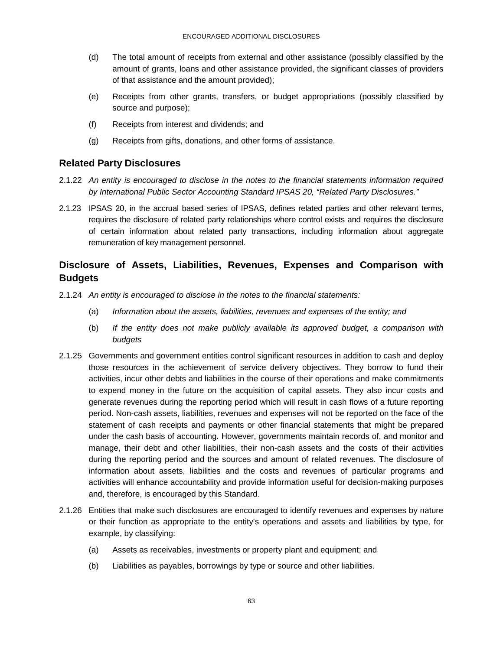- (d) The total amount of receipts from external and other assistance (possibly classified by the amount of grants, loans and other assistance provided, the significant classes of providers of that assistance and the amount provided);
- (e) Receipts from other grants, transfers, or budget appropriations (possibly classified by source and purpose);
- (f) Receipts from interest and dividends; and
- (g) Receipts from gifts, donations, and other forms of assistance.

## **Related Party Disclosures**

- 2.1.22 *An entity is encouraged to disclose in the notes to the financial statements information required by International Public Sector Accounting Standard IPSAS 20, "Related Party Disclosures."*
- 2.1.23 IPSAS 20, in the accrual based series of IPSAS, defines related parties and other relevant terms, requires the disclosure of related party relationships where control exists and requires the disclosure of certain information about related party transactions, including information about aggregate remuneration of key management personnel.

# **Disclosure of Assets, Liabilities, Revenues, Expenses and Comparison with Budgets**

- 2.1.24 *An entity is encouraged to disclose in the notes to the financial statements:*
	- (a) *Information about the assets, liabilities, revenues and expenses of the entity; and*
	- (b) *If the entity does not make publicly available its approved budget, a comparison with budgets*
- 2.1.25 Governments and government entities control significant resources in addition to cash and deploy those resources in the achievement of service delivery objectives. They borrow to fund their activities, incur other debts and liabilities in the course of their operations and make commitments to expend money in the future on the acquisition of capital assets. They also incur costs and generate revenues during the reporting period which will result in cash flows of a future reporting period. Non-cash assets, liabilities, revenues and expenses will not be reported on the face of the statement of cash receipts and payments or other financial statements that might be prepared under the cash basis of accounting. However, governments maintain records of, and monitor and manage, their debt and other liabilities, their non-cash assets and the costs of their activities during the reporting period and the sources and amount of related revenues. The disclosure of information about assets, liabilities and the costs and revenues of particular programs and activities will enhance accountability and provide information useful for decision-making purposes and, therefore, is encouraged by this Standard.
- 2.1.26 Entities that make such disclosures are encouraged to identify revenues and expenses by nature or their function as appropriate to the entity's operations and assets and liabilities by type, for example, by classifying:
	- (a) Assets as receivables, investments or property plant and equipment; and
	- (b) Liabilities as payables, borrowings by type or source and other liabilities.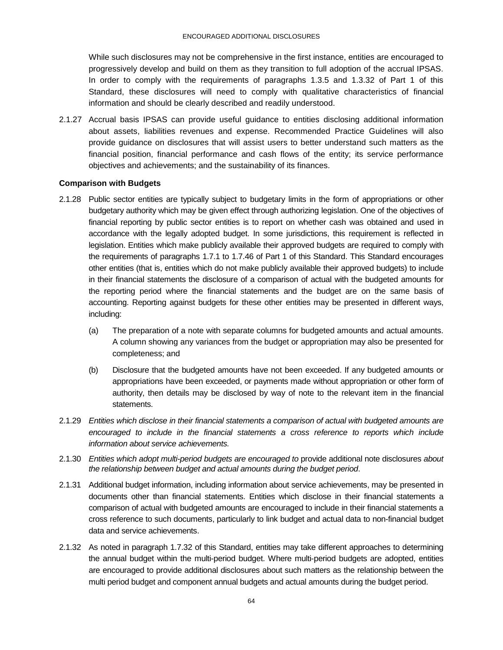While such disclosures may not be comprehensive in the first instance, entities are encouraged to progressively develop and build on them as they transition to full adoption of the accrual IPSAS. In order to comply with the requirements of paragraphs 1.3.5 and 1.3.32 of Part 1 of this Standard, these disclosures will need to comply with qualitative characteristics of financial information and should be clearly described and readily understood.

2.1.27 Accrual basis IPSAS can provide useful guidance to entities disclosing additional information about assets, liabilities revenues and expense. Recommended Practice Guidelines will also provide guidance on disclosures that will assist users to better understand such matters as the financial position, financial performance and cash flows of the entity; its service performance objectives and achievements; and the sustainability of its finances.

### **Comparison with Budgets**

- 2.1.28 Public sector entities are typically subject to budgetary limits in the form of appropriations or other budgetary authority which may be given effect through authorizing legislation. One of the objectives of financial reporting by public sector entities is to report on whether cash was obtained and used in accordance with the legally adopted budget. In some jurisdictions, this requirement is reflected in legislation. Entities which make publicly available their approved budgets are required to comply with the requirements of paragraphs 1.7.1 to 1.7.46 of Part 1 of this Standard. This Standard encourages other entities (that is, entities which do not make publicly available their approved budgets) to include in their financial statements the disclosure of a comparison of actual with the budgeted amounts for the reporting period where the financial statements and the budget are on the same basis of accounting. Reporting against budgets for these other entities may be presented in different ways, including:
	- (a) The preparation of a note with separate columns for budgeted amounts and actual amounts. A column showing any variances from the budget or appropriation may also be presented for completeness; and
	- (b) Disclosure that the budgeted amounts have not been exceeded. If any budgeted amounts or appropriations have been exceeded, or payments made without appropriation or other form of authority, then details may be disclosed by way of note to the relevant item in the financial statements.
- 2.1.29 *Entities which disclose in their financial statements a comparison of actual with budgeted amounts are*  encouraged to include in the financial statements a cross reference to reports which include *information about service achievements.*
- 2.1.30 *Entities which adopt multi-period budgets are encouraged to* provide additional note disclosures *about the relationship between budget and actual amounts during the budget period*.
- 2.1.31 Additional budget information, including information about service achievements, may be presented in documents other than financial statements. Entities which disclose in their financial statements a comparison of actual with budgeted amounts are encouraged to include in their financial statements a cross reference to such documents, particularly to link budget and actual data to non-financial budget data and service achievements.
- 2.1.32 As noted in paragraph 1.7.32 of this Standard, entities may take different approaches to determining the annual budget within the multi-period budget. Where multi-period budgets are adopted, entities are encouraged to provide additional disclosures about such matters as the relationship between the multi period budget and component annual budgets and actual amounts during the budget period.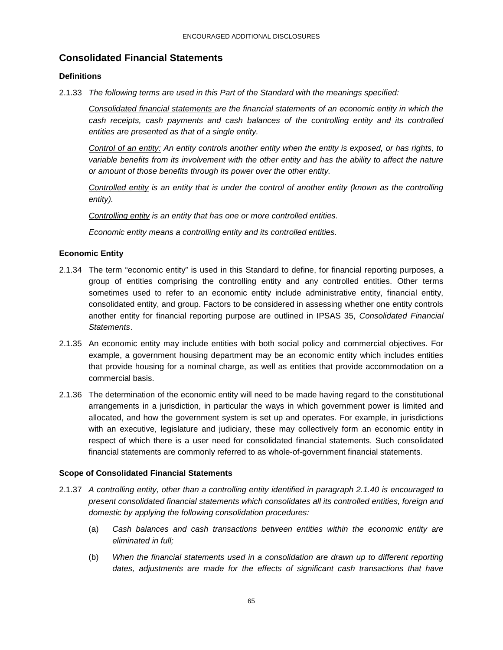# **Consolidated Financial Statements**

## **Definitions**

2.1.33 *The following terms are used in this Part of the Standard with the meanings specified:*

*Consolidated financial statements are the financial statements of an economic entity in which the cash receipts, cash payments and cash balances of the controlling entity and its controlled entities are presented as that of a single entity.* 

*Control of an entity: An entity controls another entity when the entity is exposed, or has rights, to variable benefits from its involvement with the other entity and has the ability to affect the nature or amount of those benefits through its power over the other entity.*

*Controlled entity is an entity that is under the control of another entity (known as the controlling entity).*

*Controlling entity is an entity that has one or more controlled entities.*

*Economic entity means a controlling entity and its controlled entities.*

## **Economic Entity**

- 2.1.34 The term "economic entity" is used in this Standard to define, for financial reporting purposes, a group of entities comprising the controlling entity and any controlled entities. Other terms sometimes used to refer to an economic entity include administrative entity, financial entity, consolidated entity, and group. Factors to be considered in assessing whether one entity controls another entity for financial reporting purpose are outlined in IPSAS 35, *Consolidated Financial Statements*.
- 2.1.35 An economic entity may include entities with both social policy and commercial objectives. For example, a government housing department may be an economic entity which includes entities that provide housing for a nominal charge, as well as entities that provide accommodation on a commercial basis.
- 2.1.36 The determination of the economic entity will need to be made having regard to the constitutional arrangements in a jurisdiction, in particular the ways in which government power is limited and allocated, and how the government system is set up and operates. For example, in jurisdictions with an executive, legislature and judiciary, these may collectively form an economic entity in respect of which there is a user need for consolidated financial statements. Such consolidated financial statements are commonly referred to as whole-of-government financial statements.

## **Scope of Consolidated Financial Statements**

- 2.1.37 *A controlling entity, other than a controlling entity identified in paragraph 2.1.40 is encouraged to present consolidated financial statements which consolidates all its controlled entities, foreign and domestic by applying the following consolidation procedures:*
	- (a) *Cash balances and cash transactions between entities within the economic entity are eliminated in full;*
	- (b) *When the financial statements used in a consolidation are drawn up to different reporting dates, adjustments are made for the effects of significant cash transactions that have*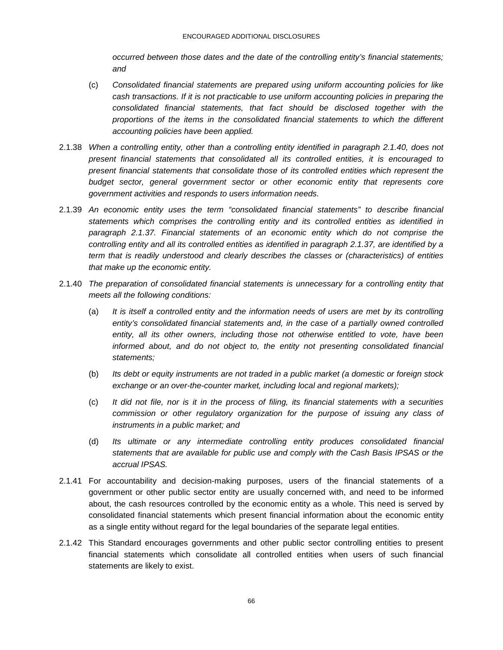*occurred between those dates and the date of the controlling entity's financial statements; and*

- (c) *Consolidated financial statements are prepared using uniform accounting policies for like cash transactions. If it is not practicable to use uniform accounting policies in preparing the consolidated financial statements, that fact should be disclosed together with the proportions of the items in the consolidated financial statements to which the different accounting policies have been applied.*
- 2.1.38 *When a controlling entity, other than a controlling entity identified in paragraph 2.1.40, does not present financial statements that consolidated all its controlled entities, it is encouraged to present financial statements that consolidate those of its controlled entities which represent the budget sector, general government sector or other economic entity that represents core government activities and responds to users information needs.*
- 2.1.39 *An economic entity uses the term "consolidated financial statements" to describe financial statements which comprises the controlling entity and its controlled entities as identified in paragraph 2.1.37. Financial statements of an economic entity which do not comprise the controlling entity and all its controlled entities as identified in paragraph 2.1.37, are identified by a term that is readily understood and clearly describes the classes or (characteristics) of entities that make up the economic entity.*
- 2.1.40 *The preparation of consolidated financial statements is unnecessary for a controlling entity that meets all the following conditions:*
	- (a) *It is itself a controlled entity and the information needs of users are met by its controlling entity's consolidated financial statements and, in the case of a partially owned controlled entity, all its other owners, including those not otherwise entitled to vote, have been informed about, and do not object to, the entity not presenting consolidated financial statements;*
	- (b) *Its debt or equity instruments are not traded in a public market (a domestic or foreign stock exchange or an over-the-counter market, including local and regional markets);*
	- (c) *It did not file, nor is it in the process of filing, its financial statements with a securities commission or other regulatory organization for the purpose of issuing any class of instruments in a public market; and*
	- (d) *Its ultimate or any intermediate controlling entity produces consolidated financial statements that are available for public use and comply with the Cash Basis IPSAS or the accrual IPSAS.*
- 2.1.41 For accountability and decision-making purposes, users of the financial statements of a government or other public sector entity are usually concerned with, and need to be informed about, the cash resources controlled by the economic entity as a whole. This need is served by consolidated financial statements which present financial information about the economic entity as a single entity without regard for the legal boundaries of the separate legal entities.
- 2.1.42 This Standard encourages governments and other public sector controlling entities to present financial statements which consolidate all controlled entities when users of such financial statements are likely to exist.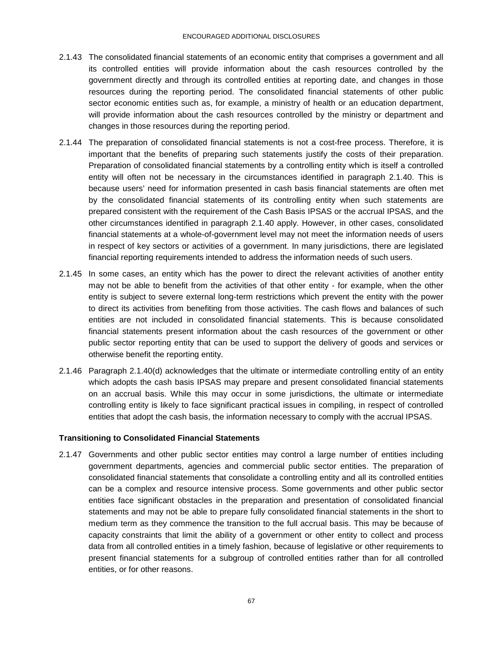- 2.1.43 The consolidated financial statements of an economic entity that comprises a government and all its controlled entities will provide information about the cash resources controlled by the government directly and through its controlled entities at reporting date, and changes in those resources during the reporting period. The consolidated financial statements of other public sector economic entities such as, for example, a ministry of health or an education department, will provide information about the cash resources controlled by the ministry or department and changes in those resources during the reporting period.
- 2.1.44 The preparation of consolidated financial statements is not a cost-free process. Therefore, it is important that the benefits of preparing such statements justify the costs of their preparation. Preparation of consolidated financial statements by a controlling entity which is itself a controlled entity will often not be necessary in the circumstances identified in paragraph 2.1.40. This is because users' need for information presented in cash basis financial statements are often met by the consolidated financial statements of its controlling entity when such statements are prepared consistent with the requirement of the Cash Basis IPSAS or the accrual IPSAS, and the other circumstances identified in paragraph 2.1.40 apply. However, in other cases, consolidated financial statements at a whole-of-government level may not meet the information needs of users in respect of key sectors or activities of a government. In many jurisdictions, there are legislated financial reporting requirements intended to address the information needs of such users.
- 2.1.45 In some cases, an entity which has the power to direct the relevant activities of another entity may not be able to benefit from the activities of that other entity - for example, when the other entity is subject to severe external long-term restrictions which prevent the entity with the power to direct its activities from benefiting from those activities. The cash flows and balances of such entities are not included in consolidated financial statements. This is because consolidated financial statements present information about the cash resources of the government or other public sector reporting entity that can be used to support the delivery of goods and services or otherwise benefit the reporting entity.
- 2.1.46 Paragraph 2.1.40(d) acknowledges that the ultimate or intermediate controlling entity of an entity which adopts the cash basis IPSAS may prepare and present consolidated financial statements on an accrual basis. While this may occur in some jurisdictions, the ultimate or intermediate controlling entity is likely to face significant practical issues in compiling, in respect of controlled entities that adopt the cash basis, the information necessary to comply with the accrual IPSAS.

#### **Transitioning to Consolidated Financial Statements**

2.1.47 Governments and other public sector entities may control a large number of entities including government departments, agencies and commercial public sector entities. The preparation of consolidated financial statements that consolidate a controlling entity and all its controlled entities can be a complex and resource intensive process. Some governments and other public sector entities face significant obstacles in the preparation and presentation of consolidated financial statements and may not be able to prepare fully consolidated financial statements in the short to medium term as they commence the transition to the full accrual basis. This may be because of capacity constraints that limit the ability of a government or other entity to collect and process data from all controlled entities in a timely fashion, because of legislative or other requirements to present financial statements for a subgroup of controlled entities rather than for all controlled entities, or for other reasons.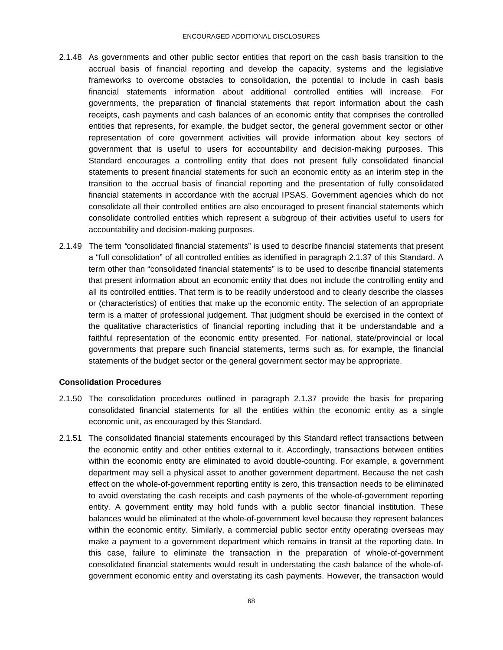- 2.1.48 As governments and other public sector entities that report on the cash basis transition to the accrual basis of financial reporting and develop the capacity, systems and the legislative frameworks to overcome obstacles to consolidation, the potential to include in cash basis financial statements information about additional controlled entities will increase. For governments, the preparation of financial statements that report information about the cash receipts, cash payments and cash balances of an economic entity that comprises the controlled entities that represents, for example, the budget sector, the general government sector or other representation of core government activities will provide information about key sectors of government that is useful to users for accountability and decision-making purposes. This Standard encourages a controlling entity that does not present fully consolidated financial statements to present financial statements for such an economic entity as an interim step in the transition to the accrual basis of financial reporting and the presentation of fully consolidated financial statements in accordance with the accrual IPSAS. Government agencies which do not consolidate all their controlled entities are also encouraged to present financial statements which consolidate controlled entities which represent a subgroup of their activities useful to users for accountability and decision-making purposes.
- 2.1.49 The term *"*consolidated financial statements" is used to describe financial statements that present a "full consolidation" of all controlled entities as identified in paragraph 2.1.37 of this Standard. A term other than "consolidated financial statements" is to be used to describe financial statements that present information about an economic entity that does not include the controlling entity and all its controlled entities. That term is to be readily understood and to clearly describe the classes or (characteristics) of entities that make up the economic entity. The selection of an appropriate term is a matter of professional judgement. That judgment should be exercised in the context of the qualitative characteristics of financial reporting including that it be understandable and a faithful representation of the economic entity presented. For national, state/provincial or local governments that prepare such financial statements, terms such as, for example, the financial statements of the budget sector or the general government sector may be appropriate.

#### **Consolidation Procedures**

- 2.1.50 The consolidation procedures outlined in paragraph 2.1.37 provide the basis for preparing consolidated financial statements for all the entities within the economic entity as a single economic unit, as encouraged by this Standard.
- 2.1.51 The consolidated financial statements encouraged by this Standard reflect transactions between the economic entity and other entities external to it. Accordingly, transactions between entities within the economic entity are eliminated to avoid double-counting. For example, a government department may sell a physical asset to another government department. Because the net cash effect on the whole-of-government reporting entity is zero, this transaction needs to be eliminated to avoid overstating the cash receipts and cash payments of the whole-of-government reporting entity. A government entity may hold funds with a public sector financial institution. These balances would be eliminated at the whole-of-government level because they represent balances within the economic entity. Similarly, a commercial public sector entity operating overseas may make a payment to a government department which remains in transit at the reporting date. In this case, failure to eliminate the transaction in the preparation of whole-of-government consolidated financial statements would result in understating the cash balance of the whole-ofgovernment economic entity and overstating its cash payments. However, the transaction would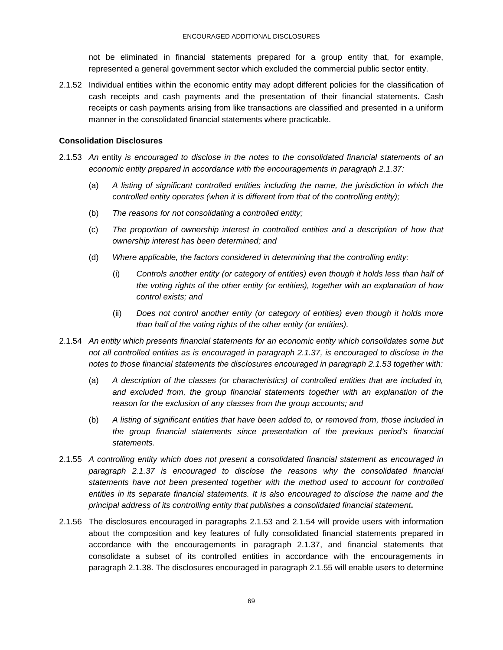not be eliminated in financial statements prepared for a group entity that, for example, represented a general government sector which excluded the commercial public sector entity.

2.1.52 Individual entities within the economic entity may adopt different policies for the classification of cash receipts and cash payments and the presentation of their financial statements. Cash receipts or cash payments arising from like transactions are classified and presented in a uniform manner in the consolidated financial statements where practicable.

### **Consolidation Disclosures**

- 2.1.53 *An* entity *is encouraged to disclose in the notes to the consolidated financial statements of an economic entity prepared in accordance with the encouragements in paragraph 2.1.37:*
	- (a) *A listing of significant controlled entities including the name, the jurisdiction in which the controlled entity operates (when it is different from that of the controlling entity);*
	- (b) *The reasons for not consolidating a controlled entity;*
	- (c) *The proportion of ownership interest in controlled entities and a description of how that ownership interest has been determined; and*
	- (d) *Where applicable, the factors considered in determining that the controlling entity:*
		- (i) *Controls another entity (or category of entities) even though it holds less than half of the voting rights of the other entity (or entities), together with an explanation of how control exists; and*
		- (ii) *Does not control another entity (or category of entities) even though it holds more than half of the voting rights of the other entity (or entities).*
- 2.1.54 *An entity which presents financial statements for an economic entity which consolidates some but not all controlled entities as is encouraged in paragraph 2.1.37, is encouraged to disclose in the notes to those financial statements the disclosures encouraged in paragraph 2.1.53 together with:* 
	- (a) *A description of the classes (or characteristics) of controlled entities that are included in, and excluded from, the group financial statements together with an explanation of the reason for the exclusion of any classes from the group accounts; and*
	- (b) *A listing of significant entities that have been added to, or removed from, those included in the group financial statements since presentation of the previous period's financial statements.*
- 2.1.55 *A controlling entity which does not present a consolidated financial statement as encouraged in paragraph 2.1.37 is encouraged to disclose the reasons why the consolidated financial statements have not been presented together with the method used to account for controlled entities in its separate financial statements. It is also encouraged to disclose the name and the principal address of its controlling entity that publishes a consolidated financial statement***.**
- 2.1.56 The disclosures encouraged in paragraphs 2.1.53 and 2.1.54 will provide users with information about the composition and key features of fully consolidated financial statements prepared in accordance with the encouragements in paragraph 2.1.37, and financial statements that consolidate a subset of its controlled entities in accordance with the encouragements in paragraph 2.1.38. The disclosures encouraged in paragraph 2.1.55 will enable users to determine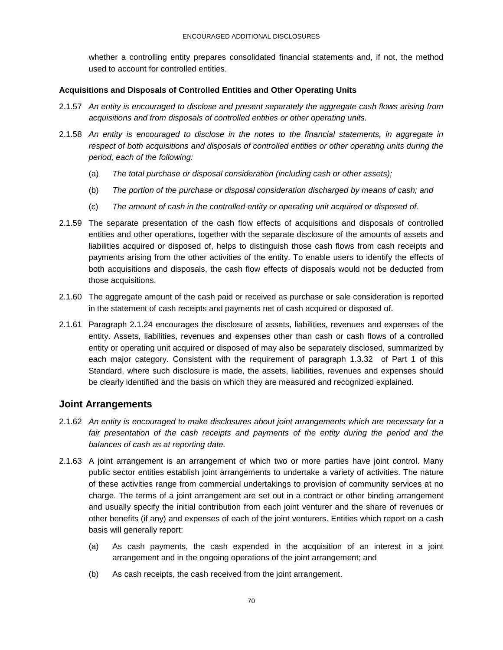whether a controlling entity prepares consolidated financial statements and, if not, the method used to account for controlled entities.

## **Acquisitions and Disposals of Controlled Entities and Other Operating Units**

- 2.1.57 *An entity is encouraged to disclose and present separately the aggregate cash flows arising from acquisitions and from disposals of controlled entities or other operating units.*
- 2.1.58 *An entity is encouraged to disclose in the notes to the financial statements, in aggregate in respect of both acquisitions and disposals of controlled entities or other operating units during the period, each of the following:*
	- (a) *The total purchase or disposal consideration (including cash or other assets);*
	- (b) *The portion of the purchase or disposal consideration discharged by means of cash; and*
	- (c) *The amount of cash in the controlled entity or operating unit acquired or disposed of.*
- 2.1.59 The separate presentation of the cash flow effects of acquisitions and disposals of controlled entities and other operations, together with the separate disclosure of the amounts of assets and liabilities acquired or disposed of, helps to distinguish those cash flows from cash receipts and payments arising from the other activities of the entity. To enable users to identify the effects of both acquisitions and disposals, the cash flow effects of disposals would not be deducted from those acquisitions.
- 2.1.60 The aggregate amount of the cash paid or received as purchase or sale consideration is reported in the statement of cash receipts and payments net of cash acquired or disposed of.
- 2.1.61 Paragraph 2.1.24 encourages the disclosure of assets, liabilities, revenues and expenses of the entity. Assets, liabilities, revenues and expenses other than cash or cash flows of a controlled entity or operating unit acquired or disposed of may also be separately disclosed, summarized by each major category. Consistent with the requirement of paragraph 1.3.32 of Part 1 of this Standard, where such disclosure is made, the assets, liabilities, revenues and expenses should be clearly identified and the basis on which they are measured and recognized explained.

## **Joint Arrangements**

- 2.1.62 *An entity is encouraged to make disclosures about joint arrangements which are necessary for a*  fair presentation of the cash receipts and payments of the entity during the period and the *balances of cash as at reporting date.*
- 2.1.63 A joint arrangement is an arrangement of which two or more parties have joint control. Many public sector entities establish joint arrangements to undertake a variety of activities. The nature of these activities range from commercial undertakings to provision of community services at no charge. The terms of a joint arrangement are set out in a contract or other binding arrangement and usually specify the initial contribution from each joint venturer and the share of revenues or other benefits (if any) and expenses of each of the joint venturers. Entities which report on a cash basis will generally report:
	- (a) As cash payments, the cash expended in the acquisition of an interest in a joint arrangement and in the ongoing operations of the joint arrangement; and
	- (b) As cash receipts, the cash received from the joint arrangement.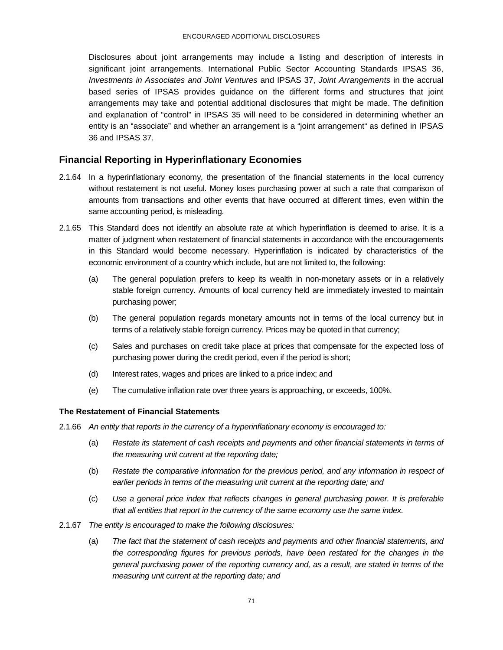Disclosures about joint arrangements may include a listing and description of interests in significant joint arrangements. International Public Sector Accounting Standards IPSAS 36, *Investments in Associates and Joint Ventures* and IPSAS 37, *Joint Arrangements* in the accrual based series of IPSAS provides guidance on the different forms and structures that joint arrangements may take and potential additional disclosures that might be made. The definition and explanation of "control" in IPSAS 35 will need to be considered in determining whether an entity is an "associate" and whether an arrangement is a "joint arrangement" as defined in IPSAS 36 and IPSAS 37.

## **Financial Reporting in Hyperinflationary Economies**

- 2.1.64 In a hyperinflationary economy, the presentation of the financial statements in the local currency without restatement is not useful. Money loses purchasing power at such a rate that comparison of amounts from transactions and other events that have occurred at different times, even within the same accounting period, is misleading.
- 2.1.65 This Standard does not identify an absolute rate at which hyperinflation is deemed to arise. It is a matter of judgment when restatement of financial statements in accordance with the encouragements in this Standard would become necessary. Hyperinflation is indicated by characteristics of the economic environment of a country which include, but are not limited to, the following:
	- (a) The general population prefers to keep its wealth in non-monetary assets or in a relatively stable foreign currency. Amounts of local currency held are immediately invested to maintain purchasing power;
	- (b) The general population regards monetary amounts not in terms of the local currency but in terms of a relatively stable foreign currency. Prices may be quoted in that currency;
	- (c) Sales and purchases on credit take place at prices that compensate for the expected loss of purchasing power during the credit period, even if the period is short;
	- (d) Interest rates, wages and prices are linked to a price index; and
	- (e) The cumulative inflation rate over three years is approaching, or exceeds, 100%.

### **The Restatement of Financial Statements**

2.1.66 *An entity that reports in the currency of a hyperinflationary economy is encouraged to:*

- (a) *Restate its statement of cash receipts and payments and other financial statements in terms of the measuring unit current at the reporting date;*
- (b) *Restate the comparative information for the previous period, and any information in respect of earlier periods in terms of the measuring unit current at the reporting date; and*
- (c) *Use a general price index that reflects changes in general purchasing power. It is preferable that all entities that report in the currency of the same economy use the same index.*
- 2.1.67 *The entity is encouraged to make the following disclosures:*
	- (a) *The fact that the statement of cash receipts and payments and other financial statements, and the corresponding figures for previous periods, have been restated for the changes in the general purchasing power of the reporting currency and, as a result, are stated in terms of the measuring unit current at the reporting date; and*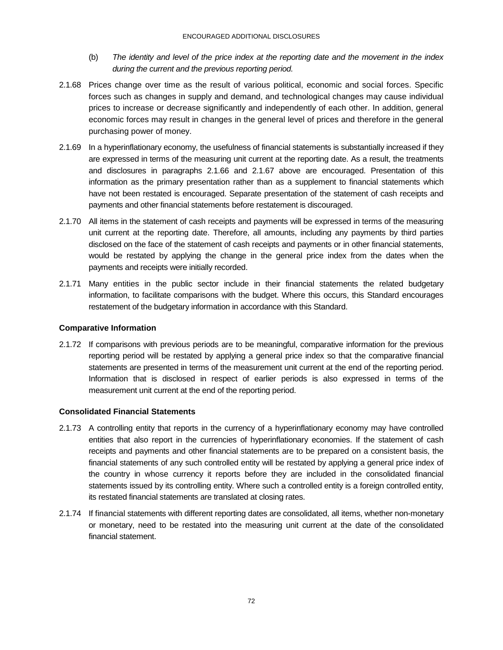- (b) *The identity and level of the price index at the reporting date and the movement in the index during the current and the previous reporting period.*
- 2.1.68 Prices change over time as the result of various political, economic and social forces. Specific forces such as changes in supply and demand, and technological changes may cause individual prices to increase or decrease significantly and independently of each other. In addition, general economic forces may result in changes in the general level of prices and therefore in the general purchasing power of money.
- 2.1.69 In a hyperinflationary economy, the usefulness of financial statements is substantially increased if they are expressed in terms of the measuring unit current at the reporting date. As a result, the treatments and disclosures in paragraphs 2.1.66 and 2.1.67 above are encouraged. Presentation of this information as the primary presentation rather than as a supplement to financial statements which have not been restated is encouraged. Separate presentation of the statement of cash receipts and payments and other financial statements before restatement is discouraged.
- 2.1.70 All items in the statement of cash receipts and payments will be expressed in terms of the measuring unit current at the reporting date. Therefore, all amounts, including any payments by third parties disclosed on the face of the statement of cash receipts and payments or in other financial statements, would be restated by applying the change in the general price index from the dates when the payments and receipts were initially recorded.
- 2.1.71 Many entities in the public sector include in their financial statements the related budgetary information, to facilitate comparisons with the budget. Where this occurs, this Standard encourages restatement of the budgetary information in accordance with this Standard.

## **Comparative Information**

2.1.72 If comparisons with previous periods are to be meaningful, comparative information for the previous reporting period will be restated by applying a general price index so that the comparative financial statements are presented in terms of the measurement unit current at the end of the reporting period. Information that is disclosed in respect of earlier periods is also expressed in terms of the measurement unit current at the end of the reporting period.

### **Consolidated Financial Statements**

- 2.1.73 A controlling entity that reports in the currency of a hyperinflationary economy may have controlled entities that also report in the currencies of hyperinflationary economies. If the statement of cash receipts and payments and other financial statements are to be prepared on a consistent basis, the financial statements of any such controlled entity will be restated by applying a general price index of the country in whose currency it reports before they are included in the consolidated financial statements issued by its controlling entity. Where such a controlled entity is a foreign controlled entity, its restated financial statements are translated at closing rates.
- 2.1.74 If financial statements with different reporting dates are consolidated, all items, whether non-monetary or monetary, need to be restated into the measuring unit current at the date of the consolidated financial statement.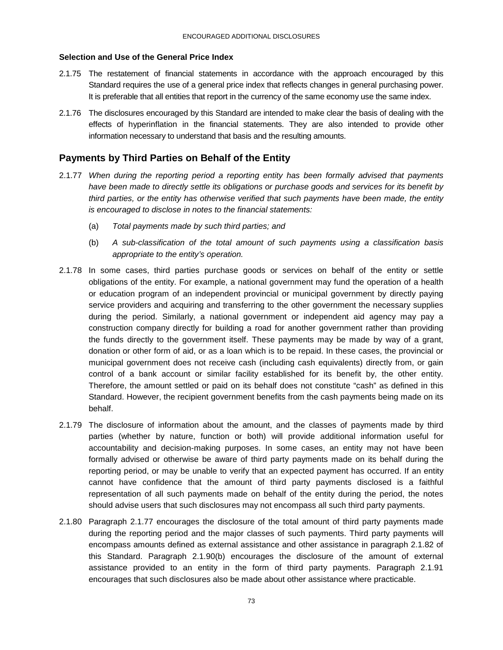#### **Selection and Use of the General Price Index**

- 2.1.75 The restatement of financial statements in accordance with the approach encouraged by this Standard requires the use of a general price index that reflects changes in general purchasing power. It is preferable that all entities that report in the currency of the same economy use the same index.
- 2.1.76 The disclosures encouraged by this Standard are intended to make clear the basis of dealing with the effects of hyperinflation in the financial statements. They are also intended to provide other information necessary to understand that basis and the resulting amounts.

### **Payments by Third Parties on Behalf of the Entity**

- 2.1.77 *When during the reporting period a reporting entity has been formally advised that payments have been made to directly settle its obligations or purchase goods and services for its benefit by third parties, or the entity has otherwise verified that such payments have been made, the entity is encouraged to disclose in notes to the financial statements:*
	- (a) *Total payments made by such third parties; and*
	- (b) *A sub-classification of the total amount of such payments using a classification basis appropriate to the entity's operation.*
- 2.1.78 In some cases, third parties purchase goods or services on behalf of the entity or settle obligations of the entity. For example, a national government may fund the operation of a health or education program of an independent provincial or municipal government by directly paying service providers and acquiring and transferring to the other government the necessary supplies during the period. Similarly, a national government or independent aid agency may pay a construction company directly for building a road for another government rather than providing the funds directly to the government itself. These payments may be made by way of a grant, donation or other form of aid, or as a loan which is to be repaid. In these cases, the provincial or municipal government does not receive cash (including cash equivalents) directly from, or gain control of a bank account or similar facility established for its benefit by, the other entity. Therefore, the amount settled or paid on its behalf does not constitute "cash" as defined in this Standard. However, the recipient government benefits from the cash payments being made on its behalf.
- 2.1.79 The disclosure of information about the amount, and the classes of payments made by third parties (whether by nature, function or both) will provide additional information useful for accountability and decision-making purposes. In some cases, an entity may not have been formally advised or otherwise be aware of third party payments made on its behalf during the reporting period, or may be unable to verify that an expected payment has occurred. If an entity cannot have confidence that the amount of third party payments disclosed is a faithful representation of all such payments made on behalf of the entity during the period, the notes should advise users that such disclosures may not encompass all such third party payments.
- 2.1.80 Paragraph 2.1.77 encourages the disclosure of the total amount of third party payments made during the reporting period and the major classes of such payments. Third party payments will encompass amounts defined as external assistance and other assistance in paragraph 2.1.82 of this Standard. Paragraph 2.1.90(b) encourages the disclosure of the amount of external assistance provided to an entity in the form of third party payments. Paragraph 2.1.91 encourages that such disclosures also be made about other assistance where practicable.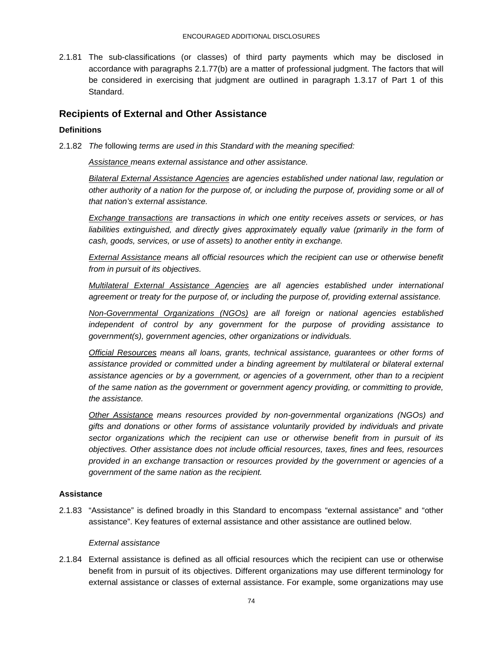2.1.81 The sub-classifications (or classes) of third party payments which may be disclosed in accordance with paragraphs 2.1.77(b) are a matter of professional judgment. The factors that will be considered in exercising that judgment are outlined in paragraph 1.3.17 of Part 1 of this Standard.

## **Recipients of External and Other Assistance**

### **Definitions**

2.1.82 *The* following *terms are used in this Standard with the meaning specified:*

*Assistance means external assistance and other assistance.*

*Bilateral External Assistance Agencies are agencies established under national law, regulation or other authority of a nation for the purpose of, or including the purpose of, providing some or all of that nation's external assistance.*

*Exchange transactions are transactions in which one entity receives assets or services, or has*  liabilities extinguished, and directly gives approximately equally value (primarily in the form of *cash, goods, services, or use of assets) to another entity in exchange.*

*External Assistance means all official resources which the recipient can use or otherwise benefit from in pursuit of its objectives.*

*Multilateral External Assistance Agencies are all agencies established under international agreement or treaty for the purpose of, or including the purpose of, providing external assistance.*

*Non-Governmental Organizations (NGOs) are all foreign or national agencies established independent of control by any government for the purpose of providing assistance to government(s), government agencies, other organizations or individuals.*

*Official Resources means all loans, grants, technical assistance, guarantees or other forms of*  assistance provided or committed under a binding agreement by multilateral or bilateral external *assistance agencies or by a government, or agencies of a government, other than to a recipient of the same nation as the government or government agency providing, or committing to provide, the assistance.*

*Other Assistance means resources provided by non-governmental organizations (NGOs) and gifts and donations or other forms of assistance voluntarily provided by individuals and private sector organizations which the recipient can use or otherwise benefit from in pursuit of its objectives. Other assistance does not include official resources, taxes, fines and fees, resources provided in an exchange transaction or resources provided by the government or agencies of a government of the same nation as the recipient.*

#### **Assistance**

2.1.83 "Assistance" is defined broadly in this Standard to encompass "external assistance" and "other assistance". Key features of external assistance and other assistance are outlined below.

### *External assistance*

2.1.84 External assistance is defined as all official resources which the recipient can use or otherwise benefit from in pursuit of its objectives. Different organizations may use different terminology for external assistance or classes of external assistance. For example, some organizations may use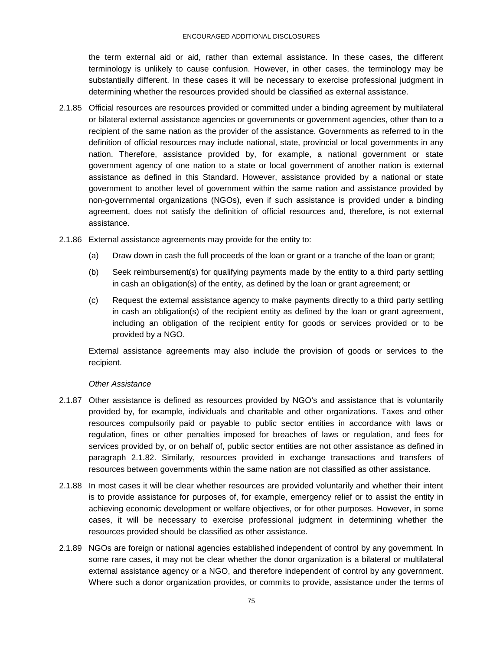the term external aid or aid, rather than external assistance. In these cases, the different terminology is unlikely to cause confusion. However, in other cases, the terminology may be substantially different. In these cases it will be necessary to exercise professional judgment in determining whether the resources provided should be classified as external assistance.

- 2.1.85 Official resources are resources provided or committed under a binding agreement by multilateral or bilateral external assistance agencies or governments or government agencies, other than to a recipient of the same nation as the provider of the assistance. Governments as referred to in the definition of official resources may include national, state, provincial or local governments in any nation. Therefore, assistance provided by, for example, a national government or state government agency of one nation to a state or local government of another nation is external assistance as defined in this Standard. However, assistance provided by a national or state government to another level of government within the same nation and assistance provided by non-governmental organizations (NGOs), even if such assistance is provided under a binding agreement, does not satisfy the definition of official resources and, therefore, is not external assistance.
- 2.1.86 External assistance agreements may provide for the entity to:
	- (a) Draw down in cash the full proceeds of the loan or grant or a tranche of the loan or grant;
	- (b) Seek reimbursement(s) for qualifying payments made by the entity to a third party settling in cash an obligation(s) of the entity, as defined by the loan or grant agreement; or
	- (c) Request the external assistance agency to make payments directly to a third party settling in cash an obligation(s) of the recipient entity as defined by the loan or grant agreement, including an obligation of the recipient entity for goods or services provided or to be provided by a NGO.

External assistance agreements may also include the provision of goods or services to the recipient.

### *Other Assistance*

- 2.1.87 Other assistance is defined as resources provided by NGO's and assistance that is voluntarily provided by, for example, individuals and charitable and other organizations. Taxes and other resources compulsorily paid or payable to public sector entities in accordance with laws or regulation, fines or other penalties imposed for breaches of laws or regulation, and fees for services provided by, or on behalf of, public sector entities are not other assistance as defined in paragraph 2.1.82. Similarly, resources provided in exchange transactions and transfers of resources between governments within the same nation are not classified as other assistance.
- 2.1.88 In most cases it will be clear whether resources are provided voluntarily and whether their intent is to provide assistance for purposes of, for example, emergency relief or to assist the entity in achieving economic development or welfare objectives, or for other purposes. However, in some cases, it will be necessary to exercise professional judgment in determining whether the resources provided should be classified as other assistance.
- 2.1.89 NGOs are foreign or national agencies established independent of control by any government. In some rare cases, it may not be clear whether the donor organization is a bilateral or multilateral external assistance agency or a NGO, and therefore independent of control by any government. Where such a donor organization provides, or commits to provide, assistance under the terms of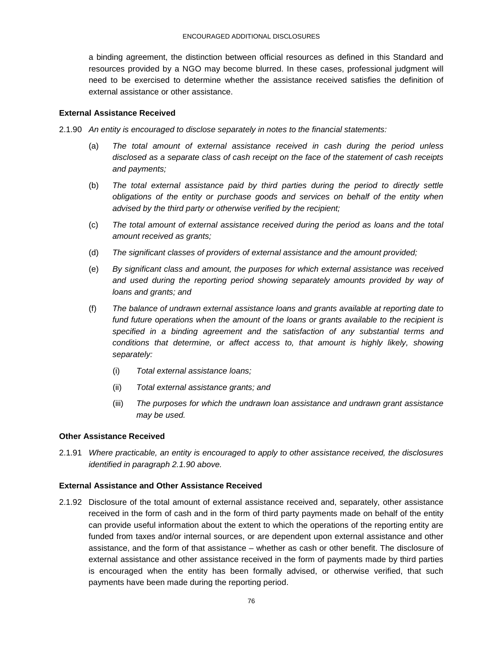a binding agreement, the distinction between official resources as defined in this Standard and resources provided by a NGO may become blurred. In these cases, professional judgment will need to be exercised to determine whether the assistance received satisfies the definition of external assistance or other assistance.

### **External Assistance Received**

2.1.90 *An entity is encouraged to disclose separately in notes to the financial statements:*

- (a) *The total amount of external assistance received in cash during the period unless disclosed as a separate class of cash receipt on the face of the statement of cash receipts and payments;*
- (b) *The total external assistance paid by third parties during the period to directly settle obligations of the entity or purchase goods and services on behalf of the entity when advised by the third party or otherwise verified by the recipient;*
- (c) *The total amount of external assistance received during the period as loans and the total amount received as grants;*
- (d) *The significant classes of providers of external assistance and the amount provided;*
- (e) *By significant class and amount, the purposes for which external assistance was received and used during the reporting period showing separately amounts provided by way of loans and grants; and*
- (f) *The balance of undrawn external assistance loans and grants available at reporting date to fund future operations when the amount of the loans or grants available to the recipient is specified in a binding agreement and the satisfaction of any substantial terms and conditions that determine, or affect access to, that amount is highly likely, showing separately:*
	- (i) *Total external assistance loans;*
	- (ii) *Total external assistance grants; and*
	- (iii) *The purposes for which the undrawn loan assistance and undrawn grant assistance may be used.*

#### **Other Assistance Received**

2.1.91 *Where practicable, an entity is encouraged to apply to other assistance received, the disclosures identified in paragraph 2.1.90 above.* 

### **External Assistance and Other Assistance Received**

2.1.92 Disclosure of the total amount of external assistance received and, separately, other assistance received in the form of cash and in the form of third party payments made on behalf of the entity can provide useful information about the extent to which the operations of the reporting entity are funded from taxes and/or internal sources, or are dependent upon external assistance and other assistance, and the form of that assistance – whether as cash or other benefit. The disclosure of external assistance and other assistance received in the form of payments made by third parties is encouraged when the entity has been formally advised, or otherwise verified, that such payments have been made during the reporting period.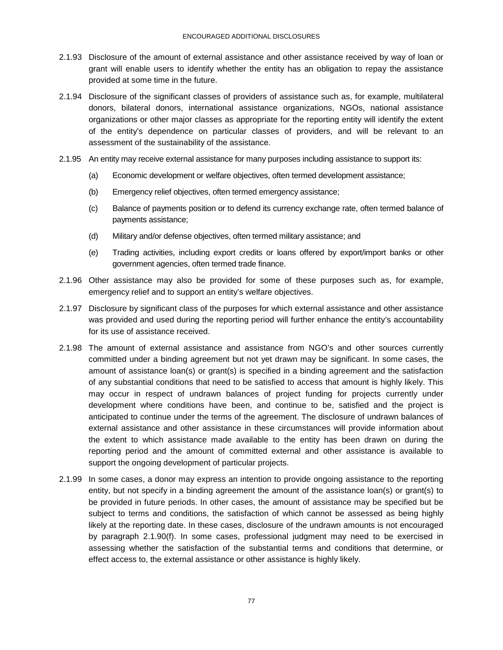- 2.1.93 Disclosure of the amount of external assistance and other assistance received by way of loan or grant will enable users to identify whether the entity has an obligation to repay the assistance provided at some time in the future.
- 2.1.94 Disclosure of the significant classes of providers of assistance such as, for example, multilateral donors, bilateral donors, international assistance organizations, NGOs, national assistance organizations or other major classes as appropriate for the reporting entity will identify the extent of the entity's dependence on particular classes of providers, and will be relevant to an assessment of the sustainability of the assistance.
- 2.1.95 An entity may receive external assistance for many purposes including assistance to support its:
	- (a) Economic development or welfare objectives, often termed development assistance;
	- (b) Emergency relief objectives, often termed emergency assistance;
	- (c) Balance of payments position or to defend its currency exchange rate, often termed balance of payments assistance;
	- (d) Military and/or defense objectives, often termed military assistance; and
	- (e) Trading activities, including export credits or loans offered by export/import banks or other government agencies, often termed trade finance.
- 2.1.96 Other assistance may also be provided for some of these purposes such as, for example, emergency relief and to support an entity's welfare objectives.
- 2.1.97 Disclosure by significant class of the purposes for which external assistance and other assistance was provided and used during the reporting period will further enhance the entity's accountability for its use of assistance received.
- 2.1.98 The amount of external assistance and assistance from NGO's and other sources currently committed under a binding agreement but not yet drawn may be significant. In some cases, the amount of assistance loan(s) or grant(s) is specified in a binding agreement and the satisfaction of any substantial conditions that need to be satisfied to access that amount is highly likely. This may occur in respect of undrawn balances of project funding for projects currently under development where conditions have been, and continue to be, satisfied and the project is anticipated to continue under the terms of the agreement. The disclosure of undrawn balances of external assistance and other assistance in these circumstances will provide information about the extent to which assistance made available to the entity has been drawn on during the reporting period and the amount of committed external and other assistance is available to support the ongoing development of particular projects.
- 2.1.99 In some cases, a donor may express an intention to provide ongoing assistance to the reporting entity, but not specify in a binding agreement the amount of the assistance loan(s) or grant(s) to be provided in future periods. In other cases, the amount of assistance may be specified but be subject to terms and conditions, the satisfaction of which cannot be assessed as being highly likely at the reporting date. In these cases, disclosure of the undrawn amounts is not encouraged by paragraph 2.1.90(f). In some cases, professional judgment may need to be exercised in assessing whether the satisfaction of the substantial terms and conditions that determine, or effect access to, the external assistance or other assistance is highly likely.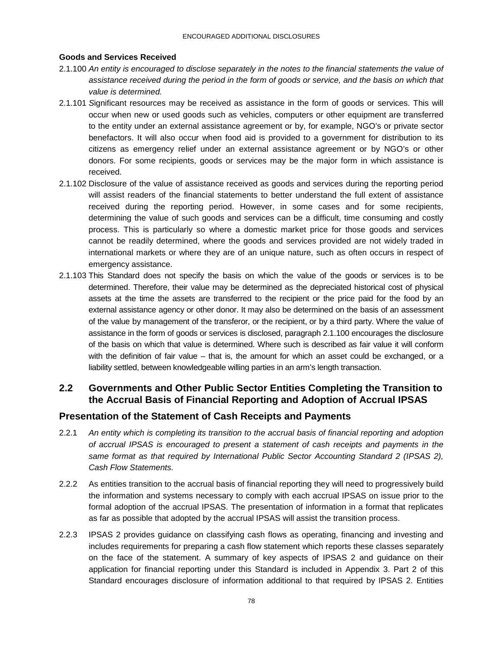### **Goods and Services Received**

- 2.1.100 *An entity is encouraged to disclose separately in the notes to the financial statements the value of assistance received during the period in the form of goods or service, and the basis on which that value is determined.*
- 2.1.101 *S*ignificant resources may be received as assistance in the form of goods or services. This will occur when new or used goods such as vehicles, computers or other equipment are transferred to the entity under an external assistance agreement or by, for example, NGO's or private sector benefactors. It will also occur when food aid is provided to a government for distribution to its citizens as emergency relief under an external assistance agreement or by NGO's or other donors. For some recipients, goods or services may be the major form in which assistance is received.
- 2.1.102 Disclosure of the value of assistance received as goods and services during the reporting period will assist readers of the financial statements to better understand the full extent of assistance received during the reporting period. However, in some cases and for some recipients, determining the value of such goods and services can be a difficult, time consuming and costly process. This is particularly so where a domestic market price for those goods and services cannot be readily determined, where the goods and services provided are not widely traded in international markets or where they are of an unique nature, such as often occurs in respect of emergency assistance.
- 2.1.103 This Standard does not specify the basis on which the value of the goods or services is to be determined. Therefore, their value may be determined as the depreciated historical cost of physical assets at the time the assets are transferred to the recipient or the price paid for the food by an external assistance agency or other donor. It may also be determined on the basis of an assessment of the value by management of the transferor, or the recipient, or by a third party. Where the value of assistance in the form of goods or services is disclosed, paragraph 2.1.100 encourages the disclosure of the basis on which that value is determined. Where such is described as fair value it will conform with the definition of fair value – that is, the amount for which an asset could be exchanged, or a liability settled, between knowledgeable willing parties in an arm's length transaction.

# **2.2 Governments and Other Public Sector Entities Completing the Transition to the Accrual Basis of Financial Reporting and Adoption of Accrual IPSAS**

## **Presentation of the Statement of Cash Receipts and Payments**

- 2.2.1 *An entity which is completing its transition to the accrual basis of financial reporting and adoption of accrual IPSAS is encouraged to present a statement of cash receipts and payments in the same format as that required by International Public Sector Accounting Standard 2 (IPSAS 2), Cash Flow Statements.*
- 2.2.2 As entities transition to the accrual basis of financial reporting they will need to progressively build the information and systems necessary to comply with each accrual IPSAS on issue prior to the formal adoption of the accrual IPSAS. The presentation of information in a format that replicates as far as possible that adopted by the accrual IPSAS will assist the transition process.
- 2.2.3 IPSAS 2 provides guidance on classifying cash flows as operating, financing and investing and includes requirements for preparing a cash flow statement which reports these classes separately on the face of the statement. A summary of key aspects of IPSAS 2 and guidance on their application for financial reporting under this Standard is included in Appendix 3. Part 2 of this Standard encourages disclosure of information additional to that required by IPSAS 2. Entities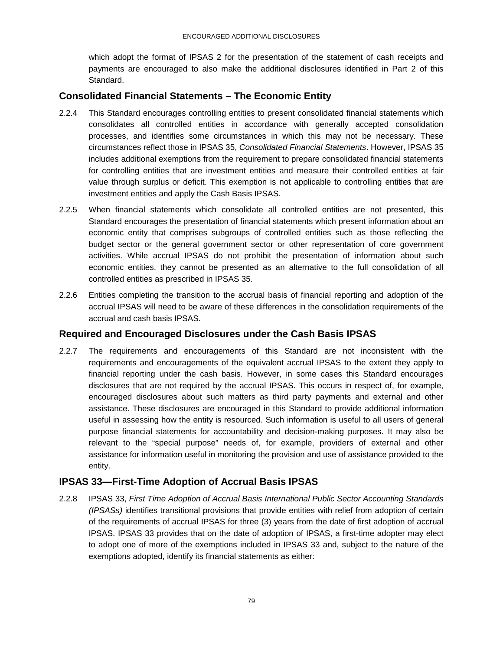which adopt the format of IPSAS 2 for the presentation of the statement of cash receipts and payments are encouraged to also make the additional disclosures identified in Part 2 of this Standard.

## **Consolidated Financial Statements – The Economic Entity**

- 2.2.4 This Standard encourages controlling entities to present consolidated financial statements which consolidates all controlled entities in accordance with generally accepted consolidation processes, and identifies some circumstances in which this may not be necessary. These circumstances reflect those in IPSAS 35, *Consolidated Financial Statements*. However, IPSAS 35 includes additional exemptions from the requirement to prepare consolidated financial statements for controlling entities that are investment entities and measure their controlled entities at fair value through surplus or deficit. This exemption is not applicable to controlling entities that are investment entities and apply the Cash Basis IPSAS.
- 2.2.5 When financial statements which consolidate all controlled entities are not presented, this Standard encourages the presentation of financial statements which present information about an economic entity that comprises subgroups of controlled entities such as those reflecting the budget sector or the general government sector or other representation of core government activities. While accrual IPSAS do not prohibit the presentation of information about such economic entities, they cannot be presented as an alternative to the full consolidation of all controlled entities as prescribed in IPSAS 35.
- 2.2.6 Entities completing the transition to the accrual basis of financial reporting and adoption of the accrual IPSAS will need to be aware of these differences in the consolidation requirements of the accrual and cash basis IPSAS.

## **Required and Encouraged Disclosures under the Cash Basis IPSAS**

2.2.7 The requirements and encouragements of this Standard are not inconsistent with the requirements and encouragements of the equivalent accrual IPSAS to the extent they apply to financial reporting under the cash basis. However, in some cases this Standard encourages disclosures that are not required by the accrual IPSAS. This occurs in respect of, for example, encouraged disclosures about such matters as third party payments and external and other assistance. These disclosures are encouraged in this Standard to provide additional information useful in assessing how the entity is resourced. Such information is useful to all users of general purpose financial statements for accountability and decision-making purposes. It may also be relevant to the "special purpose" needs of, for example, providers of external and other assistance for information useful in monitoring the provision and use of assistance provided to the entity.

# **IPSAS 33—First-Time Adoption of Accrual Basis IPSAS**

2.2.8 IPSAS 33, *First Time Adoption of Accrual Basis International Public Sector Accounting Standards (IPSASs)* identifies transitional provisions that provide entities with relief from adoption of certain of the requirements of accrual IPSAS for three (3) years from the date of first adoption of accrual IPSAS. IPSAS 33 provides that on the date of adoption of IPSAS, a first-time adopter may elect to adopt one of more of the exemptions included in IPSAS 33 and, subject to the nature of the exemptions adopted, identify its financial statements as either: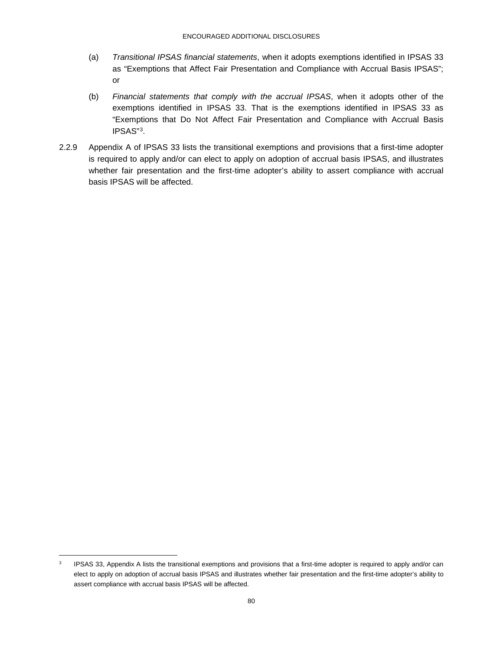- (a) *Transitional IPSAS financial statements*, when it adopts exemptions identified in IPSAS 33 as "Exemptions that Affect Fair Presentation and Compliance with Accrual Basis IPSAS"; or
- (b) *Financial statements that comply with the accrual IPSAS*, when it adopts other of the exemptions identified in IPSAS 33. That is the exemptions identified in IPSAS 33 as "Exemptions that Do Not Affect Fair Presentation and Compliance with Accrual Basis IPSAS"[3.](#page-79-0)
- 2.2.9 Appendix A of IPSAS 33 lists the transitional exemptions and provisions that a first-time adopter is required to apply and/or can elect to apply on adoption of accrual basis IPSAS, and illustrates whether fair presentation and the first-time adopter's ability to assert compliance with accrual basis IPSAS will be affected.

<span id="page-79-0"></span><sup>&</sup>lt;sup>3</sup> IPSAS 33, Appendix A lists the transitional exemptions and provisions that a first-time adopter is required to apply and/or can elect to apply on adoption of accrual basis IPSAS and illustrates whether fair presentation and the first-time adopter's ability to assert compliance with accrual basis IPSAS will be affected.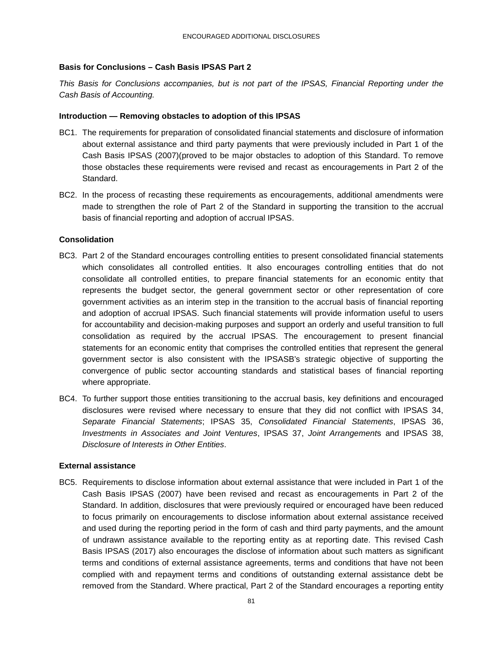#### **Basis for Conclusions – Cash Basis IPSAS Part 2**

*This Basis for Conclusions accompanies, but is not part of the IPSAS, Financial Reporting under the Cash Basis of Accounting.*

#### **Introduction — Removing obstacles to adoption of this IPSAS**

- BC1. The requirements for preparation of consolidated financial statements and disclosure of information about external assistance and third party payments that were previously included in Part 1 of the Cash Basis IPSAS (2007)(proved to be major obstacles to adoption of this Standard. To remove those obstacles these requirements were revised and recast as encouragements in Part 2 of the Standard.
- BC2. In the process of recasting these requirements as encouragements, additional amendments were made to strengthen the role of Part 2 of the Standard in supporting the transition to the accrual basis of financial reporting and adoption of accrual IPSAS.

### **Consolidation**

- BC3. Part 2 of the Standard encourages controlling entities to present consolidated financial statements which consolidates all controlled entities. It also encourages controlling entities that do not consolidate all controlled entities, to prepare financial statements for an economic entity that represents the budget sector, the general government sector or other representation of core government activities as an interim step in the transition to the accrual basis of financial reporting and adoption of accrual IPSAS. Such financial statements will provide information useful to users for accountability and decision-making purposes and support an orderly and useful transition to full consolidation as required by the accrual IPSAS. The encouragement to present financial statements for an economic entity that comprises the controlled entities that represent the general government sector is also consistent with the IPSASB's strategic objective of supporting the convergence of public sector accounting standards and statistical bases of financial reporting where appropriate.
- BC4. To further support those entities transitioning to the accrual basis, key definitions and encouraged disclosures were revised where necessary to ensure that they did not conflict with IPSAS 34, *Separate Financial Statements*; IPSAS 35, *Consolidated Financial Statements*, IPSAS 36, *Investments in Associates and Joint Ventures*, IPSAS 37, *Joint Arrangement*s and IPSAS 38, *Disclosure of Interests in Other Entities*.

#### **External assistance**

BC5. Requirements to disclose information about external assistance that were included in Part 1 of the Cash Basis IPSAS (2007) have been revised and recast as encouragements in Part 2 of the Standard. In addition, disclosures that were previously required or encouraged have been reduced to focus primarily on encouragements to disclose information about external assistance received and used during the reporting period in the form of cash and third party payments, and the amount of undrawn assistance available to the reporting entity as at reporting date. This revised Cash Basis IPSAS (2017) also encourages the disclose of information about such matters as significant terms and conditions of external assistance agreements, terms and conditions that have not been complied with and repayment terms and conditions of outstanding external assistance debt be removed from the Standard. Where practical, Part 2 of the Standard encourages a reporting entity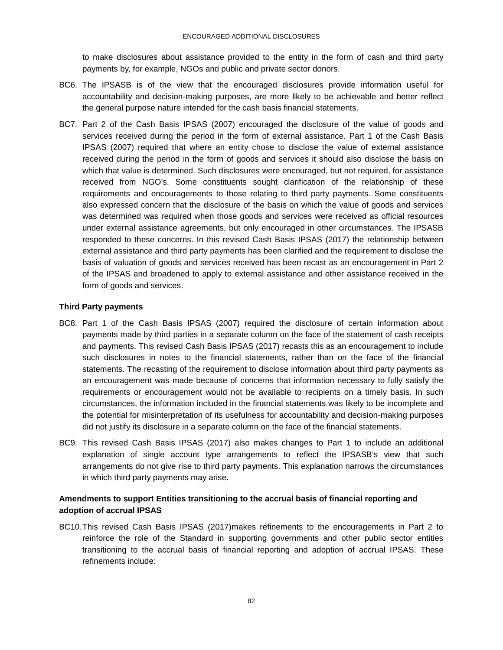to make disclosures about assistance provided to the entity in the form of cash and third party payments by, for example, NGOs and public and private sector donors.

- BC6. The IPSASB is of the view that the encouraged disclosures provide information useful for accountability and decision-making purposes, are more likely to be achievable and better reflect the general purpose nature intended for the cash basis financial statements.
- BC7. Part 2 of the Cash Basis IPSAS (2007) encouraged the disclosure of the value of goods and services received during the period in the form of external assistance. Part 1 of the Cash Basis IPSAS (2007) required that where an entity chose to disclose the value of external assistance received during the period in the form of goods and services it should also disclose the basis on which that value is determined. Such disclosures were encouraged, but not required, for assistance received from NGO's. Some constituents sought clarification of the relationship of these requirements and encouragements to those relating to third party payments. Some constituents also expressed concern that the disclosure of the basis on which the value of goods and services was determined was required when those goods and services were received as official resources under external assistance agreements, but only encouraged in other circumstances. The IPSASB responded to these concerns. In this revised Cash Basis IPSAS (2017) the relationship between external assistance and third party payments has been clarified and the requirement to disclose the basis of valuation of goods and services received has been recast as an encouragement in Part 2 of the IPSAS and broadened to apply to external assistance and other assistance received in the form of goods and services.

### **Third Party payments**

- BC8. Part 1 of the Cash Basis IPSAS (2007) required the disclosure of certain information about payments made by third parties in a separate column on the face of the statement of cash receipts and payments. This revised Cash Basis IPSAS (2017) recasts this as an encouragement to include such disclosures in notes to the financial statements, rather than on the face of the financial statements. The recasting of the requirement to disclose information about third party payments as an encouragement was made because of concerns that information necessary to fully satisfy the requirements or encouragement would not be available to recipients on a timely basis. In such circumstances, the information included in the financial statements was likely to be incomplete and the potential for misinterpretation of its usefulness for accountability and decision-making purposes did not justify its disclosure in a separate column on the face of the financial statements.
- BC9. This revised Cash Basis IPSAS (2017) also makes changes to Part 1 to include an additional explanation of single account type arrangements to reflect the IPSASB's view that such arrangements do not give rise to third party payments. This explanation narrows the circumstances in which third party payments may arise.

## **Amendments to support Entities transitioning to the accrual basis of financial reporting and adoption of accrual IPSAS**

BC10.This revised Cash Basis IPSAS (2017)makes refinements to the encouragements in Part 2 to reinforce the role of the Standard in supporting governments and other public sector entities transitioning to the accrual basis of financial reporting and adoption of accrual IPSAS. These refinements include: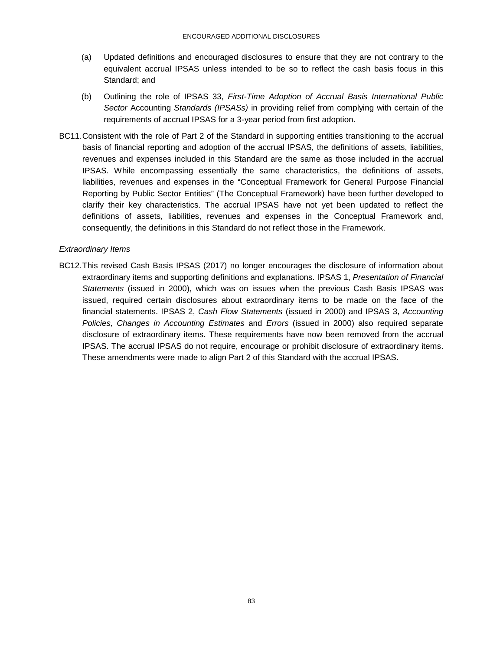- (a) Updated definitions and encouraged disclosures to ensure that they are not contrary to the equivalent accrual IPSAS unless intended to be so to reflect the cash basis focus in this Standard; and
- (b) Outlining the role of IPSAS 33, *First-Time Adoption of Accrual Basis International Public Sector* Accounting *Standards (IPSASs)* in providing relief from complying with certain of the requirements of accrual IPSAS for a 3-year period from first adoption.
- BC11.Consistent with the role of Part 2 of the Standard in supporting entities transitioning to the accrual basis of financial reporting and adoption of the accrual IPSAS, the definitions of assets, liabilities, revenues and expenses included in this Standard are the same as those included in the accrual IPSAS. While encompassing essentially the same characteristics, the definitions of assets, liabilities, revenues and expenses in the "Conceptual Framework for General Purpose Financial Reporting by Public Sector Entities" (The Conceptual Framework) have been further developed to clarify their key characteristics. The accrual IPSAS have not yet been updated to reflect the definitions of assets, liabilities, revenues and expenses in the Conceptual Framework and, consequently, the definitions in this Standard do not reflect those in the Framework.

### *Extraordinary Items*

BC12.This revised Cash Basis IPSAS (2017) no longer encourages the disclosure of information about extraordinary items and supporting definitions and explanations. IPSAS 1, *Presentation of Financial Statements* (issued in 2000), which was on issues when the previous Cash Basis IPSAS was issued, required certain disclosures about extraordinary items to be made on the face of the financial statements. IPSAS 2, *Cash Flow Statements* (issued in 2000) and IPSAS 3, *Accounting Policies, Changes in Accounting Estimates* and *Errors* (issued in 2000) also required separate disclosure of extraordinary items. These requirements have now been removed from the accrual IPSAS. The accrual IPSAS do not require, encourage or prohibit disclosure of extraordinary items. These amendments were made to align Part 2 of this Standard with the accrual IPSAS.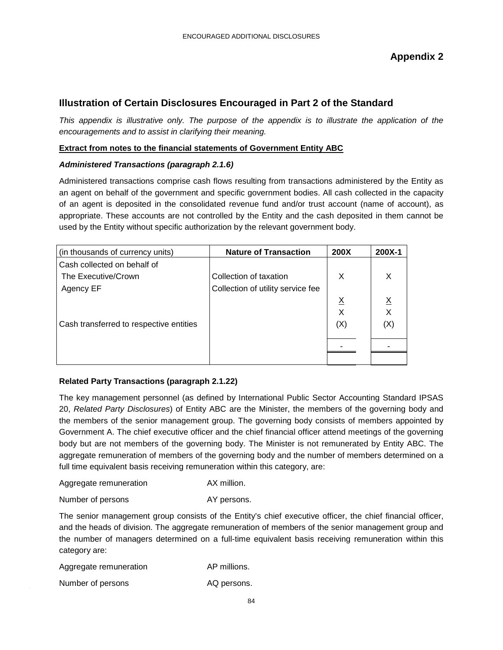# **Appendix 2**

## **Illustration of Certain Disclosures Encouraged in Part 2 of the Standard**

*This appendix is illustrative only. The purpose of the appendix is to illustrate the application of the encouragements and to assist in clarifying their meaning.*

### **Extract from notes to the financial statements of Government Entity ABC**

### *Administered Transactions (paragraph 2.1.6)*

Administered transactions comprise cash flows resulting from transactions administered by the Entity as an agent on behalf of the government and specific government bodies. All cash collected in the capacity of an agent is deposited in the consolidated revenue fund and/or trust account (name of account), as appropriate. These accounts are not controlled by the Entity and the cash deposited in them cannot be used by the Entity without specific authorization by the relevant government body.

| (in thousands of currency units)        | <b>Nature of Transaction</b>      | <b>200X</b> | 200X-1          |
|-----------------------------------------|-----------------------------------|-------------|-----------------|
| Cash collected on behalf of             |                                   |             |                 |
| The Executive/Crown                     | Collection of taxation            | X           | X               |
| Agency EF                               | Collection of utility service fee |             |                 |
|                                         |                                   | X           | $\underline{X}$ |
|                                         |                                   | X           | $\overline{X}$  |
| Cash transferred to respective entities |                                   | (X)         | (X)             |
|                                         |                                   |             |                 |
|                                         |                                   |             |                 |
|                                         |                                   |             |                 |

## **Related Party Transactions (paragraph 2.1.22)**

The key management personnel (as defined by International Public Sector Accounting Standard IPSAS 20, *Related Party Disclosures*) of Entity ABC are the Minister, the members of the governing body and the members of the senior management group. The governing body consists of members appointed by Government A. The chief executive officer and the chief financial officer attend meetings of the governing body but are not members of the governing body. The Minister is not remunerated by Entity ABC. The aggregate remuneration of members of the governing body and the number of members determined on a full time equivalent basis receiving remuneration within this category, are:

| Aggregate remuneration | AX million. |
|------------------------|-------------|
|------------------------|-------------|

| Number of persons | AY persons. |
|-------------------|-------------|
|                   |             |

The senior management group consists of the Entity's chief executive officer, the chief financial officer, and the heads of division. The aggregate remuneration of members of the senior management group and the number of managers determined on a full-time equivalent basis receiving remuneration within this category are:

| Aggregate remuneration | AP millions. |
|------------------------|--------------|
| Number of persons      | AQ persons.  |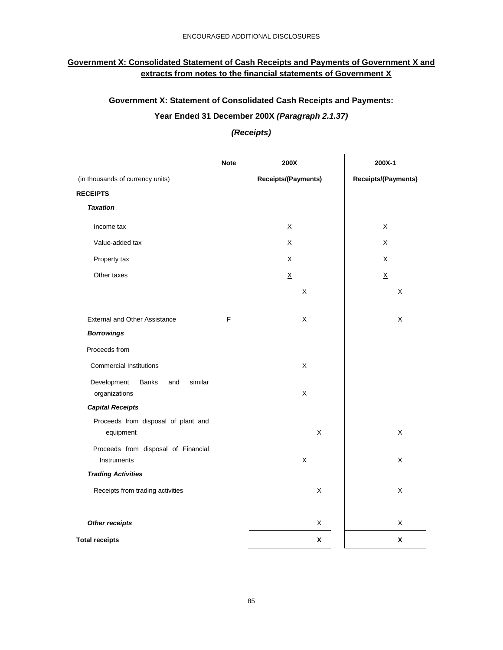## **Government X: Consolidated Statement of Cash Receipts and Payments of Government X and extracts from notes to the financial statements of Government X**

## **Government X: Statement of Consolidated Cash Receipts and Payments:**

## **Year Ended 31 December 200X** *(Paragraph 2.1.37)*

## *(Receipts)*

|                                                                | <b>Note</b> | 200X                     | 200X-1              |
|----------------------------------------------------------------|-------------|--------------------------|---------------------|
| (in thousands of currency units)                               |             | Receipts/(Payments)      | Receipts/(Payments) |
| <b>RECEIPTS</b>                                                |             |                          |                     |
| <b>Taxation</b>                                                |             |                          |                     |
| Income tax                                                     |             | X                        | X                   |
| Value-added tax                                                |             | X                        | X                   |
| Property tax                                                   |             | X                        | Χ                   |
| Other taxes                                                    |             | $\underline{\mathsf{X}}$ | $\underline{X}$     |
|                                                                |             | X                        | X                   |
| <b>External and Other Assistance</b>                           | F           | X                        | X                   |
| <b>Borrowings</b>                                              |             |                          |                     |
| Proceeds from                                                  |             |                          |                     |
| <b>Commercial Institutions</b>                                 |             | X                        |                     |
| Development<br><b>Banks</b><br>similar<br>and<br>organizations |             | X                        |                     |
| <b>Capital Receipts</b>                                        |             |                          |                     |
| Proceeds from disposal of plant and<br>equipment               |             | X                        | X                   |
| Proceeds from disposal of Financial<br>Instruments             |             | X                        | X                   |
| <b>Trading Activities</b>                                      |             |                          |                     |
| Receipts from trading activities                               |             | $\mathsf X$              | X                   |
| Other receipts                                                 |             | X                        | X                   |
| <b>Total receipts</b>                                          |             | Χ                        | $\pmb{\mathsf{x}}$  |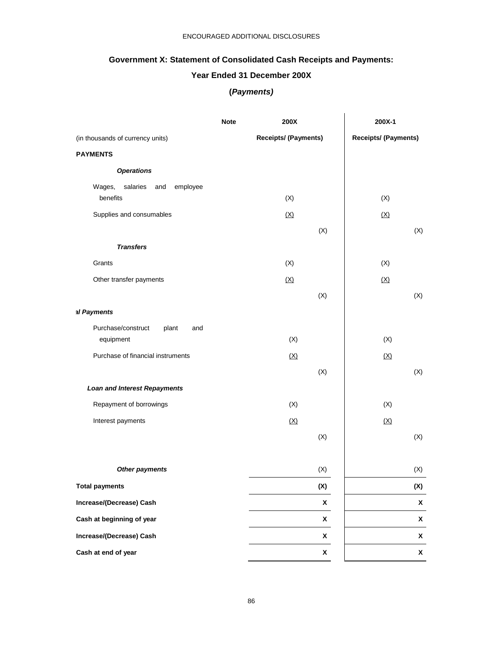#### ENCOURAGED ADDITIONAL DISCLOSURES

## **Government X: Statement of Consolidated Cash Receipts and Payments:**

# **Year Ended 31 December 200X**

# **(***Payments)*

|                                                   | <b>Note</b><br>200X         | 200X-1               |
|---------------------------------------------------|-----------------------------|----------------------|
| (in thousands of currency units)                  | <b>Receipts/ (Payments)</b> | Receipts/ (Payments) |
| <b>PAYMENTS</b>                                   |                             |                      |
| <b>Operations</b>                                 |                             |                      |
| Wages,<br>salaries<br>and<br>employee<br>benefits | (X)                         | (X)                  |
| Supplies and consumables                          | (X)                         | (X)                  |
|                                                   | (X)                         | (X)                  |
| <b>Transfers</b>                                  |                             |                      |
| Grants                                            | (X)                         | (X)                  |
| Other transfer payments                           | (X)                         | (X)                  |
|                                                   | (X)                         | (X)                  |
| al Payments                                       |                             |                      |
| Purchase/construct<br>plant<br>and<br>equipment   | (X)                         | (X)                  |
| Purchase of financial instruments                 | (X)                         | (X)                  |
|                                                   | (X)                         | (X)                  |
| <b>Loan and Interest Repayments</b>               |                             |                      |
| Repayment of borrowings                           | (X)                         | (X)                  |
| Interest payments                                 | (X)                         | (X)                  |
|                                                   | (X)                         | (X)                  |
| Other payments                                    | (X)                         | (X)                  |
| <b>Total payments</b>                             | (X)                         | (X)                  |
| Increase/(Decrease) Cash                          | X                           | $\pmb{\mathsf{X}}$   |
| Cash at beginning of year                         | $\pmb{\mathsf{X}}$          | $\pmb{\mathsf{X}}$   |
| Increase/(Decrease) Cash                          | X                           | X                    |
| Cash at end of year                               | $\pmb{\mathsf{x}}$          | X                    |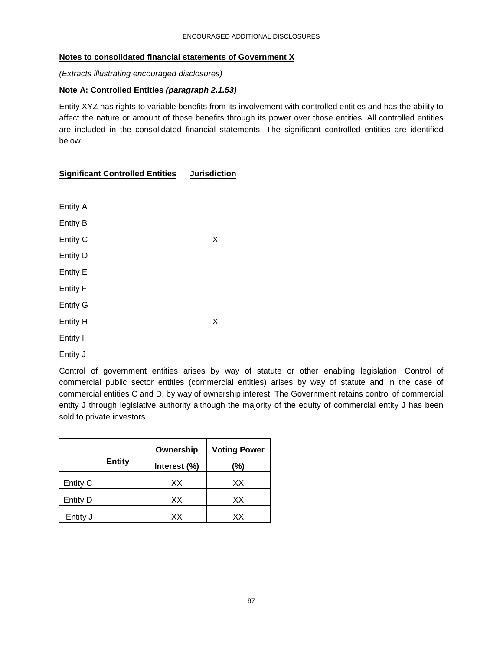## **Notes to consolidated financial statements of Government X**

*(Extracts illustrating encouraged disclosures)*

## **Note A: Controlled Entities** *(paragraph 2.1.53)*

Entity XYZ has rights to variable benefits from its involvement with controlled entities and has the ability to affect the nature or amount of those benefits through its power over those entities. All controlled entities are included in the consolidated financial statements. The significant controlled entities are identified below.

## **Significant Controlled Entities Jurisdiction**

| <b>Entity A</b> |   |
|-----------------|---|
| <b>Entity B</b> |   |
| Entity C        | X |
| <b>Entity D</b> |   |
| <b>Entity E</b> |   |
| <b>Entity F</b> |   |
| <b>Entity G</b> |   |
| <b>Entity H</b> | X |
| Entity I        |   |
| Entity J        |   |

Control of government entities arises by way of statute or other enabling legislation. Control of commercial public sector entities (commercial entities) arises by way of statute and in the case of commercial entities C and D, by way of ownership interest. The Government retains control of commercial entity J through legislative authority although the majority of the equity of commercial entity J has been sold to private investors.

| <b>Entity</b>   | Ownership<br>Interest (%) | <b>Voting Power</b><br>(%) |
|-----------------|---------------------------|----------------------------|
| Entity C        | XХ                        | XX                         |
| <b>Entity D</b> | XХ                        | XX                         |
| Entity J        | xх                        | xх                         |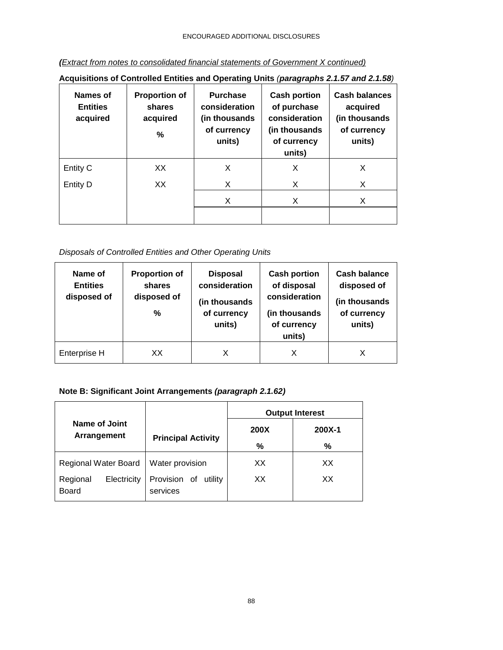| Acquisitions of Controlled Entities and Operating Units (paragraphs 2.1.57 and 2.1.58) |                                                 |                                                                             |                                                                                               |                                                                             |
|----------------------------------------------------------------------------------------|-------------------------------------------------|-----------------------------------------------------------------------------|-----------------------------------------------------------------------------------------------|-----------------------------------------------------------------------------|
| <b>Names of</b><br><b>Entities</b><br>acquired                                         | <b>Proportion of</b><br>shares<br>acquired<br>% | <b>Purchase</b><br>consideration<br>(in thousands)<br>of currency<br>units) | <b>Cash portion</b><br>of purchase<br>consideration<br>(in thousands<br>of currency<br>units) | <b>Cash balances</b><br>acquired<br>(in thousands)<br>of currency<br>units) |
| Entity C                                                                               | XX                                              | X                                                                           | X                                                                                             | X                                                                           |
| Entity D                                                                               | XX                                              | X                                                                           | X                                                                                             | X                                                                           |
|                                                                                        |                                                 | X                                                                           | X                                                                                             | x                                                                           |
|                                                                                        |                                                 |                                                                             |                                                                                               |                                                                             |

| (Extract from notes to consolidated financial statements of Government X continued) |
|-------------------------------------------------------------------------------------|
|-------------------------------------------------------------------------------------|

*Disposals of Controlled Entities and Other Operating Units*

| Name of<br><b>Entities</b><br>disposed of | <b>Proportion of</b><br>shares<br>disposed of<br>% | <b>Disposal</b><br>consideration<br>(in thousands<br>of currency<br>units) | <b>Cash portion</b><br>of disposal<br>consideration<br>(in thousands)<br>of currency<br>units) | <b>Cash balance</b><br>disposed of<br>(in thousands)<br>of currency<br>units) |
|-------------------------------------------|----------------------------------------------------|----------------------------------------------------------------------------|------------------------------------------------------------------------------------------------|-------------------------------------------------------------------------------|
| Enterprise H                              | XX.                                                | х                                                                          | Х                                                                                              | x                                                                             |

# **Note B: Significant Joint Arrangements** *(paragraph 2.1.62)*

|                                         |                                     | <b>Output Interest</b> |        |
|-----------------------------------------|-------------------------------------|------------------------|--------|
| Name of Joint<br>Arrangement            | <b>Principal Activity</b>           | <b>200X</b>            | 200X-1 |
|                                         |                                     | ℅                      | %      |
| <b>Regional Water Board</b>             | Water provision                     | XX                     | XX     |
| Regional<br>Electricity<br><b>Board</b> | Provision of<br>utility<br>services | XX                     | XX     |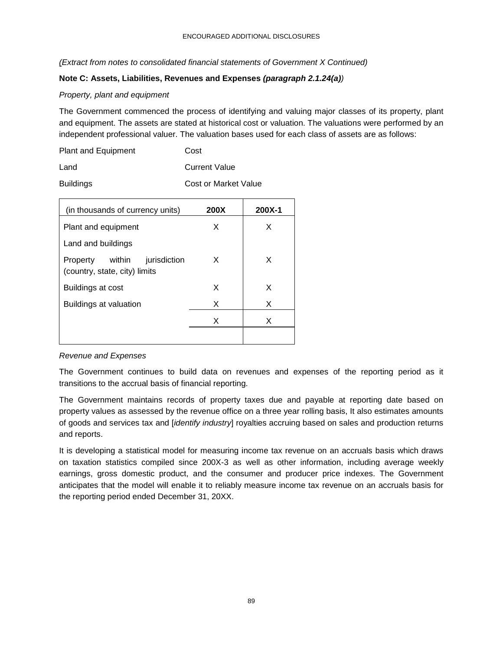## **Note C: Assets, Liabilities, Revenues and Expenses** *(paragraph 2.1.24(a))*

### *Property, plant and equipment*

The Government commenced the process of identifying and valuing major classes of its property, plant and equipment. The assets are stated at historical cost or valuation. The valuations were performed by an independent professional valuer. The valuation bases used for each class of assets are as follows:

| <b>Plant and Equipment</b> | Cost                        |
|----------------------------|-----------------------------|
| Land                       | <b>Current Value</b>        |
| <b>Buildings</b>           | <b>Cost or Market Value</b> |

| (in thousands of currency units)                                    | <b>200X</b> | <b>200X-1</b> |
|---------------------------------------------------------------------|-------------|---------------|
| Plant and equipment                                                 | X           | X             |
| Land and buildings                                                  |             |               |
| Property<br>within<br>jurisdiction<br>(country, state, city) limits | X           | X             |
| Buildings at cost                                                   | X           | X             |
| Buildings at valuation                                              | X           | X             |
|                                                                     | X           | X             |
|                                                                     |             |               |

### *Revenue and Expenses*

The Government continues to build data on revenues and expenses of the reporting period as it transitions to the accrual basis of financial reporting.

The Government maintains records of property taxes due and payable at reporting date based on property values as assessed by the revenue office on a three year rolling basis, It also estimates amounts of goods and services tax and [*identify industry*] royalties accruing based on sales and production returns and reports.

It is developing a statistical model for measuring income tax revenue on an accruals basis which draws on taxation statistics compiled since 200X-3 as well as other information, including average weekly earnings, gross domestic product, and the consumer and producer price indexes. The Government anticipates that the model will enable it to reliably measure income tax revenue on an accruals basis for the reporting period ended December 31, 20XX.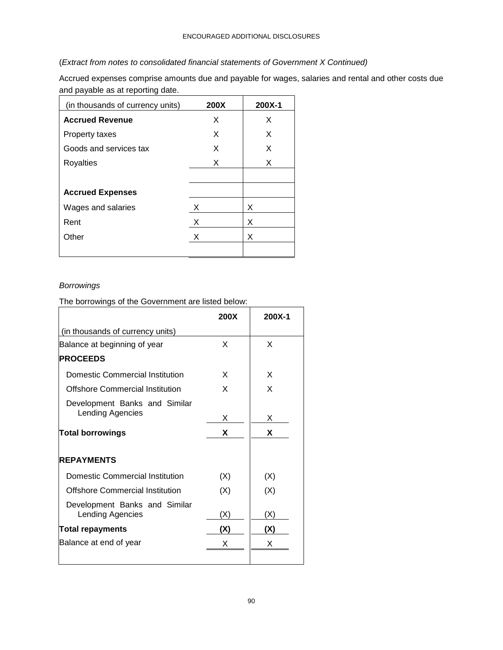Accrued expenses comprise amounts due and payable for wages, salaries and rental and other costs due and payable as at reporting date.

| (in thousands of currency units) | <b>200X</b> | $200X-1$ |
|----------------------------------|-------------|----------|
| <b>Accrued Revenue</b>           | x           | X        |
| Property taxes                   | X           | X        |
| Goods and services tax           | X           | X        |
| <b>Royalties</b>                 | X           | X        |
|                                  |             |          |
| <b>Accrued Expenses</b>          |             |          |
| Wages and salaries               | X           | X        |
| Rent                             | X           | X        |
| Other                            | X           | X        |
|                                  |             |          |

## *Borrowings*

The borrowings of the Government are listed below:

|                                                   | 200X | $200X-1$ |
|---------------------------------------------------|------|----------|
| (in thousands of currency units)                  |      |          |
| Balance at beginning of year                      | x    | X        |
| <b>PROCEEDS</b>                                   |      |          |
| <b>Domestic Commercial Institution</b>            | X    | X        |
| Offshore Commercial Institution                   | x    | x        |
| Development Banks and Similar<br>Lending Agencies | X    | X.       |
| <b>Total borrowings</b>                           | X    | X        |
| <b>REPAYMENTS</b>                                 |      |          |
| Domestic Commercial Institution                   | (X)  | (X)      |
| Offshore Commercial Institution                   | (X)  | (X)      |
| Development Banks and Similar<br>Lending Agencies | (X)  | (X)      |
| <b>Total repayments</b>                           | (X)  | (X)      |
| Balance at end of year                            | x    | X        |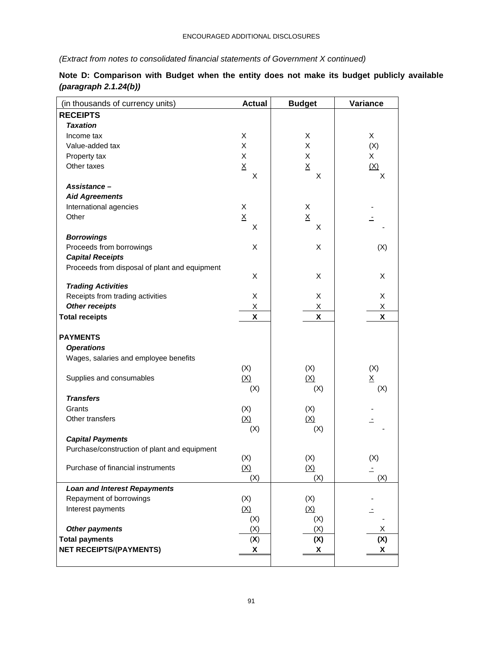| (in thousands of currency units)              | <b>Actual</b>            | <b>Budget</b>            | Variance        |
|-----------------------------------------------|--------------------------|--------------------------|-----------------|
| <b>RECEIPTS</b>                               |                          |                          |                 |
| <b>Taxation</b>                               |                          |                          |                 |
| Income tax                                    | X                        | X                        | X               |
| Value-added tax                               | X                        | X                        | (X)             |
| Property tax                                  | $\sf X$                  | X                        | X               |
| Other taxes                                   | $\underline{\mathsf{X}}$ | $\underline{\mathsf{X}}$ | <u>(X)</u>      |
|                                               | X                        | X                        | X               |
| Assistance-                                   |                          |                          |                 |
| <b>Aid Agreements</b>                         |                          |                          |                 |
| International agencies                        | X                        | X                        |                 |
| Other                                         | $\underline{\mathsf{X}}$ | $\underline{\mathsf{X}}$ |                 |
|                                               | X                        | X                        |                 |
| <b>Borrowings</b>                             |                          |                          |                 |
| Proceeds from borrowings                      | X                        | X                        | (X)             |
| <b>Capital Receipts</b>                       |                          |                          |                 |
| Proceeds from disposal of plant and equipment |                          |                          |                 |
|                                               | X                        | X                        | X               |
| <b>Trading Activities</b>                     |                          |                          |                 |
| Receipts from trading activities              | X                        | X                        | X               |
| <b>Other receipts</b>                         | Χ                        | Χ                        | Χ               |
| <b>Total receipts</b>                         | X                        | X                        | X               |
| <b>PAYMENTS</b>                               |                          |                          |                 |
| <b>Operations</b>                             |                          |                          |                 |
| Wages, salaries and employee benefits         |                          |                          |                 |
|                                               | (X)                      | (X)                      | (X)             |
| Supplies and consumables                      | (X)                      | (X)                      | $\underline{X}$ |
|                                               | (X)                      | (X)                      | (X)             |
| <b>Transfers</b>                              |                          |                          |                 |
| Grants                                        | (X)                      | (X)                      |                 |
| Other transfers                               | (X)                      | (X)                      |                 |
|                                               | (X)                      | (X)                      |                 |
| <b>Capital Payments</b>                       |                          |                          |                 |
| Purchase/construction of plant and equipment  |                          |                          |                 |
|                                               | (X)                      | (X)                      | (X)             |
| Purchase of financial instruments             | (X)                      | (X)                      | Ż,              |
|                                               | (X)                      | (X)                      | (X)             |
| <b>Loan and Interest Repayments</b>           |                          |                          |                 |
| Repayment of borrowings                       | (X)                      | (X)                      |                 |
| Interest payments                             | (X)                      | (X)                      |                 |
|                                               | (X)                      | (X)                      |                 |
| Other payments                                | (X)                      | (X)                      | X               |
| <b>Total payments</b>                         | (X)                      | (X)                      | (X)             |
| <b>NET RECEIPTS/(PAYMENTS)</b>                | X                        | Χ                        | X               |

**Note D: Comparison with Budget when the entity does not make its budget publicly available**  *(paragraph 2.1.24(b))*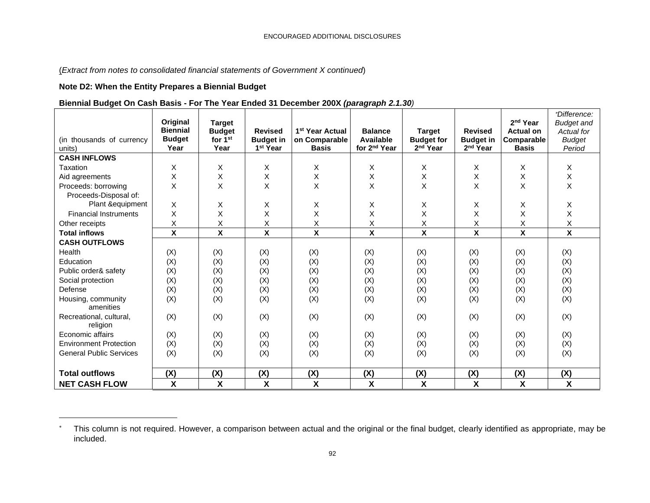## <span id="page-91-0"></span>**Note D2: When the Entity Prepares a Biennial Budget**

-

### **Biennial Budget On Cash Basis - For The Year Ended 31 December 200X** *(paragraph 2.1.30)*

|                                     | Original        | Target                    |                      |                             |                          |                      |                      | 2 <sup>nd</sup> Year | *Difference:<br><b>Budget and</b> |
|-------------------------------------|-----------------|---------------------------|----------------------|-----------------------------|--------------------------|----------------------|----------------------|----------------------|-----------------------------------|
|                                     | <b>Biennial</b> | <b>Budget</b>             | <b>Revised</b>       | 1 <sup>st</sup> Year Actual | <b>Balance</b>           | <b>Target</b>        | <b>Revised</b>       | Actual on            | Actual for                        |
| (in thousands of currency           | <b>Budget</b>   | for 1 <sup>st</sup>       | <b>Budget in</b>     | on Comparable               | Available                | <b>Budget for</b>    | <b>Budget in</b>     | Comparable           | <b>Budget</b>                     |
| units)                              | Year            | Year                      | 1 <sup>st</sup> Year | <b>Basis</b>                | for 2 <sup>nd</sup> Year | 2 <sup>nd</sup> Year | 2 <sup>nd</sup> Year | <b>Basis</b>         | Period                            |
| <b>CASH INFLOWS</b>                 |                 |                           |                      |                             |                          |                      |                      |                      |                                   |
| Taxation                            | X               | X                         | X                    | X                           | X                        | X                    | Χ                    | Χ                    | Х                                 |
| Aid agreements                      | X               | $\mathsf X$               | X                    | $\sf X$                     | $\sf X$                  | Χ                    | X                    | X                    | Χ                                 |
| Proceeds: borrowing                 | X               | X                         | Χ                    | X                           | X                        | X                    | X                    | X                    | X                                 |
| Proceeds-Disposal of:               |                 |                           |                      |                             |                          |                      |                      |                      |                                   |
| Plant &equipment                    | X               | X                         | X                    | X                           | X                        | X                    | X                    | Χ                    | X                                 |
| <b>Financial Instruments</b>        | X               | X                         | Χ                    | X                           | X                        | Χ                    | X                    | X                    | X                                 |
| Other receipts                      | X               | X                         | X                    | X                           | X                        | Χ                    | X                    | Χ                    | X                                 |
| <b>Total inflows</b>                | X               | $\boldsymbol{\mathsf{X}}$ | X                    | X                           | X                        | X                    | X                    | X                    | X                                 |
| <b>CASH OUTFLOWS</b>                |                 |                           |                      |                             |                          |                      |                      |                      |                                   |
| Health                              | (X)             | (X)                       | (X)                  | (X)                         | (X)                      | (X)                  | (X)                  | (X)                  | (X)                               |
| Education                           | (X)             | (X)                       | (X)                  | (X)                         | (X)                      | (X)                  | (X)                  | (X)                  | (X)                               |
| Public order& safety                | (X)             | (X)                       | (X)                  | (X)                         | (X)                      | (X)                  | (X)                  | (X)                  | (X)                               |
| Social protection                   | (X)             | (X)                       | (X)                  | (X)                         | (X)                      | (X)                  | (X)                  | (X)                  | (X)                               |
| Defense                             | (X)             | (X)                       | (X)                  | (X)                         | (X)                      | (X)                  | (X)                  | (X)                  | (X)                               |
| Housing, community<br>amenities     | (X)             | (X)                       | (X)                  | (X)                         | (X)                      | (X)                  | (X)                  | (X)                  | (X)                               |
| Recreational, cultural,<br>religion | (X)             | (X)                       | (X)                  | (X)                         | (X)                      | (X)                  | (X)                  | (X)                  | (X)                               |
| Economic affairs                    | (X)             | (X)                       | (X)                  | (X)                         | (X)                      | (X)                  | (X)                  | (X)                  | (X)                               |
| <b>Environment Protection</b>       | (X)             | (X)                       | (X)                  | (X)                         | (X)                      | (X)                  | (X)                  | (X)                  | (X)                               |
| <b>General Public Services</b>      | (X)             | (X)                       | (X)                  | (X)                         | (X)                      | (X)                  | (X)                  | (X)                  | (X)                               |
|                                     |                 |                           |                      |                             |                          |                      |                      |                      |                                   |
| <b>Total outflows</b>               | (X)             | (X)                       | (X)                  | (X)                         | (X)                      | (X)                  | (X)                  | (X)                  | (X)                               |
| <b>NET CASH FLOW</b>                | X               | $\mathsf{X}$              | X                    | X                           | X                        | X                    | X                    | X                    | X                                 |

This column is not required. However, a comparison between actual and the original or the final budget, clearly identified as appropriate, may be included.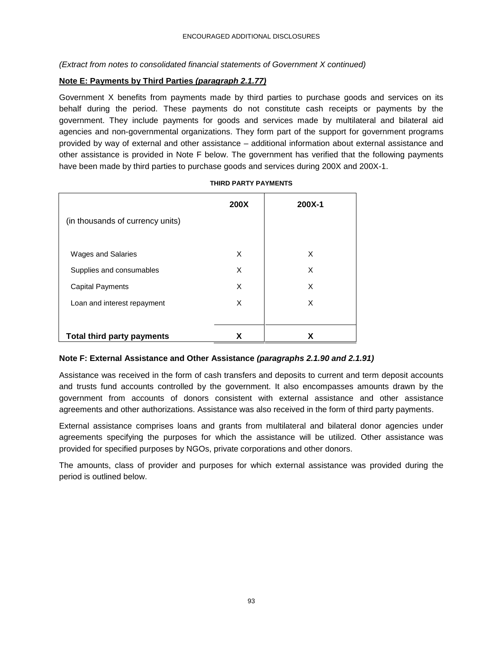## **Note E: Payments by Third Parties** *(paragraph 2.1.77)*

Government X benefits from payments made by third parties to purchase goods and services on its behalf during the period. These payments do not constitute cash receipts or payments by the government. They include payments for goods and services made by multilateral and bilateral aid agencies and non-governmental organizations. They form part of the support for government programs provided by way of external and other assistance – additional information about external assistance and other assistance is provided in Note F below. The government has verified that the following payments have been made by third parties to purchase goods and services during 200X and 200X-1.

| (in thousands of currency units)  | <b>200X</b> | $200X-1$ |
|-----------------------------------|-------------|----------|
| <b>Wages and Salaries</b>         | X           | X        |
| Supplies and consumables          | X           | X        |
| <b>Capital Payments</b>           | X           | X        |
| Loan and interest repayment       | X           | X        |
|                                   |             |          |
| <b>Total third party payments</b> | x           | х        |

#### **THIRD PARTY PAYMENTS**

### **Note F: External Assistance and Other Assistance** *(paragraphs 2.1.90 and 2.1.91)*

Assistance was received in the form of cash transfers and deposits to current and term deposit accounts and trusts fund accounts controlled by the government. It also encompasses amounts drawn by the government from accounts of donors consistent with external assistance and other assistance agreements and other authorizations. Assistance was also received in the form of third party payments.

External assistance comprises loans and grants from multilateral and bilateral donor agencies under agreements specifying the purposes for which the assistance will be utilized. Other assistance was provided for specified purposes by NGOs, private corporations and other donors.

The amounts, class of provider and purposes for which external assistance was provided during the period is outlined below.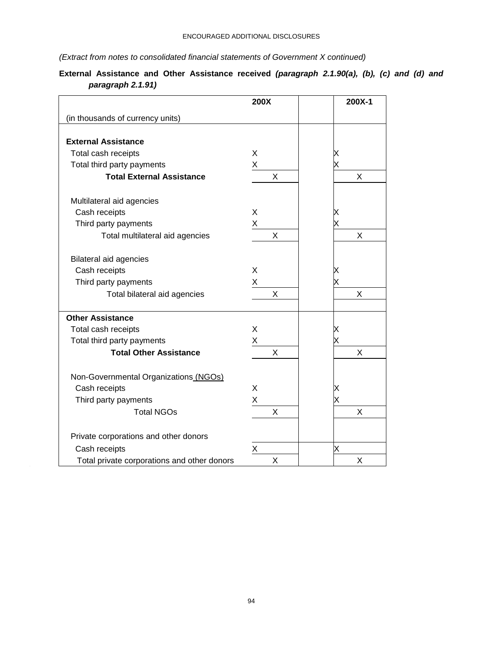# **External Assistance and Other Assistance received** *(paragraph 2.1.90(a), (b), (c) and (d) and paragraph 2.1.91)*

| 200X | 200X-1 |
|------|--------|
|      |        |
|      |        |
|      |        |
| X    | X      |
| X    | X      |
| X    | X      |
|      |        |
| X    | X      |
| X    | X      |
| Χ    | X      |
|      |        |
| X    | Х      |
| X    | X      |
| X    | X      |
|      |        |
|      |        |
| X    | Х      |
| X    | X      |
| X    | X      |
|      |        |
| X    | X      |
| X    | X      |
| X    | X      |
|      |        |
|      | Χ      |
|      | X      |
|      | х<br>Χ |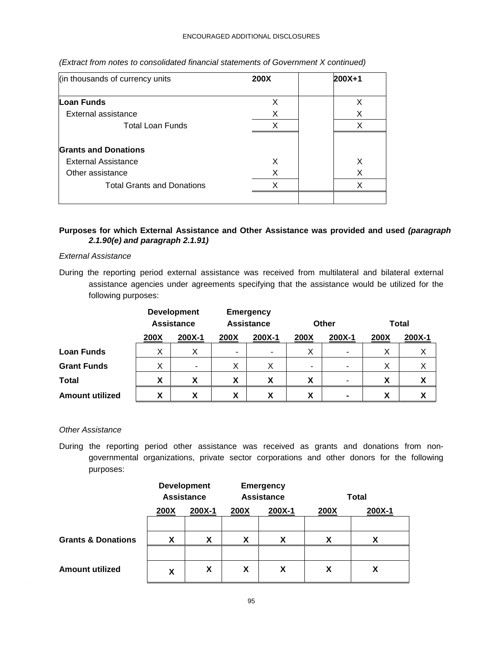| (in thousands of currency units   | <b>200X</b> | $200X+1$ |
|-----------------------------------|-------------|----------|
| <b>Loan Funds</b>                 | X           | X        |
| External assistance               | X           | X        |
| <b>Total Loan Funds</b>           | X           | X        |
| <b>Grants and Donations</b>       |             |          |
| <b>External Assistance</b>        | X           | X        |
| Other assistance                  | X           | X        |
| <b>Total Grants and Donations</b> | X           | X        |
|                                   |             |          |

## **Purposes for which External Assistance and Other Assistance was provided and used** *(paragraph 2.1.90(e) and paragraph 2.1.91)*

### *External Assistance*

During the reporting period external assistance was received from multilateral and bilateral external assistance agencies under agreements specifying that the assistance would be utilized for the following purposes:

|                        | <b>Development</b><br><b>Assistance</b> |        | <b>Emergency</b><br><b>Assistance</b> |                | Other |                | Total                          |        |
|------------------------|-----------------------------------------|--------|---------------------------------------|----------------|-------|----------------|--------------------------------|--------|
|                        | 200X                                    | 200X-1 | 200X                                  | 200X-1         | 200X  | $200X-1$       | 200X                           | 200X-1 |
| <b>Loan Funds</b>      | Χ                                       | X      | ۰                                     | $\blacksquare$ | X     | ٠              | Х                              | х      |
| <b>Grant Funds</b>     | Χ                                       | ۰      | X                                     | х              | ۰     | ٠              | X                              | х      |
| <b>Total</b>           | Χ                                       | X      | X                                     | X              | X     | ۰              | X                              | Х      |
| <b>Amount utilized</b> | Χ                                       | х      | X                                     | Χ              | X     | $\blacksquare$ | v<br>$\boldsymbol{\mathsf{A}}$ | Х      |

### *Other Assistance*

During the reporting period other assistance was received as grants and donations from nongovernmental organizations, private sector corporations and other donors for the following purposes:

|                               | <b>Development</b><br><b>Assistance</b> |                          |   | <b>Emergency</b><br><b>Assistance</b> | Total |        |  |
|-------------------------------|-----------------------------------------|--------------------------|---|---------------------------------------|-------|--------|--|
|                               | 200X                                    | 200X-1<br>200X<br>200X-1 |   |                                       | 200X  | 200X-1 |  |
|                               |                                         |                          |   |                                       |       |        |  |
| <b>Grants &amp; Donations</b> | X                                       | X                        | X | $\mathbf x$                           | X     | х      |  |
|                               |                                         |                          |   |                                       |       |        |  |
| <b>Amount utilized</b>        | X                                       | X                        | X | X                                     | X     | x      |  |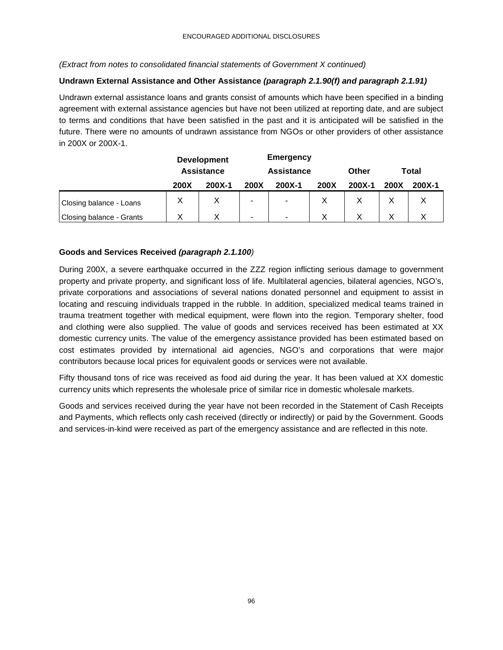## **Undrawn External Assistance and Other Assistance** *(paragraph 2.1.90(f) and paragraph 2.1.91)*

Undrawn external assistance loans and grants consist of amounts which have been specified in a binding agreement with external assistance agencies but have not been utilized at reporting date, and are subject to terms and conditions that have been satisfied in the past and it is anticipated will be satisfied in the future. There were no amounts of undrawn assistance from NGOs or other providers of other assistance in 200X or 200X-1.

|                          |             | <b>Development</b> |             | <b>Emergency</b>  |      |          |              |          |
|--------------------------|-------------|--------------------|-------------|-------------------|------|----------|--------------|----------|
|                          |             | <b>Assistance</b>  |             | <b>Assistance</b> |      |          |              | Total    |
|                          | <b>200X</b> | $200X-1$           | <b>200X</b> | $200X-1$          | 200X | $200X-1$ | <b>200X</b>  | $200X-1$ |
| Closing balance - Loans  | X           | Χ                  |             | ۰                 | X    | X        |              |          |
| Closing balance - Grants | Χ           | Χ                  | ٠           | $\sim$            | X    |          | $\checkmark$ |          |

### **Goods and Services Received** *(paragraph 2.1.100)*

During 200X, a severe earthquake occurred in the ZZZ region inflicting serious damage to government property and private property, and significant loss of life. Multilateral agencies, bilateral agencies, NGO's, private corporations and associations of several nations donated personnel and equipment to assist in locating and rescuing individuals trapped in the rubble. In addition, specialized medical teams trained in trauma treatment together with medical equipment, were flown into the region. Temporary shelter, food and clothing were also supplied. The value of goods and services received has been estimated at XX domestic currency units. The value of the emergency assistance provided has been estimated based on cost estimates provided by international aid agencies, NGO's and corporations that were major contributors because local prices for equivalent goods or services were not available.

Fifty thousand tons of rice was received as food aid during the year. It has been valued at XX domestic currency units which represents the wholesale price of similar rice in domestic wholesale markets.

Goods and services received during the year have not been recorded in the Statement of Cash Receipts and Payments, which reflects only cash received (directly or indirectly) or paid by the Government. Goods and services-in-kind were received as part of the emergency assistance and are reflected in this note.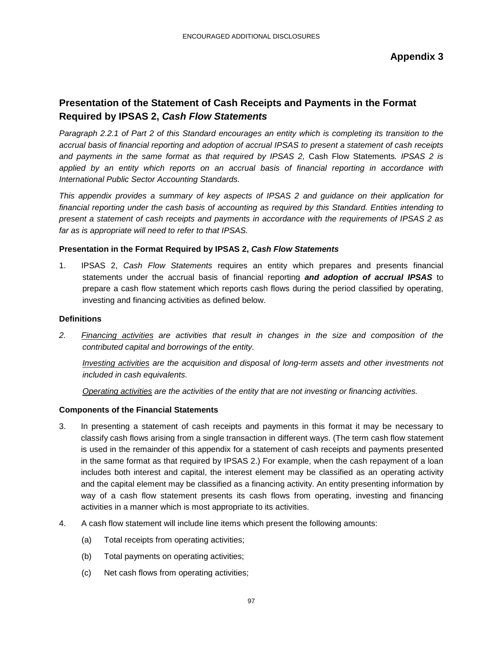# **Presentation of the Statement of Cash Receipts and Payments in the Format Required by IPSAS 2,** *Cash Flow Statements*

*Paragraph 2.2.1 of Part 2 of this Standard encourages an entity which is completing its transition to the accrual basis of financial reporting and adoption of accrual IPSAS to present a statement of cash receipts and payments in the same format as that required by IPSAS 2,* Cash Flow Statements*. IPSAS 2 is applied by an entity which reports on an accrual basis of financial reporting in accordance with International Public Sector Accounting Standards.* 

*This appendix provides a summary of key aspects of IPSAS 2 and guidance on their application for financial reporting under the cash basis of accounting as required by this Standard. Entities intending to present a statement of cash receipts and payments in accordance with the requirements of IPSAS 2 as far as is appropriate will need to refer to that IPSAS.* 

#### **Presentation in the Format Required by IPSAS 2,** *Cash Flow Statements*

1. IPSAS 2, *Cash Flow Statements* requires an entity which prepares and presents financial statements under the accrual basis of financial reporting *and adoption of accrual IPSAS* to prepare a cash flow statement which reports cash flows during the period classified by operating, investing and financing activities as defined below.

#### **Definitions**

*2. Financing activities are activities that result in changes in the size and composition of the contributed capital and borrowings of the entity.*

*Investing activities are the acquisition and disposal of long-term assets and other investments not included in cash equivalents.*

*Operating activities are the activities of the entity that are not investing or financing activities.*

#### **Components of the Financial Statements**

- 3. In presenting a statement of cash receipts and payments in this format it may be necessary to classify cash flows arising from a single transaction in different ways. (The term cash flow statement is used in the remainder of this appendix for a statement of cash receipts and payments presented in the same format as that required by IPSAS 2.) For example, when the cash repayment of a loan includes both interest and capital, the interest element may be classified as an operating activity and the capital element may be classified as a financing activity. An entity presenting information by way of a cash flow statement presents its cash flows from operating, investing and financing activities in a manner which is most appropriate to its activities.
- 4. A cash flow statement will include line items which present the following amounts:
	- (a) Total receipts from operating activities;
	- (b) Total payments on operating activities;
	- (c) Net cash flows from operating activities;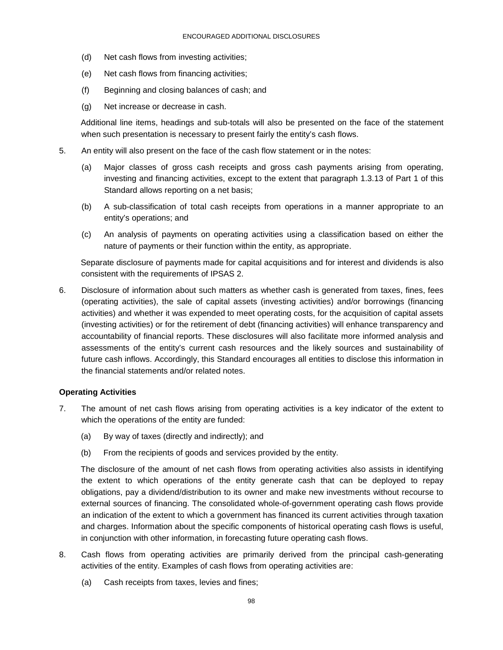- (d) Net cash flows from investing activities;
- (e) Net cash flows from financing activities;
- (f) Beginning and closing balances of cash; and
- (g) Net increase or decrease in cash.

Additional line items, headings and sub-totals will also be presented on the face of the statement when such presentation is necessary to present fairly the entity's cash flows.

- 5. An entity will also present on the face of the cash flow statement or in the notes:
	- (a) Major classes of gross cash receipts and gross cash payments arising from operating, investing and financing activities, except to the extent that paragraph 1.3.13 of Part 1 of this Standard allows reporting on a net basis;
	- (b) A sub-classification of total cash receipts from operations in a manner appropriate to an entity's operations; and
	- (c) An analysis of payments on operating activities using a classification based on either the nature of payments or their function within the entity, as appropriate.

Separate disclosure of payments made for capital acquisitions and for interest and dividends is also consistent with the requirements of IPSAS 2.

6. Disclosure of information about such matters as whether cash is generated from taxes, fines, fees (operating activities), the sale of capital assets (investing activities) and/or borrowings (financing activities) and whether it was expended to meet operating costs, for the acquisition of capital assets (investing activities) or for the retirement of debt (financing activities) will enhance transparency and accountability of financial reports. These disclosures will also facilitate more informed analysis and assessments of the entity's current cash resources and the likely sources and sustainability of future cash inflows. Accordingly, this Standard encourages all entities to disclose this information in the financial statements and/or related notes.

### **Operating Activities**

- 7. The amount of net cash flows arising from operating activities is a key indicator of the extent to which the operations of the entity are funded:
	- (a) By way of taxes (directly and indirectly); and
	- (b) From the recipients of goods and services provided by the entity.

The disclosure of the amount of net cash flows from operating activities also assists in identifying the extent to which operations of the entity generate cash that can be deployed to repay obligations, pay a dividend/distribution to its owner and make new investments without recourse to external sources of financing. The consolidated whole-of-government operating cash flows provide an indication of the extent to which a government has financed its current activities through taxation and charges. Information about the specific components of historical operating cash flows is useful, in conjunction with other information, in forecasting future operating cash flows.

- 8. Cash flows from operating activities are primarily derived from the principal cash-generating activities of the entity. Examples of cash flows from operating activities are:
	- (a) Cash receipts from taxes, levies and fines;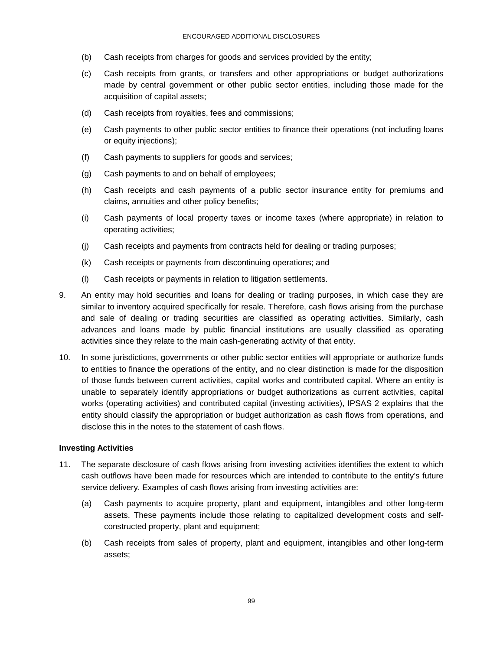- (b) Cash receipts from charges for goods and services provided by the entity;
- (c) Cash receipts from grants, or transfers and other appropriations or budget authorizations made by central government or other public sector entities, including those made for the acquisition of capital assets;
- (d) Cash receipts from royalties, fees and commissions;
- (e) Cash payments to other public sector entities to finance their operations (not including loans or equity injections);
- (f) Cash payments to suppliers for goods and services;
- (g) Cash payments to and on behalf of employees;
- (h) Cash receipts and cash payments of a public sector insurance entity for premiums and claims, annuities and other policy benefits;
- (i) Cash payments of local property taxes or income taxes (where appropriate) in relation to operating activities;
- (j) Cash receipts and payments from contracts held for dealing or trading purposes;
- (k) Cash receipts or payments from discontinuing operations; and
- (l) Cash receipts or payments in relation to litigation settlements.
- 9. An entity may hold securities and loans for dealing or trading purposes, in which case they are similar to inventory acquired specifically for resale. Therefore, cash flows arising from the purchase and sale of dealing or trading securities are classified as operating activities. Similarly, cash advances and loans made by public financial institutions are usually classified as operating activities since they relate to the main cash-generating activity of that entity.
- 10. In some jurisdictions, governments or other public sector entities will appropriate or authorize funds to entities to finance the operations of the entity, and no clear distinction is made for the disposition of those funds between current activities, capital works and contributed capital. Where an entity is unable to separately identify appropriations or budget authorizations as current activities, capital works (operating activities) and contributed capital (investing activities), IPSAS 2 explains that the entity should classify the appropriation or budget authorization as cash flows from operations, and disclose this in the notes to the statement of cash flows.

### **Investing Activities**

- 11. The separate disclosure of cash flows arising from investing activities identifies the extent to which cash outflows have been made for resources which are intended to contribute to the entity's future service delivery. Examples of cash flows arising from investing activities are:
	- (a) Cash payments to acquire property, plant and equipment, intangibles and other long-term assets. These payments include those relating to capitalized development costs and selfconstructed property, plant and equipment;
	- (b) Cash receipts from sales of property, plant and equipment, intangibles and other long-term assets;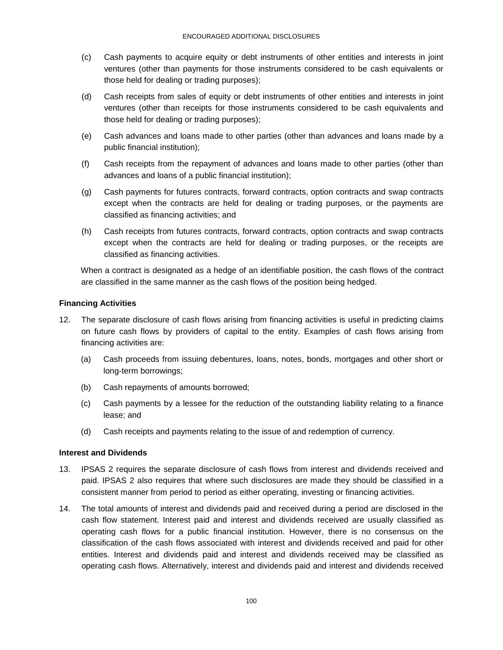- (c) Cash payments to acquire equity or debt instruments of other entities and interests in joint ventures (other than payments for those instruments considered to be cash equivalents or those held for dealing or trading purposes);
- (d) Cash receipts from sales of equity or debt instruments of other entities and interests in joint ventures (other than receipts for those instruments considered to be cash equivalents and those held for dealing or trading purposes);
- (e) Cash advances and loans made to other parties (other than advances and loans made by a public financial institution);
- (f) Cash receipts from the repayment of advances and loans made to other parties (other than advances and loans of a public financial institution);
- (g) Cash payments for futures contracts, forward contracts, option contracts and swap contracts except when the contracts are held for dealing or trading purposes, or the payments are classified as financing activities; and
- (h) Cash receipts from futures contracts, forward contracts, option contracts and swap contracts except when the contracts are held for dealing or trading purposes, or the receipts are classified as financing activities.

When a contract is designated as a hedge of an identifiable position, the cash flows of the contract are classified in the same manner as the cash flows of the position being hedged.

### **Financing Activities**

- 12. The separate disclosure of cash flows arising from financing activities is useful in predicting claims on future cash flows by providers of capital to the entity. Examples of cash flows arising from financing activities are:
	- (a) Cash proceeds from issuing debentures, loans, notes, bonds, mortgages and other short or long-term borrowings;
	- (b) Cash repayments of amounts borrowed;
	- (c) Cash payments by a lessee for the reduction of the outstanding liability relating to a finance lease; and
	- (d) Cash receipts and payments relating to the issue of and redemption of currency.

#### **Interest and Dividends**

- 13. IPSAS 2 requires the separate disclosure of cash flows from interest and dividends received and paid. IPSAS 2 also requires that where such disclosures are made they should be classified in a consistent manner from period to period as either operating, investing or financing activities.
- 14. The total amounts of interest and dividends paid and received during a period are disclosed in the cash flow statement. Interest paid and interest and dividends received are usually classified as operating cash flows for a public financial institution. However, there is no consensus on the classification of the cash flows associated with interest and dividends received and paid for other entities. Interest and dividends paid and interest and dividends received may be classified as operating cash flows. Alternatively, interest and dividends paid and interest and dividends received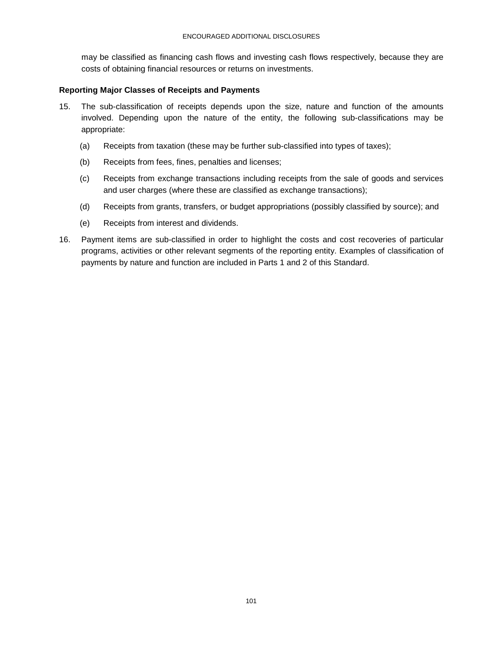may be classified as financing cash flows and investing cash flows respectively, because they are costs of obtaining financial resources or returns on investments.

### **Reporting Major Classes of Receipts and Payments**

- 15. The sub-classification of receipts depends upon the size, nature and function of the amounts involved. Depending upon the nature of the entity, the following sub-classifications may be appropriate:
	- (a) Receipts from taxation (these may be further sub-classified into types of taxes);
	- (b) Receipts from fees, fines, penalties and licenses;
	- (c) Receipts from exchange transactions including receipts from the sale of goods and services and user charges (where these are classified as exchange transactions);
	- (d) Receipts from grants, transfers, or budget appropriations (possibly classified by source); and
	- (e) Receipts from interest and dividends.
- 16. Payment items are sub-classified in order to highlight the costs and cost recoveries of particular programs, activities or other relevant segments of the reporting entity. Examples of classification of payments by nature and function are included in Parts 1 and 2 of this Standard.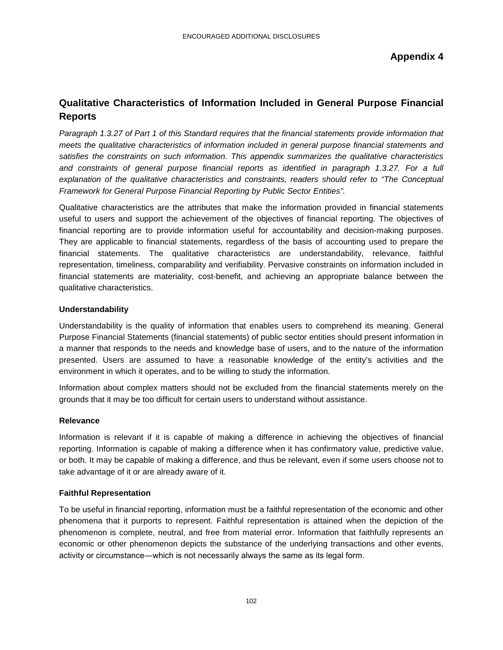# **Qualitative Characteristics of Information Included in General Purpose Financial Reports**

*Paragraph 1.3.27 of Part 1 of this Standard requires that the financial statements provide information that meets the qualitative characteristics of information included in general purpose financial statements and satisfies the constraints on such information. This appendix summarizes the qualitative characteristics and constraints of general purpose financial reports as identified in paragraph 1.3.27. For a full explanation of the qualitative characteristics and constraints, readers should refer to "The Conceptual Framework for General Purpose Financial Reporting by Public Sector Entities".*

Qualitative characteristics are the attributes that make the information provided in financial statements useful to users and support the achievement of the objectives of financial reporting. The objectives of financial reporting are to provide information useful for accountability and decision-making purposes. They are applicable to financial statements, regardless of the basis of accounting used to prepare the financial statements. The qualitative characteristics are understandability, relevance, faithful representation, timeliness, comparability and verifiability. Pervasive constraints on information included in financial statements are materiality, cost-benefit, and achieving an appropriate balance between the qualitative characteristics.

### **Understandability**

Understandability is the quality of information that enables users to comprehend its meaning. General Purpose Financial Statements (financial statements) of public sector entities should present information in a manner that responds to the needs and knowledge base of users, and to the nature of the information presented. Users are assumed to have a reasonable knowledge of the entity's activities and the environment in which it operates, and to be willing to study the information.

Information about complex matters should not be excluded from the financial statements merely on the grounds that it may be too difficult for certain users to understand without assistance.

### **Relevance**

Information is relevant if it is capable of making a difference in achieving the objectives of financial reporting. Information is capable of making a difference when it has confirmatory value, predictive value, or both. It may be capable of making a difference, and thus be relevant, even if some users choose not to take advantage of it or are already aware of it.

### **Faithful Representation**

To be useful in financial reporting, information must be a faithful representation of the economic and other phenomena that it purports to represent. Faithful representation is attained when the depiction of the phenomenon is complete, neutral, and free from material error. Information that faithfully represents an economic or other phenomenon depicts the substance of the underlying transactions and other events, activity or circumstance―which is not necessarily always the same as its legal form.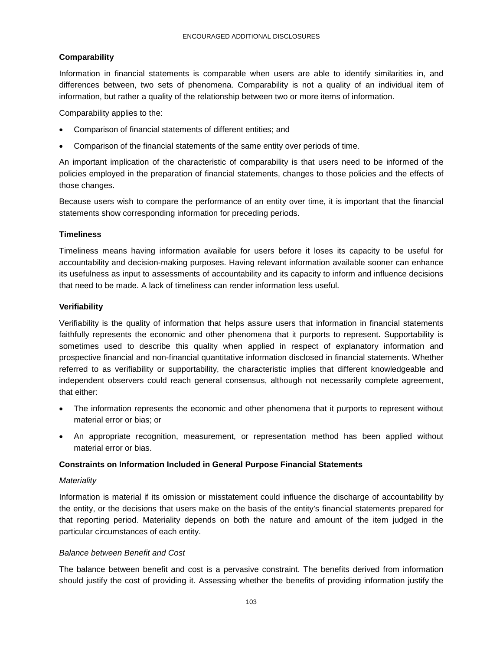## **Comparability**

Information in financial statements is comparable when users are able to identify similarities in, and differences between, two sets of phenomena. Comparability is not a quality of an individual item of information, but rather a quality of the relationship between two or more items of information.

Comparability applies to the:

- Comparison of financial statements of different entities; and
- Comparison of the financial statements of the same entity over periods of time.

An important implication of the characteristic of comparability is that users need to be informed of the policies employed in the preparation of financial statements, changes to those policies and the effects of those changes.

Because users wish to compare the performance of an entity over time, it is important that the financial statements show corresponding information for preceding periods.

### **Timeliness**

Timeliness means having information available for users before it loses its capacity to be useful for accountability and decision-making purposes. Having relevant information available sooner can enhance its usefulness as input to assessments of accountability and its capacity to inform and influence decisions that need to be made. A lack of timeliness can render information less useful.

### **Verifiability**

Verifiability is the quality of information that helps assure users that information in financial statements faithfully represents the economic and other phenomena that it purports to represent. Supportability is sometimes used to describe this quality when applied in respect of explanatory information and prospective financial and non-financial quantitative information disclosed in financial statements. Whether referred to as verifiability or supportability, the characteristic implies that different knowledgeable and independent observers could reach general consensus, although not necessarily complete agreement, that either:

- The information represents the economic and other phenomena that it purports to represent without material error or bias; or
- An appropriate recognition, measurement, or representation method has been applied without material error or bias.

### **Constraints on Information Included in General Purpose Financial Statements**

### *Materiality*

Information is material if its omission or misstatement could influence the discharge of accountability by the entity, or the decisions that users make on the basis of the entity's financial statements prepared for that reporting period. Materiality depends on both the nature and amount of the item judged in the particular circumstances of each entity.

### *Balance between Benefit and Cost*

The balance between benefit and cost is a pervasive constraint. The benefits derived from information should justify the cost of providing it. Assessing whether the benefits of providing information justify the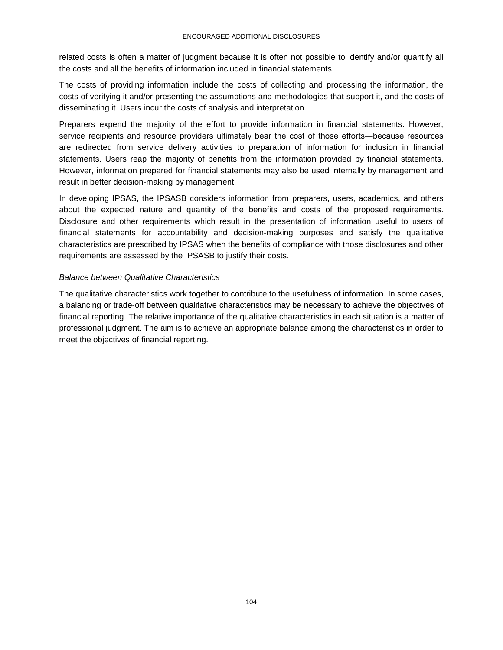related costs is often a matter of judgment because it is often not possible to identify and/or quantify all the costs and all the benefits of information included in financial statements.

The costs of providing information include the costs of collecting and processing the information, the costs of verifying it and/or presenting the assumptions and methodologies that support it, and the costs of disseminating it. Users incur the costs of analysis and interpretation.

Preparers expend the majority of the effort to provide information in financial statements. However, service recipients and resource providers ultimately bear the cost of those efforts―because resources are redirected from service delivery activities to preparation of information for inclusion in financial statements. Users reap the majority of benefits from the information provided by financial statements. However, information prepared for financial statements may also be used internally by management and result in better decision-making by management.

In developing IPSAS, the IPSASB considers information from preparers, users, academics, and others about the expected nature and quantity of the benefits and costs of the proposed requirements. Disclosure and other requirements which result in the presentation of information useful to users of financial statements for accountability and decision-making purposes and satisfy the qualitative characteristics are prescribed by IPSAS when the benefits of compliance with those disclosures and other requirements are assessed by the IPSASB to justify their costs.

### *Balance between Qualitative Characteristics*

The qualitative characteristics work together to contribute to the usefulness of information. In some cases, a balancing or trade-off between qualitative characteristics may be necessary to achieve the objectives of financial reporting. The relative importance of the qualitative characteristics in each situation is a matter of professional judgment. The aim is to achieve an appropriate balance among the characteristics in order to meet the objectives of financial reporting.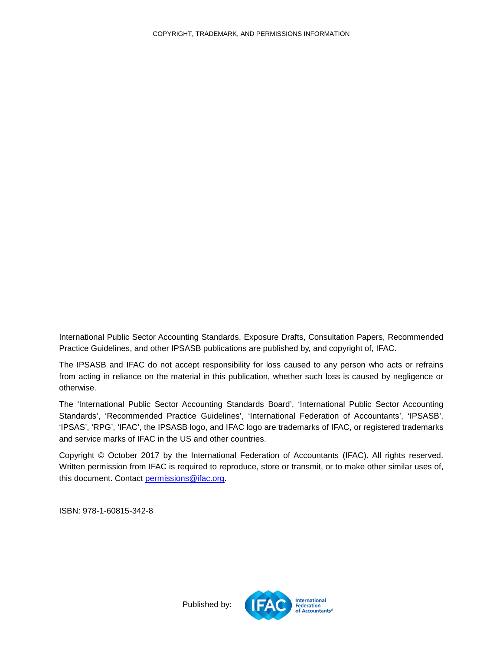International Public Sector Accounting Standards, Exposure Drafts, Consultation Papers, Recommended Practice Guidelines, and other IPSASB publications are published by, and copyright of, IFAC.

The IPSASB and IFAC do not accept responsibility for loss caused to any person who acts or refrains from acting in reliance on the material in this publication, whether such loss is caused by negligence or otherwise.

The 'International Public Sector Accounting Standards Board', 'International Public Sector Accounting Standards', 'Recommended Practice Guidelines', 'International Federation of Accountants', 'IPSASB', 'IPSAS', 'RPG', 'IFAC', the IPSASB logo, and IFAC logo are trademarks of IFAC, or registered trademarks and service marks of IFAC in the US and other countries.

Copyright © October 2017 by the International Federation of Accountants (IFAC). All rights reserved. Written permission from IFAC is required to reproduce, store or transmit, or to make other similar uses of, this document. Contact [permissions@ifac.org.](mailto:permissions@ifac.org)

ISBN: 978-1-60815-342-8



Published by: